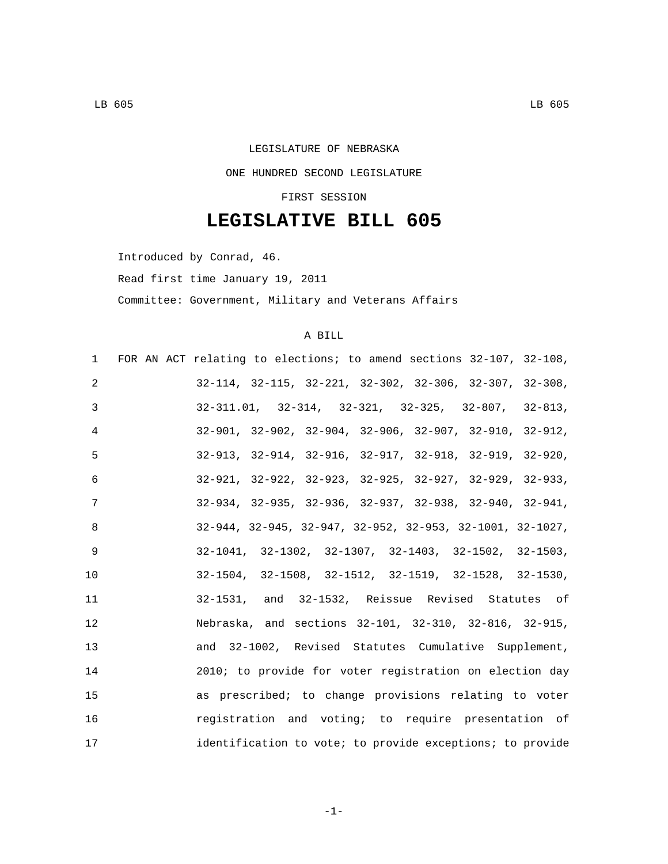## LEGISLATURE OF NEBRASKA ONE HUNDRED SECOND LEGISLATURE

## FIRST SESSION

## **LEGISLATIVE BILL 605**

Introduced by Conrad, 46.

Read first time January 19, 2011

Committee: Government, Military and Veterans Affairs

## A BILL

|    | 1 FOR AN ACT relating to elections; to amend sections 32-107, 32-108,          |
|----|--------------------------------------------------------------------------------|
| 2  | $32-114$ , $32-115$ , $32-221$ , $32-302$ , $32-306$ , $32-307$ , $32-308$ ,   |
| 3  | $32-311.01$ , $32-314$ , $32-321$ , $32-325$ , $32-807$ , $32-813$ ,           |
| 4  | $32-901$ , $32-902$ , $32-904$ , $32-906$ , $32-907$ , $32-910$ , $32-912$ ,   |
| 5  | $32-913$ , $32-914$ , $32-916$ , $32-917$ , $32-918$ , $32-919$ , $32-920$ ,   |
| 6  | $32-921, 32-922, 32-923, 32-925, 32-927, 32-929, 32-933,$                      |
| 7  | $32-934$ , $32-935$ , $32-936$ , $32-937$ , $32-938$ , $32-940$ , $32-941$ ,   |
| 8  | $32-944$ , $32-945$ , $32-947$ , $32-952$ , $32-953$ , $32-1001$ , $32-1027$ , |
| 9  | $32-1041, 32-1302, 32-1307, 32-1403, 32-1502, 32-1503,$                        |
| 10 | $32-1504$ , $32-1508$ , $32-1512$ , $32-1519$ , $32-1528$ , $32-1530$ ,        |
| 11 | 32-1531, and 32-1532, Reissue Revised Statutes of                              |
| 12 | Nebraska, and sections 32-101, 32-310, 32-816, 32-915,                         |
| 13 | and 32-1002, Revised Statutes Cumulative Supplement,                           |
| 14 | 2010; to provide for voter registration on election day                        |
| 15 | as prescribed; to change provisions relating to voter                          |
| 16 | registration and voting; to require presentation of                            |
| 17 | identification to vote; to provide exceptions; to provide                      |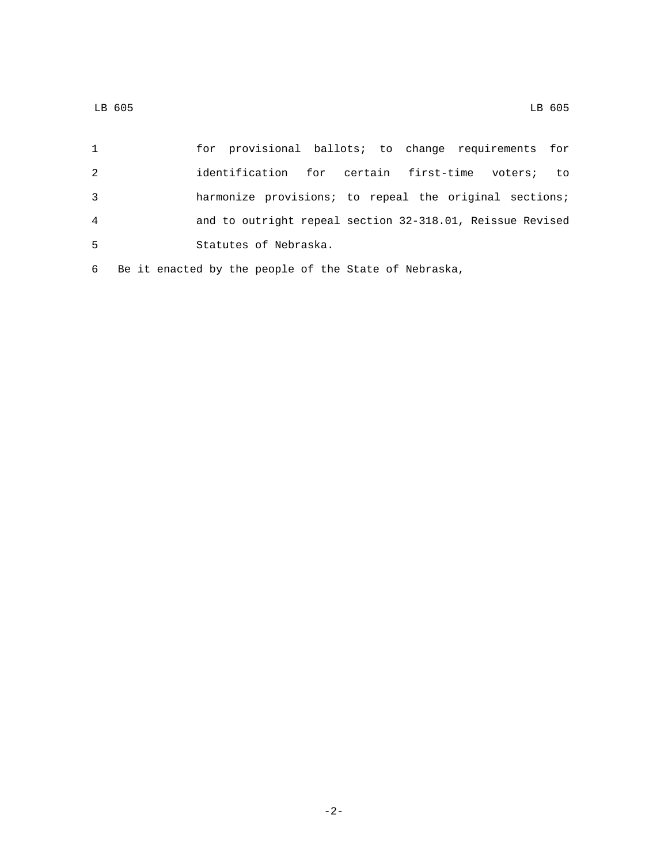| $\mathbf{1}$   | for provisional ballots; to change requirements for       |
|----------------|-----------------------------------------------------------|
| 2              | identification for certain first-time voters;<br>to to    |
| 3              | harmonize provisions; to repeal the original sections;    |
| $\overline{4}$ | and to outright repeal section 32-318.01, Reissue Revised |
| -5             | Statutes of Nebraska.                                     |
|                | 6 Be it enacted by the people of the State of Nebraska,   |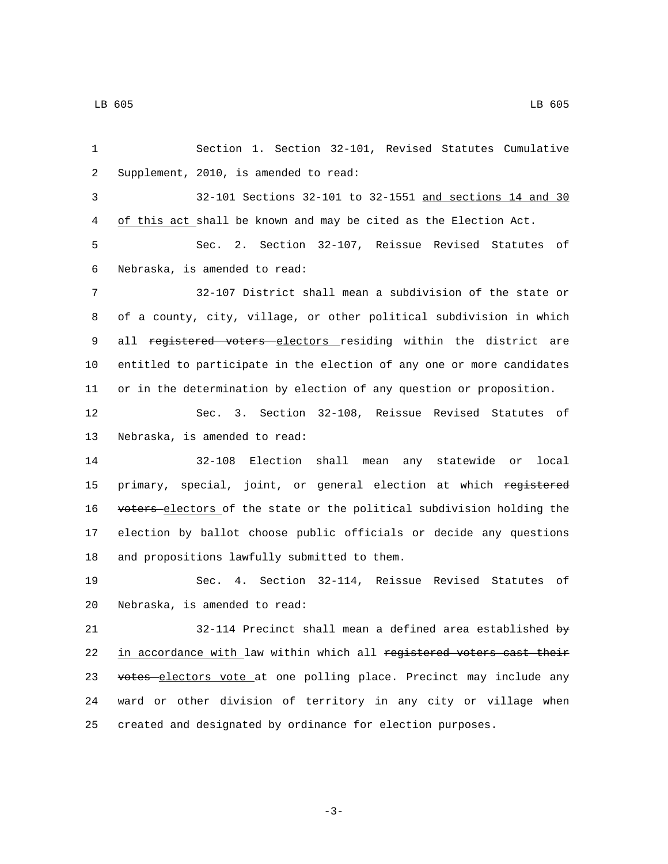1 Section 1. Section 32-101, Revised Statutes Cumulative 2 Supplement, 2010, is amended to read: 3 32-101 Sections 32-101 to 32-1551 and sections 14 and 30 4 of this act shall be known and may be cited as the Election Act. 5 Sec. 2. Section 32-107, Reissue Revised Statutes of 6 Nebraska, is amended to read: 7 32-107 District shall mean a subdivision of the state or 8 of a county, city, village, or other political subdivision in which 9 all registered voters electors residing within the district are 10 entitled to participate in the election of any one or more candidates 11 or in the determination by election of any question or proposition. 12 Sec. 3. Section 32-108, Reissue Revised Statutes of 13 Nebraska, is amended to read: 14 32-108 Election shall mean any statewide or local 15 primary, special, joint, or general election at which registered 16 voters electors of the state or the political subdivision holding the 17 election by ballot choose public officials or decide any questions 18 and propositions lawfully submitted to them. 19 Sec. 4. Section 32-114, Reissue Revised Statutes of 20 Nebraska, is amended to read: 21 32-114 Precinct shall mean a defined area established by 22 in accordance with law within which all registered voters cast their 23 votes electors vote at one polling place. Precinct may include any 24 ward or other division of territory in any city or village when 25 created and designated by ordinance for election purposes.

-3-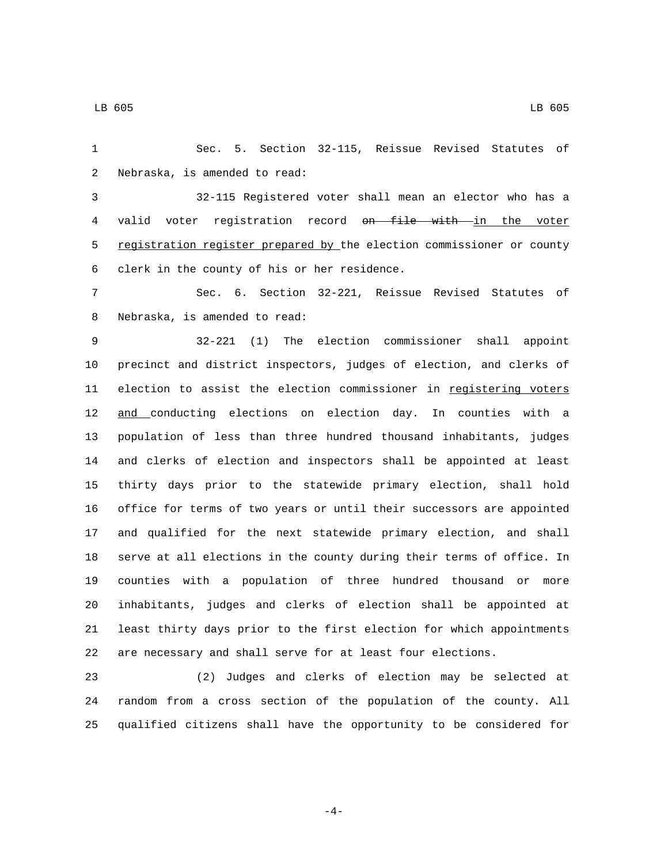Sec. 5. Section 32-115, Reissue Revised Statutes of 2 Nebraska, is amended to read:

 32-115 Registered voter shall mean an elector who has a 4 valid voter registration record on file with in the voter 5 registration register prepared by the election commissioner or county 6 clerk in the county of his or her residence.

 Sec. 6. Section 32-221, Reissue Revised Statutes of 8 Nebraska, is amended to read:

 32-221 (1) The election commissioner shall appoint precinct and district inspectors, judges of election, and clerks of 11 election to assist the election commissioner in registering voters 12 and conducting elections on election day. In counties with a population of less than three hundred thousand inhabitants, judges and clerks of election and inspectors shall be appointed at least thirty days prior to the statewide primary election, shall hold office for terms of two years or until their successors are appointed and qualified for the next statewide primary election, and shall serve at all elections in the county during their terms of office. In counties with a population of three hundred thousand or more inhabitants, judges and clerks of election shall be appointed at least thirty days prior to the first election for which appointments are necessary and shall serve for at least four elections.

 (2) Judges and clerks of election may be selected at random from a cross section of the population of the county. All qualified citizens shall have the opportunity to be considered for

LB 605 LB 605

-4-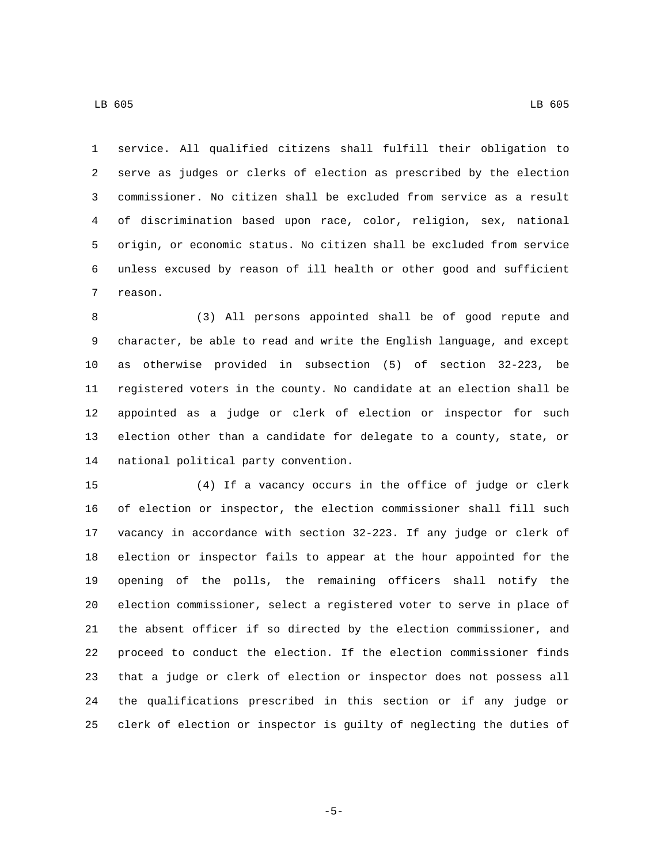service. All qualified citizens shall fulfill their obligation to serve as judges or clerks of election as prescribed by the election commissioner. No citizen shall be excluded from service as a result of discrimination based upon race, color, religion, sex, national origin, or economic status. No citizen shall be excluded from service unless excused by reason of ill health or other good and sufficient 7 reason.

 (3) All persons appointed shall be of good repute and character, be able to read and write the English language, and except as otherwise provided in subsection (5) of section 32-223, be registered voters in the county. No candidate at an election shall be appointed as a judge or clerk of election or inspector for such election other than a candidate for delegate to a county, state, or 14 national political party convention.

 (4) If a vacancy occurs in the office of judge or clerk of election or inspector, the election commissioner shall fill such vacancy in accordance with section 32-223. If any judge or clerk of election or inspector fails to appear at the hour appointed for the opening of the polls, the remaining officers shall notify the election commissioner, select a registered voter to serve in place of the absent officer if so directed by the election commissioner, and proceed to conduct the election. If the election commissioner finds that a judge or clerk of election or inspector does not possess all the qualifications prescribed in this section or if any judge or clerk of election or inspector is guilty of neglecting the duties of

-5-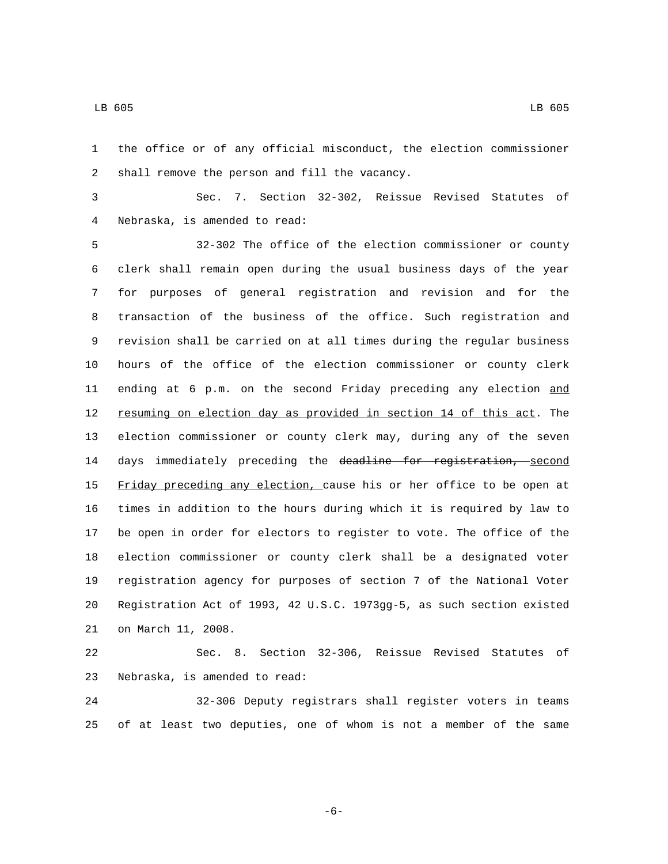the office or of any official misconduct, the election commissioner 2 shall remove the person and fill the vacancy.

 Sec. 7. Section 32-302, Reissue Revised Statutes of Nebraska, is amended to read:4

 32-302 The office of the election commissioner or county clerk shall remain open during the usual business days of the year for purposes of general registration and revision and for the transaction of the business of the office. Such registration and revision shall be carried on at all times during the regular business hours of the office of the election commissioner or county clerk 11 ending at 6 p.m. on the second Friday preceding any election and resuming on election day as provided in section 14 of this act. The election commissioner or county clerk may, during any of the seven 14 days immediately preceding the deadline for registration, second 15 Friday preceding any election, cause his or her office to be open at times in addition to the hours during which it is required by law to be open in order for electors to register to vote. The office of the election commissioner or county clerk shall be a designated voter registration agency for purposes of section 7 of the National Voter Registration Act of 1993, 42 U.S.C. 1973gg-5, as such section existed 21 on March 11, 2008.

 Sec. 8. Section 32-306, Reissue Revised Statutes of 23 Nebraska, is amended to read:

 32-306 Deputy registrars shall register voters in teams of at least two deputies, one of whom is not a member of the same

LB 605 LB 605

-6-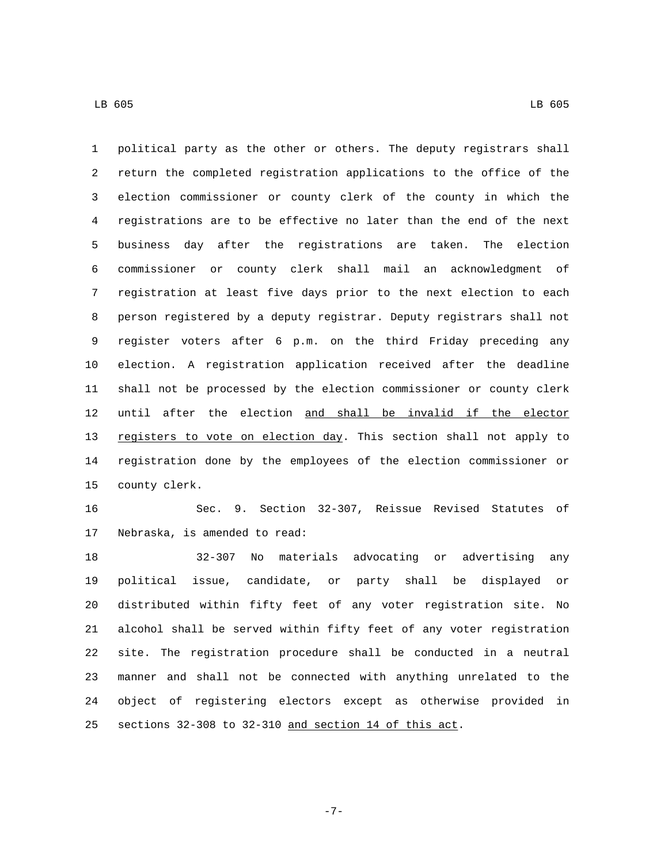political party as the other or others. The deputy registrars shall return the completed registration applications to the office of the election commissioner or county clerk of the county in which the registrations are to be effective no later than the end of the next business day after the registrations are taken. The election commissioner or county clerk shall mail an acknowledgment of registration at least five days prior to the next election to each person registered by a deputy registrar. Deputy registrars shall not register voters after 6 p.m. on the third Friday preceding any election. A registration application received after the deadline shall not be processed by the election commissioner or county clerk until after the election and shall be invalid if the elector 13 registers to vote on election day. This section shall not apply to registration done by the employees of the election commissioner or 15 county clerk.

 Sec. 9. Section 32-307, Reissue Revised Statutes of 17 Nebraska, is amended to read:

 32-307 No materials advocating or advertising any political issue, candidate, or party shall be displayed or distributed within fifty feet of any voter registration site. No alcohol shall be served within fifty feet of any voter registration site. The registration procedure shall be conducted in a neutral manner and shall not be connected with anything unrelated to the object of registering electors except as otherwise provided in sections 32-308 to 32-310 and section 14 of this act.

-7-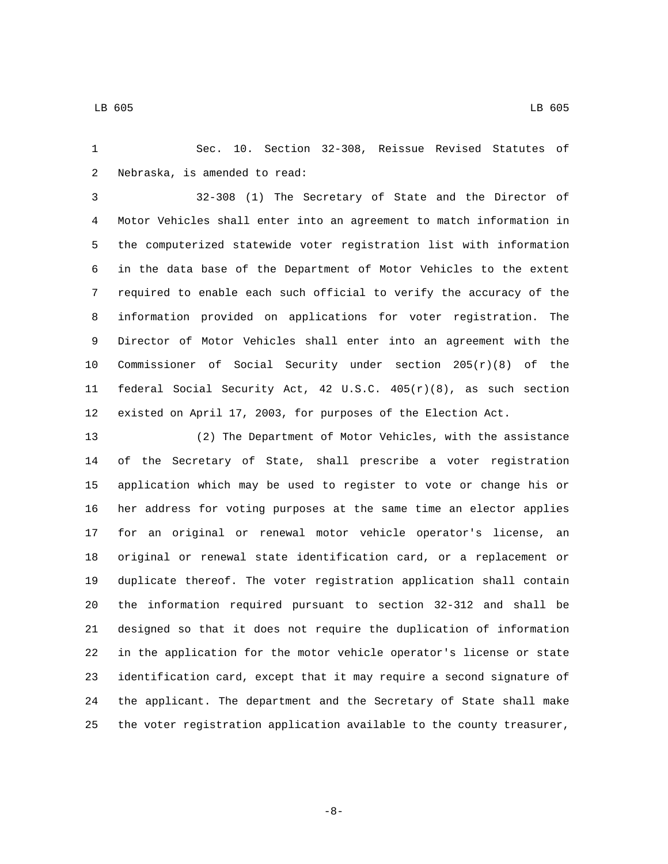Sec. 10. Section 32-308, Reissue Revised Statutes of 2 Nebraska, is amended to read:

 32-308 (1) The Secretary of State and the Director of Motor Vehicles shall enter into an agreement to match information in the computerized statewide voter registration list with information in the data base of the Department of Motor Vehicles to the extent required to enable each such official to verify the accuracy of the information provided on applications for voter registration. The Director of Motor Vehicles shall enter into an agreement with the 10 Commissioner of Social Security under section  $205(r)(8)$  of the federal Social Security Act, 42 U.S.C. 405(r)(8), as such section existed on April 17, 2003, for purposes of the Election Act.

 (2) The Department of Motor Vehicles, with the assistance of the Secretary of State, shall prescribe a voter registration application which may be used to register to vote or change his or her address for voting purposes at the same time an elector applies for an original or renewal motor vehicle operator's license, an original or renewal state identification card, or a replacement or duplicate thereof. The voter registration application shall contain the information required pursuant to section 32-312 and shall be designed so that it does not require the duplication of information in the application for the motor vehicle operator's license or state identification card, except that it may require a second signature of the applicant. The department and the Secretary of State shall make the voter registration application available to the county treasurer,

-8-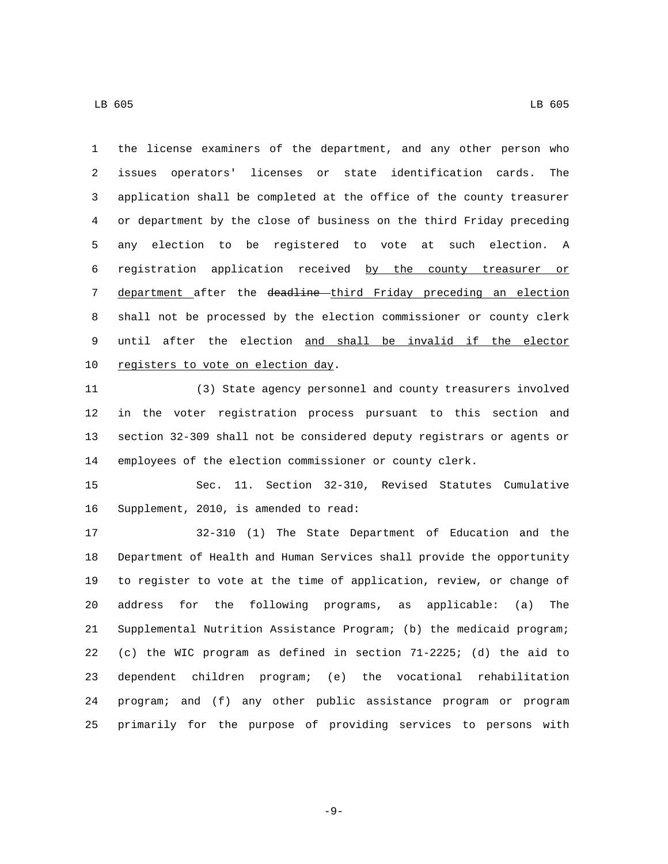the license examiners of the department, and any other person who issues operators' licenses or state identification cards. The application shall be completed at the office of the county treasurer or department by the close of business on the third Friday preceding any election to be registered to vote at such election. A registration application received by the county treasurer or 7 department after the deadline third Friday preceding an election shall not be processed by the election commissioner or county clerk until after the election and shall be invalid if the elector 10 registers to vote on election day.

 (3) State agency personnel and county treasurers involved in the voter registration process pursuant to this section and section 32-309 shall not be considered deputy registrars or agents or employees of the election commissioner or county clerk.

 Sec. 11. Section 32-310, Revised Statutes Cumulative 16 Supplement, 2010, is amended to read:

 32-310 (1) The State Department of Education and the Department of Health and Human Services shall provide the opportunity to register to vote at the time of application, review, or change of address for the following programs, as applicable: (a) The Supplemental Nutrition Assistance Program; (b) the medicaid program; (c) the WIC program as defined in section 71-2225; (d) the aid to dependent children program; (e) the vocational rehabilitation program; and (f) any other public assistance program or program primarily for the purpose of providing services to persons with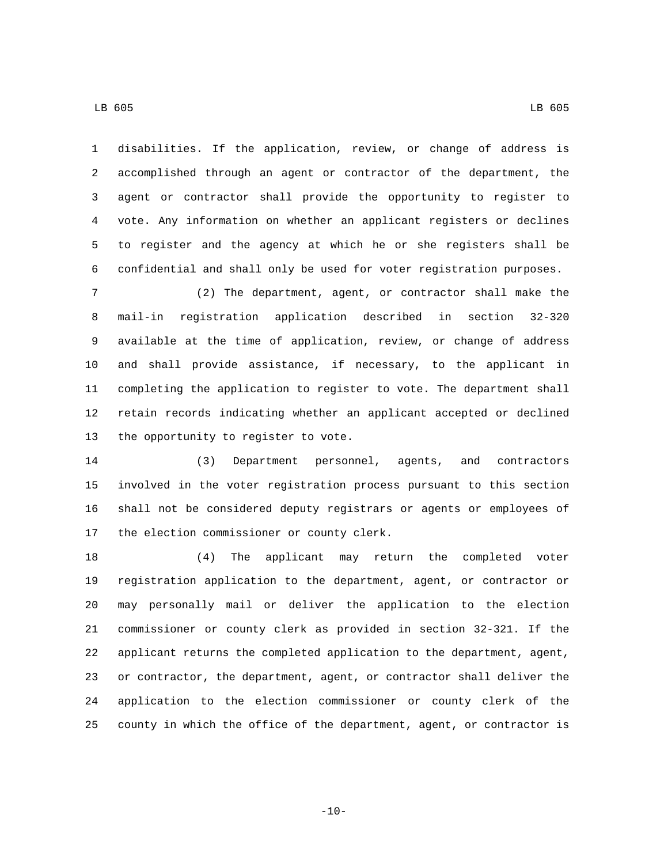disabilities. If the application, review, or change of address is accomplished through an agent or contractor of the department, the agent or contractor shall provide the opportunity to register to vote. Any information on whether an applicant registers or declines to register and the agency at which he or she registers shall be confidential and shall only be used for voter registration purposes.

 (2) The department, agent, or contractor shall make the mail-in registration application described in section 32-320 available at the time of application, review, or change of address and shall provide assistance, if necessary, to the applicant in completing the application to register to vote. The department shall retain records indicating whether an applicant accepted or declined 13 the opportunity to register to vote.

 (3) Department personnel, agents, and contractors involved in the voter registration process pursuant to this section shall not be considered deputy registrars or agents or employees of 17 the election commissioner or county clerk.

 (4) The applicant may return the completed voter registration application to the department, agent, or contractor or may personally mail or deliver the application to the election commissioner or county clerk as provided in section 32-321. If the applicant returns the completed application to the department, agent, or contractor, the department, agent, or contractor shall deliver the application to the election commissioner or county clerk of the county in which the office of the department, agent, or contractor is

 $-10-$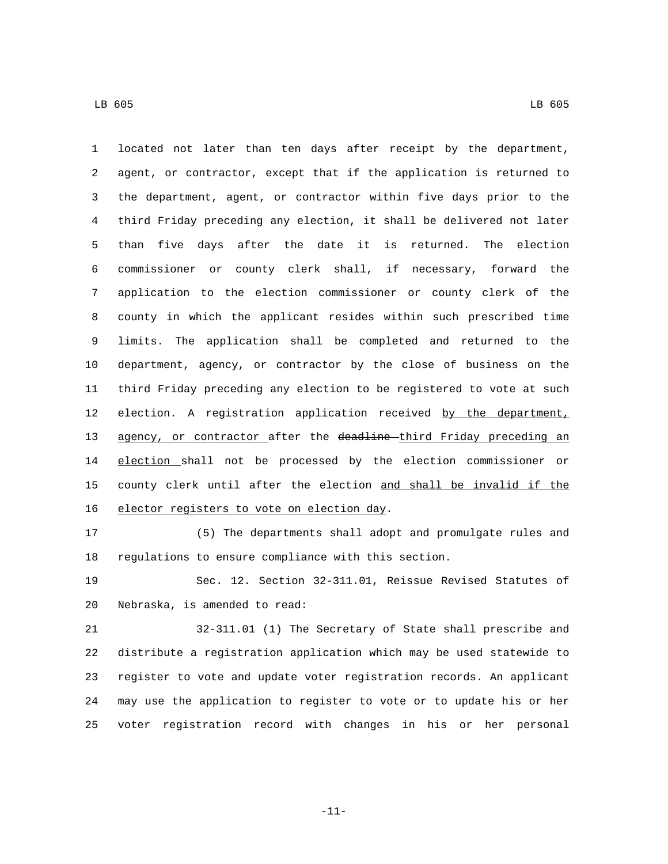located not later than ten days after receipt by the department, agent, or contractor, except that if the application is returned to the department, agent, or contractor within five days prior to the third Friday preceding any election, it shall be delivered not later than five days after the date it is returned. The election commissioner or county clerk shall, if necessary, forward the application to the election commissioner or county clerk of the county in which the applicant resides within such prescribed time limits. The application shall be completed and returned to the department, agency, or contractor by the close of business on the third Friday preceding any election to be registered to vote at such 12 election. A registration application received by the department, 13 agency, or contractor after the deadline third Friday preceding an election shall not be processed by the election commissioner or county clerk until after the election and shall be invalid if the 16 elector registers to vote on election day.

 (5) The departments shall adopt and promulgate rules and regulations to ensure compliance with this section.

 Sec. 12. Section 32-311.01, Reissue Revised Statutes of 20 Nebraska, is amended to read:

 32-311.01 (1) The Secretary of State shall prescribe and distribute a registration application which may be used statewide to register to vote and update voter registration records. An applicant may use the application to register to vote or to update his or her voter registration record with changes in his or her personal

-11-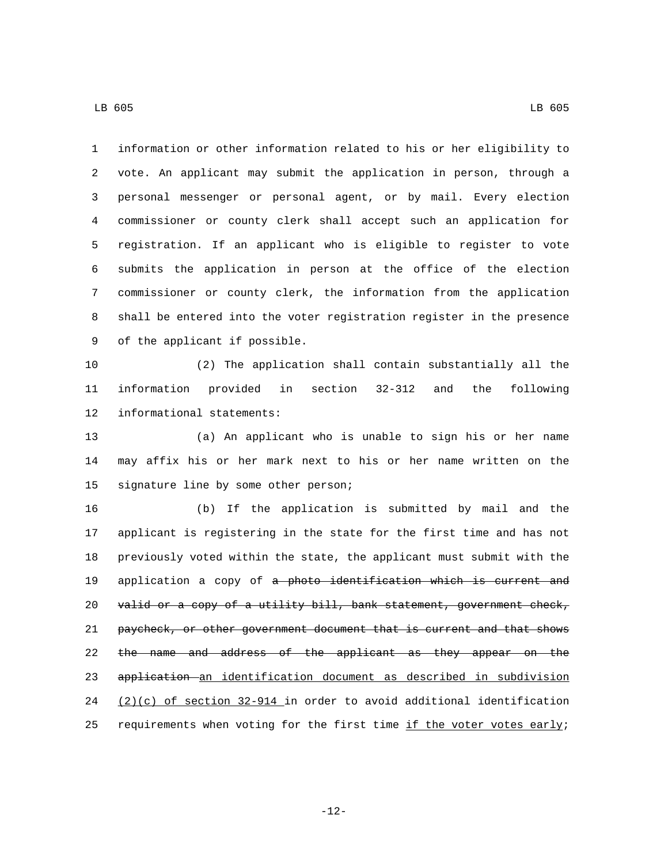information or other information related to his or her eligibility to vote. An applicant may submit the application in person, through a personal messenger or personal agent, or by mail. Every election commissioner or county clerk shall accept such an application for registration. If an applicant who is eligible to register to vote submits the application in person at the office of the election commissioner or county clerk, the information from the application shall be entered into the voter registration register in the presence 9 of the applicant if possible.

 (2) The application shall contain substantially all the information provided in section 32-312 and the following 12 informational statements:

 (a) An applicant who is unable to sign his or her name may affix his or her mark next to his or her name written on the 15 signature line by some other person;

 (b) If the application is submitted by mail and the applicant is registering in the state for the first time and has not previously voted within the state, the applicant must submit with the 19 application a copy of a photo identification which is current and 20 valid or a copy of a utility bill, bank statement, government check, paycheck, or other government document that is current and that shows 22 the name and address of the applicant as they appear on the application an identification document as described in subdivision 24  $(2)(c)$  of section 32-914 in order to avoid additional identification 25 requirements when voting for the first time if the voter votes early;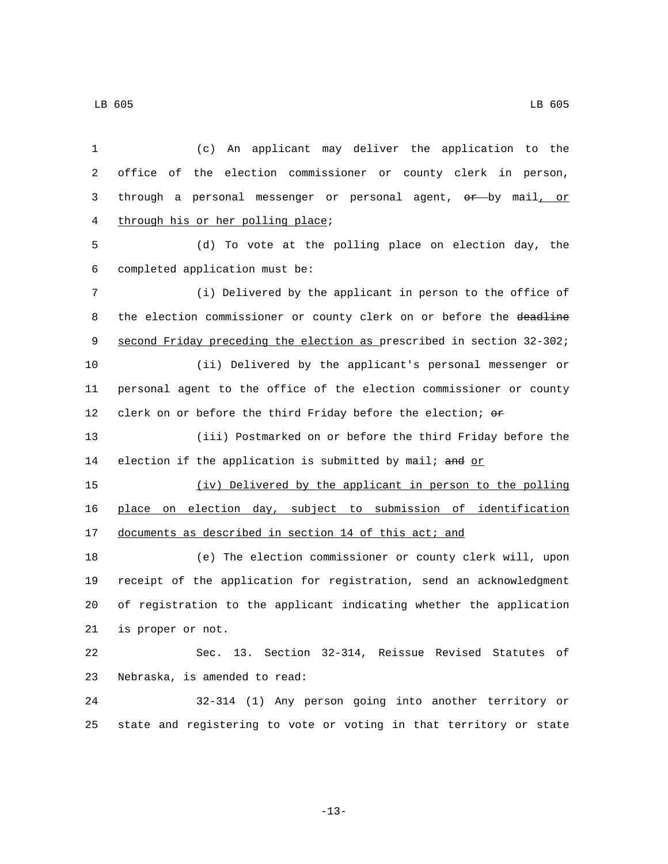(c) An applicant may deliver the application to the office of the election commissioner or county clerk in person, 3 through a personal messenger or personal agent, or by mail, or 4 through his or her polling place; (d) To vote at the polling place on election day, the completed application must be:6 (i) Delivered by the applicant in person to the office of 8 the election commissioner or county clerk on or before the deadline second Friday preceding the election as prescribed in section 32-302; (ii) Delivered by the applicant's personal messenger or personal agent to the office of the election commissioner or county 12 clerk on or before the third Friday before the election; or (iii) Postmarked on or before the third Friday before the 14 election if the application is submitted by mail; and  $or$ </u> (iv) Delivered by the applicant in person to the polling place on election day, subject to submission of identification 17 documents as described in section 14 of this act; and (e) The election commissioner or county clerk will, upon receipt of the application for registration, send an acknowledgment of registration to the applicant indicating whether the application 21 is proper or not. Sec. 13. Section 32-314, Reissue Revised Statutes of 23 Nebraska, is amended to read: 32-314 (1) Any person going into another territory or state and registering to vote or voting in that territory or state

LB 605 LB 605

-13-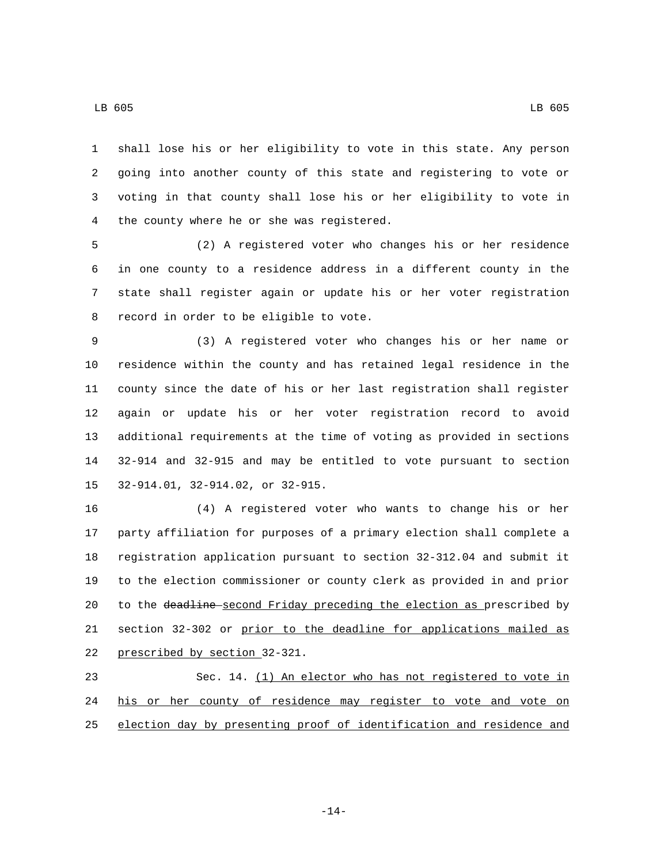shall lose his or her eligibility to vote in this state. Any person going into another county of this state and registering to vote or voting in that county shall lose his or her eligibility to vote in 4 the county where he or she was registered.

 (2) A registered voter who changes his or her residence in one county to a residence address in a different county in the state shall register again or update his or her voter registration 8 record in order to be eligible to vote.

 (3) A registered voter who changes his or her name or residence within the county and has retained legal residence in the county since the date of his or her last registration shall register again or update his or her voter registration record to avoid additional requirements at the time of voting as provided in sections 32-914 and 32-915 and may be entitled to vote pursuant to section 15 32-914.01, 32-914.02, or 32-915.

 (4) A registered voter who wants to change his or her party affiliation for purposes of a primary election shall complete a registration application pursuant to section 32-312.04 and submit it to the election commissioner or county clerk as provided in and prior 20 to the deadline second Friday preceding the election as prescribed by section 32-302 or prior to the deadline for applications mailed as 22 prescribed by section 32-321.

 Sec. 14. (1) An elector who has not registered to vote in his or her county of residence may register to vote and vote on election day by presenting proof of identification and residence and

-14-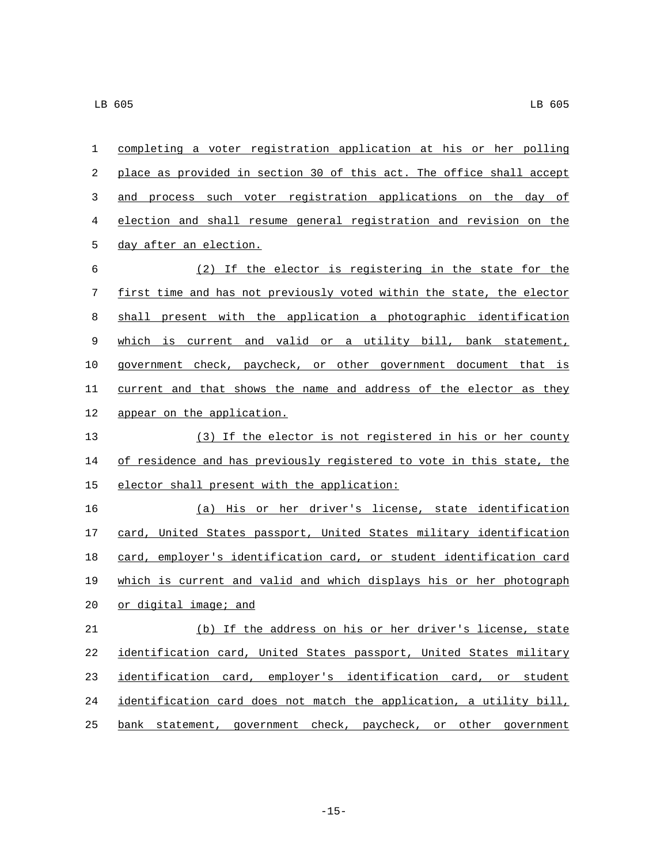| 1      | completing a voter registration application at his or her polling     |
|--------|-----------------------------------------------------------------------|
| 2      | place as provided in section 30 of this act. The office shall accept  |
| 3      | and process such voter registration applications on the day of        |
| 4      | election and shall resume general registration and revision on the    |
| 5      | day after an election.                                                |
| 6      | (2) If the elector is registering in the state for the                |
| 7      | first time and has not previously voted within the state, the elector |
| 8      | shall present with the application a photographic identification      |
| 9      | which is current and valid or a utility bill, bank statement,         |
| 10     | government check, paycheck, or other government document that is      |
| 11     | current and that shows the name and address of the elector as they    |
| 12     | appear on the application.                                            |
| 13     | (3) If the elector is not registered in his or her county             |
| 14     | of residence and has previously registered to vote in this state, the |
| 15     | elector shall present with the application:                           |
| 16     | (a) His or her driver's license, state identification                 |
| 17     | card, United States passport, United States military identification   |
| 18     | card, employer's identification card, or student identification card  |
| 19     | which is current and valid and which displays his or her photograph   |
| 20     | or digital image; and                                                 |
| $21\,$ | (b) If the address on his or her driver's license, state              |
| 22     | identification card, United States passport, United States military   |
| 23     | identification card, employer's identification card, or student       |
| 24     | identification card does not match the application, a utility bill,   |
| 25     | bank statement, government check, paycheck, or other government       |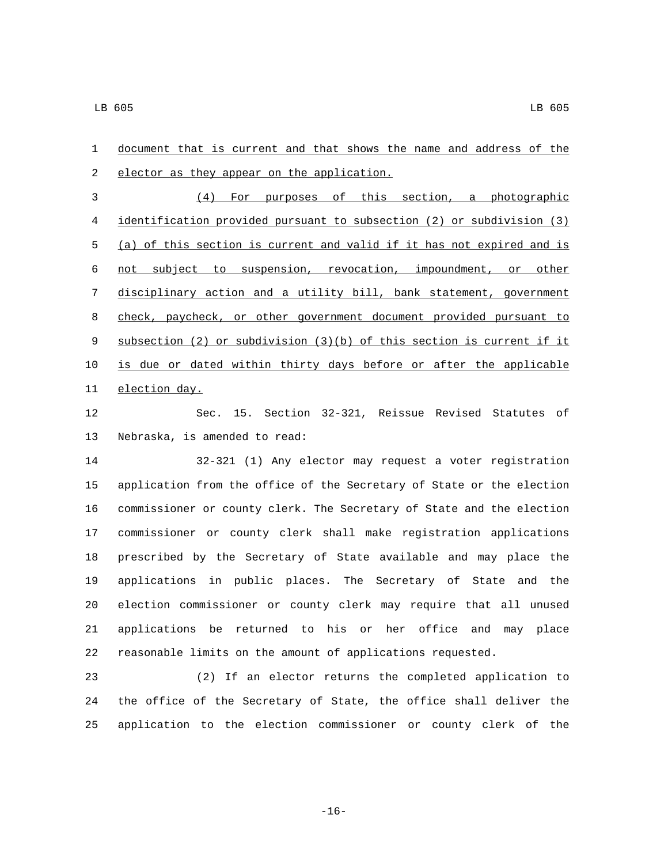document that is current and that shows the name and address of the 2 elector as they appear on the application. (4) For purposes of this section, a photographic identification provided pursuant to subsection (2) or subdivision (3) (a) of this section is current and valid if it has not expired and is not subject to suspension, revocation, impoundment, or other disciplinary action and a utility bill, bank statement, government check, paycheck, or other government document provided pursuant to subsection (2) or subdivision (3)(b) of this section is current if it is due or dated within thirty days before or after the applicable 11 election day.

 Sec. 15. Section 32-321, Reissue Revised Statutes of 13 Nebraska, is amended to read:

 32-321 (1) Any elector may request a voter registration application from the office of the Secretary of State or the election commissioner or county clerk. The Secretary of State and the election commissioner or county clerk shall make registration applications prescribed by the Secretary of State available and may place the applications in public places. The Secretary of State and the election commissioner or county clerk may require that all unused applications be returned to his or her office and may place reasonable limits on the amount of applications requested.

 (2) If an elector returns the completed application to the office of the Secretary of State, the office shall deliver the application to the election commissioner or county clerk of the

-16-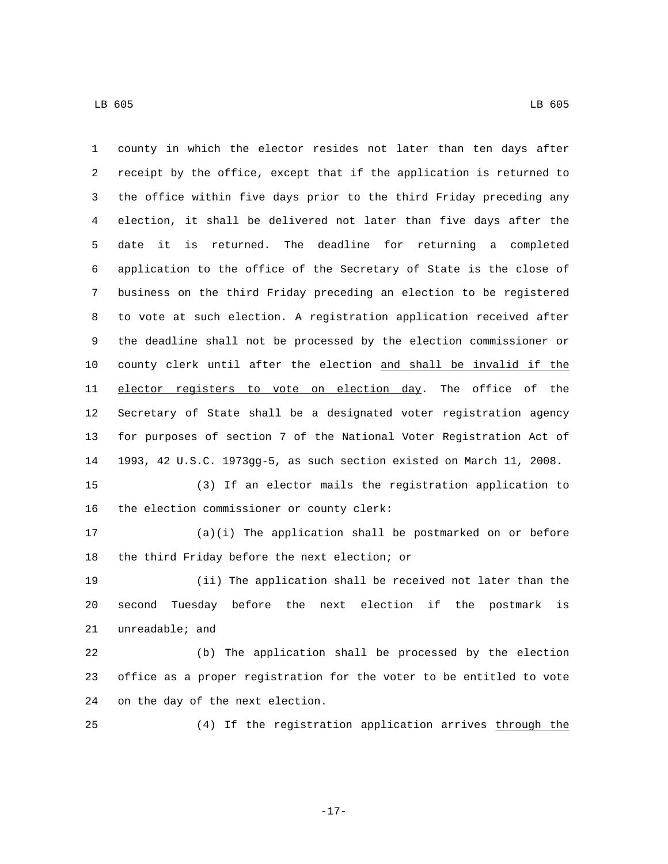county in which the elector resides not later than ten days after receipt by the office, except that if the application is returned to the office within five days prior to the third Friday preceding any election, it shall be delivered not later than five days after the date it is returned. The deadline for returning a completed application to the office of the Secretary of State is the close of business on the third Friday preceding an election to be registered to vote at such election. A registration application received after the deadline shall not be processed by the election commissioner or county clerk until after the election and shall be invalid if the 11 elector registers to vote on election day. The office of the Secretary of State shall be a designated voter registration agency for purposes of section 7 of the National Voter Registration Act of 1993, 42 U.S.C. 1973gg-5, as such section existed on March 11, 2008. (3) If an elector mails the registration application to

16 the election commissioner or county clerk:

 (a)(i) The application shall be postmarked on or before 18 the third Friday before the next election; or

 (ii) The application shall be received not later than the second Tuesday before the next election if the postmark is  $unreadable;$  and

 (b) The application shall be processed by the election office as a proper registration for the voter to be entitled to vote 24 on the day of the next election.

(4) If the registration application arrives through the

-17-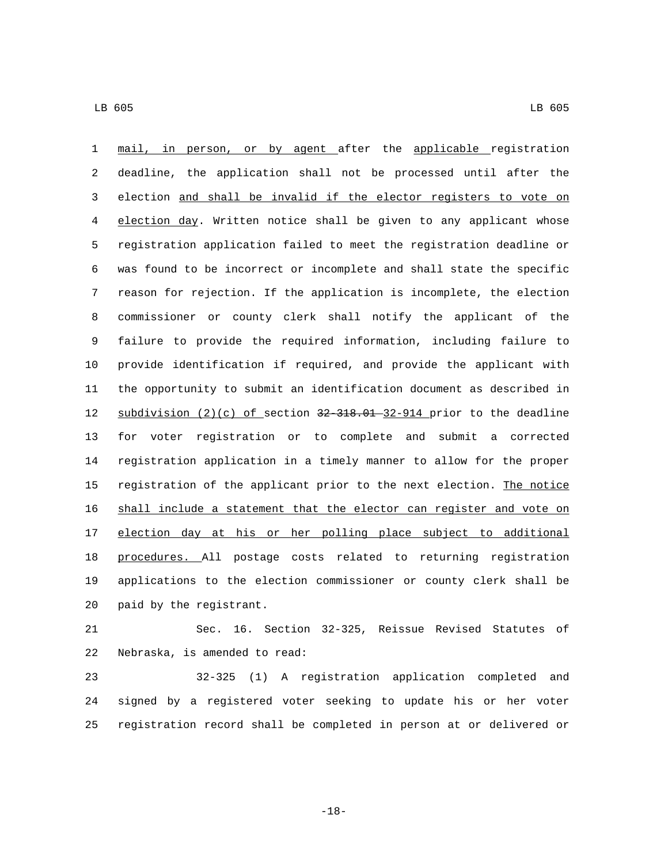mail, in person, or by agent after the applicable registration deadline, the application shall not be processed until after the election and shall be invalid if the elector registers to vote on election day. Written notice shall be given to any applicant whose registration application failed to meet the registration deadline or was found to be incorrect or incomplete and shall state the specific reason for rejection. If the application is incomplete, the election commissioner or county clerk shall notify the applicant of the failure to provide the required information, including failure to provide identification if required, and provide the applicant with the opportunity to submit an identification document as described in 12 subdivision  $(2)(c)$  of section  $32-318.01-32-914$  prior to the deadline for voter registration or to complete and submit a corrected registration application in a timely manner to allow for the proper 15 registration of the applicant prior to the next election. The notice shall include a statement that the elector can register and vote on election day at his or her polling place subject to additional procedures. All postage costs related to returning registration applications to the election commissioner or county clerk shall be 20 paid by the registrant.

 Sec. 16. Section 32-325, Reissue Revised Statutes of 22 Nebraska, is amended to read:

 32-325 (1) A registration application completed and signed by a registered voter seeking to update his or her voter registration record shall be completed in person at or delivered or

-18-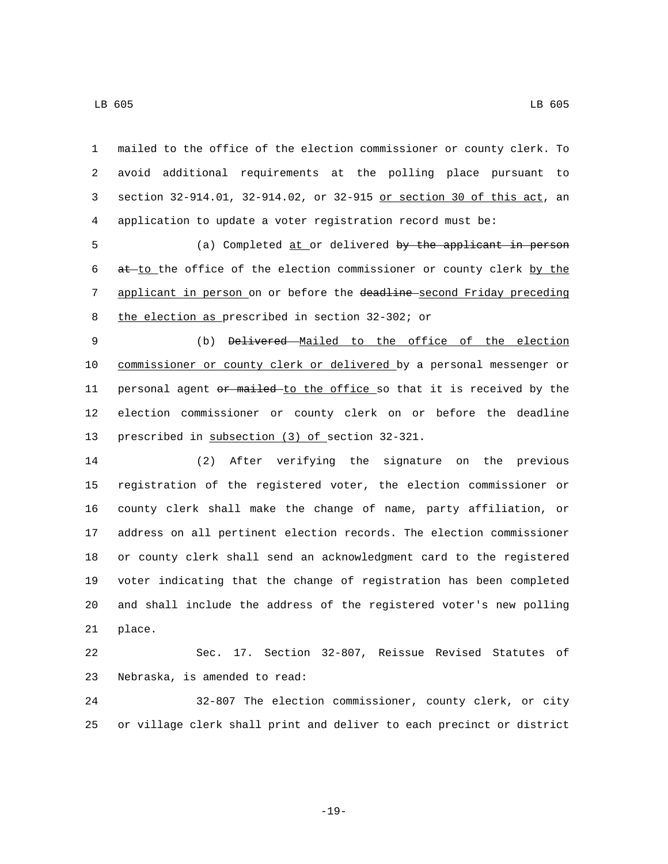mailed to the office of the election commissioner or county clerk. To avoid additional requirements at the polling place pursuant to section 32-914.01, 32-914.02, or 32-915 or section 30 of this act, an application to update a voter registration record must be:

 (a) Completed at or delivered by the applicant in person at to the office of the election commissioner or county clerk by the 7 applicant in person on or before the deadline-second Friday preceding 8 the election as prescribed in section 32-302; or

 (b) Delivered Mailed to the office of the election commissioner or county clerk or delivered by a personal messenger or 11 personal agent or mailed-to the office so that it is received by the election commissioner or county clerk on or before the deadline 13 prescribed in subsection (3) of section 32-321.

 (2) After verifying the signature on the previous registration of the registered voter, the election commissioner or county clerk shall make the change of name, party affiliation, or address on all pertinent election records. The election commissioner or county clerk shall send an acknowledgment card to the registered voter indicating that the change of registration has been completed and shall include the address of the registered voter's new polling 21 place.

 Sec. 17. Section 32-807, Reissue Revised Statutes of 23 Nebraska, is amended to read:

 32-807 The election commissioner, county clerk, or city or village clerk shall print and deliver to each precinct or district

-19-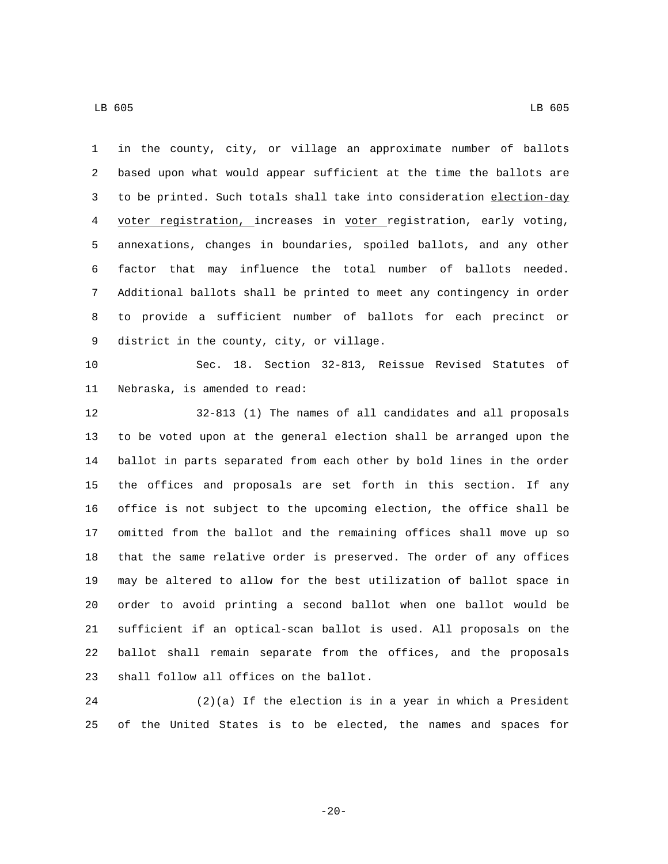in the county, city, or village an approximate number of ballots based upon what would appear sufficient at the time the ballots are 3 to be printed. Such totals shall take into consideration election-day voter registration, increases in voter registration, early voting, annexations, changes in boundaries, spoiled ballots, and any other factor that may influence the total number of ballots needed. Additional ballots shall be printed to meet any contingency in order to provide a sufficient number of ballots for each precinct or 9 district in the county, city, or village. Sec. 18. Section 32-813, Reissue Revised Statutes of

11 Nebraska, is amended to read:

 32-813 (1) The names of all candidates and all proposals to be voted upon at the general election shall be arranged upon the ballot in parts separated from each other by bold lines in the order the offices and proposals are set forth in this section. If any office is not subject to the upcoming election, the office shall be omitted from the ballot and the remaining offices shall move up so that the same relative order is preserved. The order of any offices may be altered to allow for the best utilization of ballot space in order to avoid printing a second ballot when one ballot would be sufficient if an optical-scan ballot is used. All proposals on the ballot shall remain separate from the offices, and the proposals 23 shall follow all offices on the ballot.

 (2)(a) If the election is in a year in which a President of the United States is to be elected, the names and spaces for

 $-20-$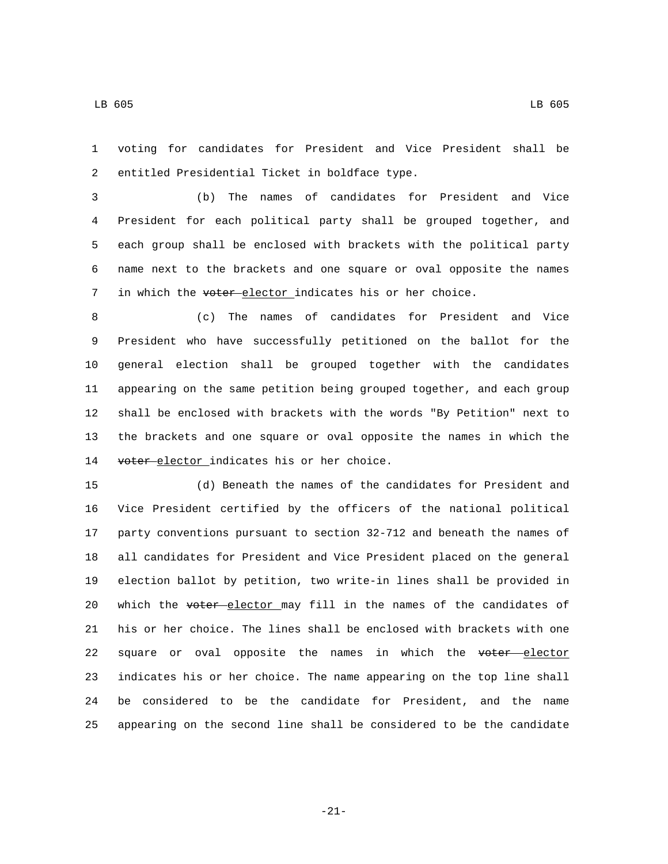voting for candidates for President and Vice President shall be 2 entitled Presidential Ticket in boldface type.

 (b) The names of candidates for President and Vice President for each political party shall be grouped together, and each group shall be enclosed with brackets with the political party name next to the brackets and one square or oval opposite the names 7 in which the voter elector indicates his or her choice.

 (c) The names of candidates for President and Vice President who have successfully petitioned on the ballot for the general election shall be grouped together with the candidates appearing on the same petition being grouped together, and each group shall be enclosed with brackets with the words "By Petition" next to the brackets and one square or oval opposite the names in which the 14 voter-elector indicates his or her choice.

 (d) Beneath the names of the candidates for President and Vice President certified by the officers of the national political party conventions pursuant to section 32-712 and beneath the names of all candidates for President and Vice President placed on the general election ballot by petition, two write-in lines shall be provided in 20 which the voter elector may fill in the names of the candidates of his or her choice. The lines shall be enclosed with brackets with one 22 square or oval opposite the names in which the voter elector indicates his or her choice. The name appearing on the top line shall be considered to be the candidate for President, and the name appearing on the second line shall be considered to be the candidate

-21-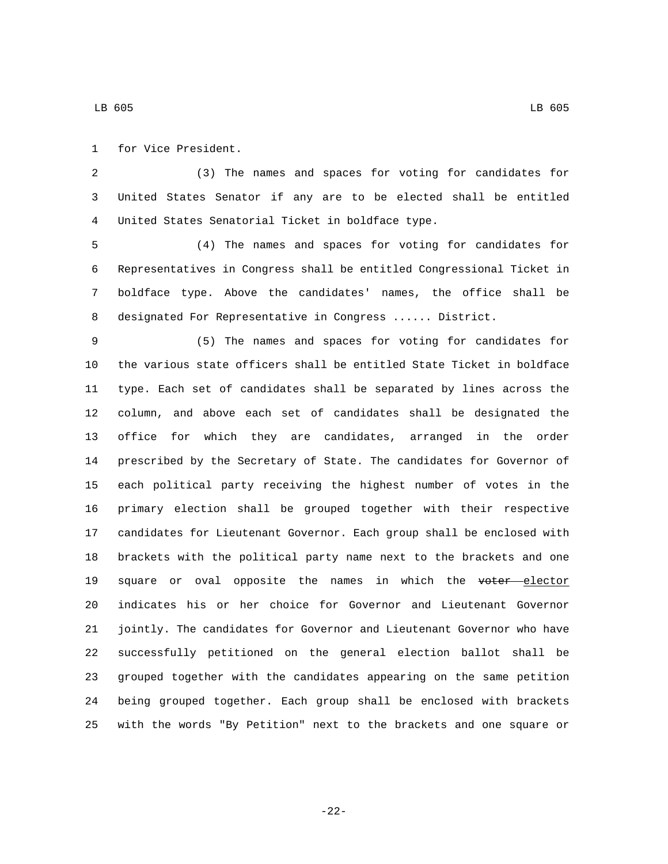1 for Vice President.

 (3) The names and spaces for voting for candidates for United States Senator if any are to be elected shall be entitled United States Senatorial Ticket in boldface type.4

 (4) The names and spaces for voting for candidates for Representatives in Congress shall be entitled Congressional Ticket in boldface type. Above the candidates' names, the office shall be designated For Representative in Congress ...... District.

 (5) The names and spaces for voting for candidates for the various state officers shall be entitled State Ticket in boldface type. Each set of candidates shall be separated by lines across the column, and above each set of candidates shall be designated the office for which they are candidates, arranged in the order prescribed by the Secretary of State. The candidates for Governor of each political party receiving the highest number of votes in the primary election shall be grouped together with their respective candidates for Lieutenant Governor. Each group shall be enclosed with brackets with the political party name next to the brackets and one 19 square or oval opposite the names in which the voter elector indicates his or her choice for Governor and Lieutenant Governor jointly. The candidates for Governor and Lieutenant Governor who have successfully petitioned on the general election ballot shall be grouped together with the candidates appearing on the same petition being grouped together. Each group shall be enclosed with brackets with the words "By Petition" next to the brackets and one square or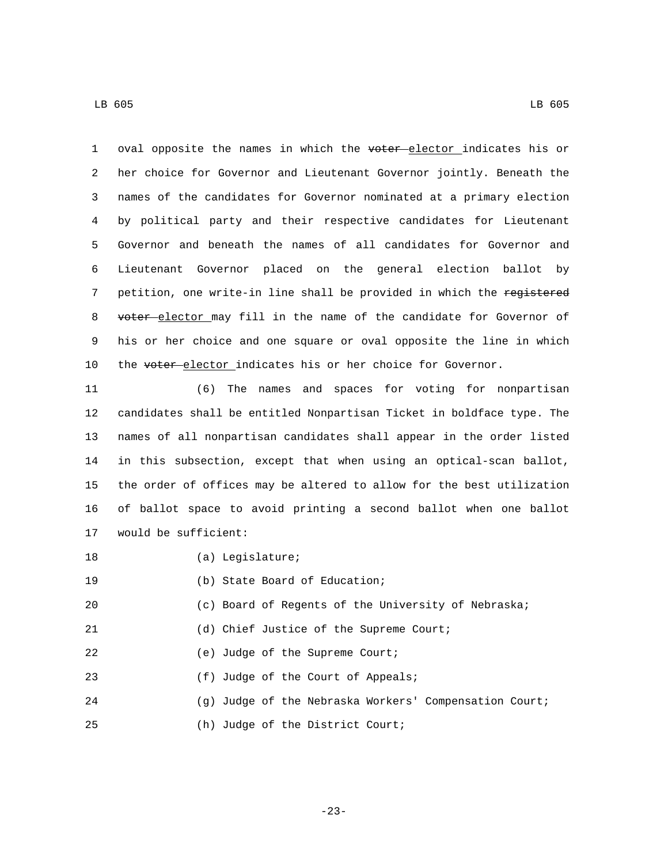1 oval opposite the names in which the voter elector indicates his or 2 her choice for Governor and Lieutenant Governor jointly. Beneath the 3 names of the candidates for Governor nominated at a primary election 4 by political party and their respective candidates for Lieutenant 5 Governor and beneath the names of all candidates for Governor and 6 Lieutenant Governor placed on the general election ballot by 7 petition, one write-in line shall be provided in which the registered 8 voter-elector may fill in the name of the candidate for Governor of 9 his or her choice and one square or oval opposite the line in which 10 the voter-elector indicates his or her choice for Governor.

 (6) The names and spaces for voting for nonpartisan candidates shall be entitled Nonpartisan Ticket in boldface type. The names of all nonpartisan candidates shall appear in the order listed in this subsection, except that when using an optical-scan ballot, the order of offices may be altered to allow for the best utilization of ballot space to avoid printing a second ballot when one ballot 17 would be sufficient:

18 (a) Legislature;

19 (b) State Board of Education;

20 (c) Board of Regents of the University of Nebraska;

21 (d) Chief Justice of the Supreme Court;

22 (e) Judge of the Supreme Court;

23 (f) Judge of the Court of Appeals;

24 (g) Judge of the Nebraska Workers' Compensation Court;

25 (h) Judge of the District Court;

-23-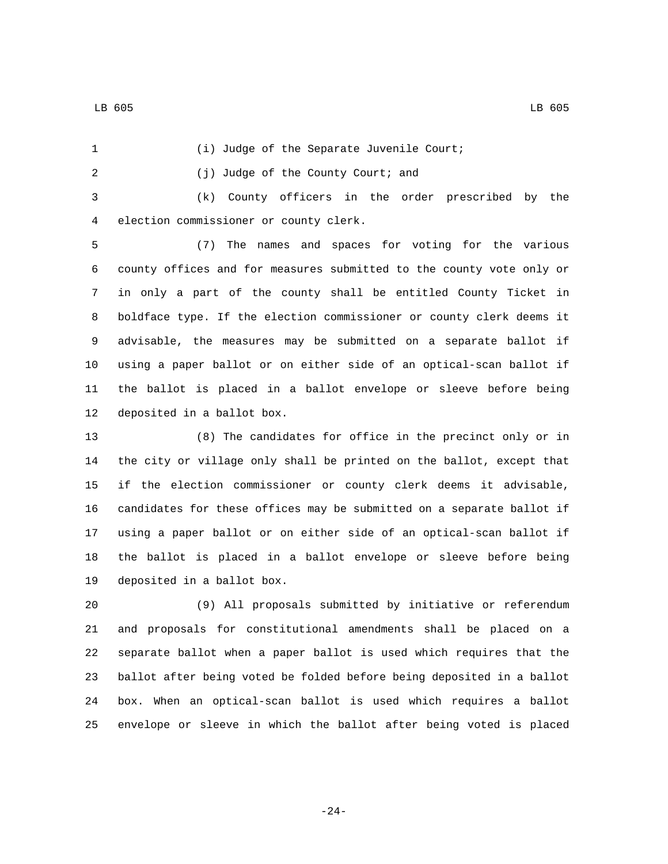1 (i) Judge of the Separate Juvenile Court; (j) Judge of the County Court; and2 (k) County officers in the order prescribed by the 4 election commissioner or county clerk. (7) The names and spaces for voting for the various county offices and for measures submitted to the county vote only or in only a part of the county shall be entitled County Ticket in boldface type. If the election commissioner or county clerk deems it advisable, the measures may be submitted on a separate ballot if using a paper ballot or on either side of an optical-scan ballot if the ballot is placed in a ballot envelope or sleeve before being 12 deposited in a ballot box.

 (8) The candidates for office in the precinct only or in the city or village only shall be printed on the ballot, except that if the election commissioner or county clerk deems it advisable, candidates for these offices may be submitted on a separate ballot if using a paper ballot or on either side of an optical-scan ballot if the ballot is placed in a ballot envelope or sleeve before being 19 deposited in a ballot box.

 (9) All proposals submitted by initiative or referendum and proposals for constitutional amendments shall be placed on a separate ballot when a paper ballot is used which requires that the ballot after being voted be folded before being deposited in a ballot box. When an optical-scan ballot is used which requires a ballot envelope or sleeve in which the ballot after being voted is placed

-24-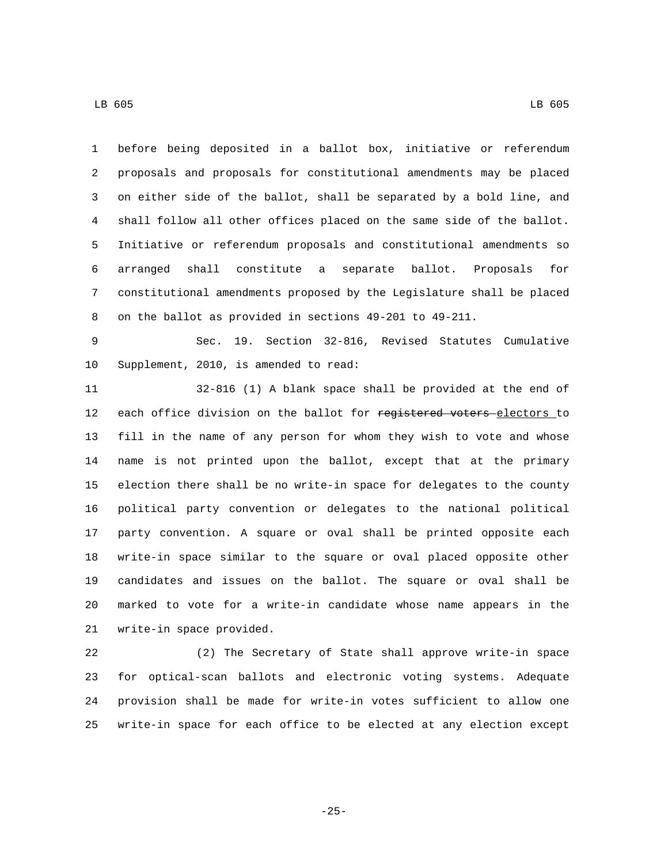before being deposited in a ballot box, initiative or referendum proposals and proposals for constitutional amendments may be placed on either side of the ballot, shall be separated by a bold line, and shall follow all other offices placed on the same side of the ballot. Initiative or referendum proposals and constitutional amendments so arranged shall constitute a separate ballot. Proposals for constitutional amendments proposed by the Legislature shall be placed on the ballot as provided in sections 49-201 to 49-211.

 Sec. 19. Section 32-816, Revised Statutes Cumulative 10 Supplement, 2010, is amended to read:

 32-816 (1) A blank space shall be provided at the end of 12 each office division on the ballot for registered voters-electors to fill in the name of any person for whom they wish to vote and whose name is not printed upon the ballot, except that at the primary election there shall be no write-in space for delegates to the county political party convention or delegates to the national political party convention. A square or oval shall be printed opposite each write-in space similar to the square or oval placed opposite other candidates and issues on the ballot. The square or oval shall be marked to vote for a write-in candidate whose name appears in the 21 write-in space provided.

 (2) The Secretary of State shall approve write-in space for optical-scan ballots and electronic voting systems. Adequate provision shall be made for write-in votes sufficient to allow one write-in space for each office to be elected at any election except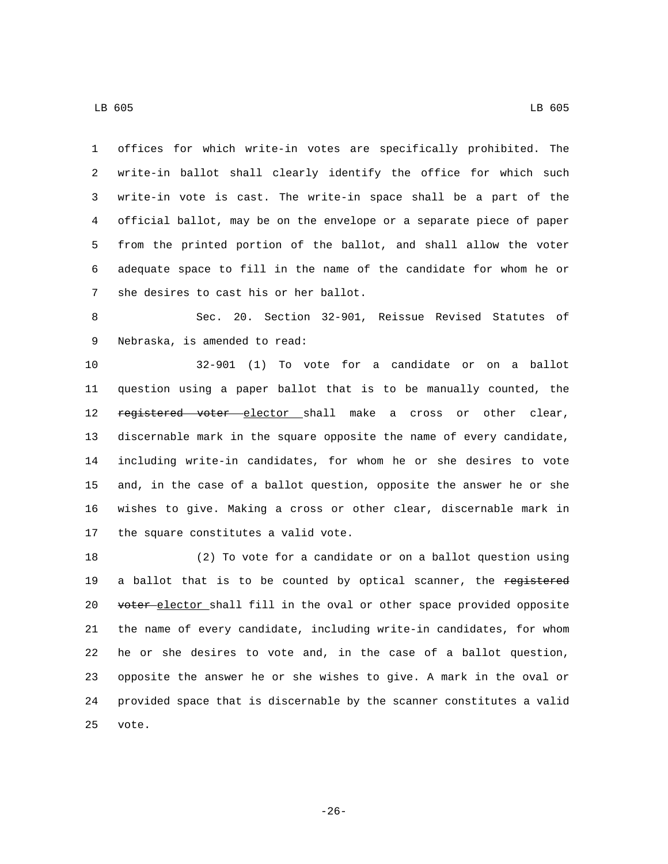offices for which write-in votes are specifically prohibited. The write-in ballot shall clearly identify the office for which such write-in vote is cast. The write-in space shall be a part of the official ballot, may be on the envelope or a separate piece of paper from the printed portion of the ballot, and shall allow the voter adequate space to fill in the name of the candidate for whom he or 7 she desires to cast his or her ballot.

 Sec. 20. Section 32-901, Reissue Revised Statutes of 9 Nebraska, is amended to read:

 32-901 (1) To vote for a candidate or on a ballot question using a paper ballot that is to be manually counted, the 12 registered voter elector shall make a cross or other clear, discernable mark in the square opposite the name of every candidate, including write-in candidates, for whom he or she desires to vote and, in the case of a ballot question, opposite the answer he or she wishes to give. Making a cross or other clear, discernable mark in 17 the square constitutes a valid vote.

 (2) To vote for a candidate or on a ballot question using 19 a ballot that is to be counted by optical scanner, the registered 20 voter elector shall fill in the oval or other space provided opposite the name of every candidate, including write-in candidates, for whom he or she desires to vote and, in the case of a ballot question, opposite the answer he or she wishes to give. A mark in the oval or provided space that is discernable by the scanner constitutes a valid 25 vote.

-26-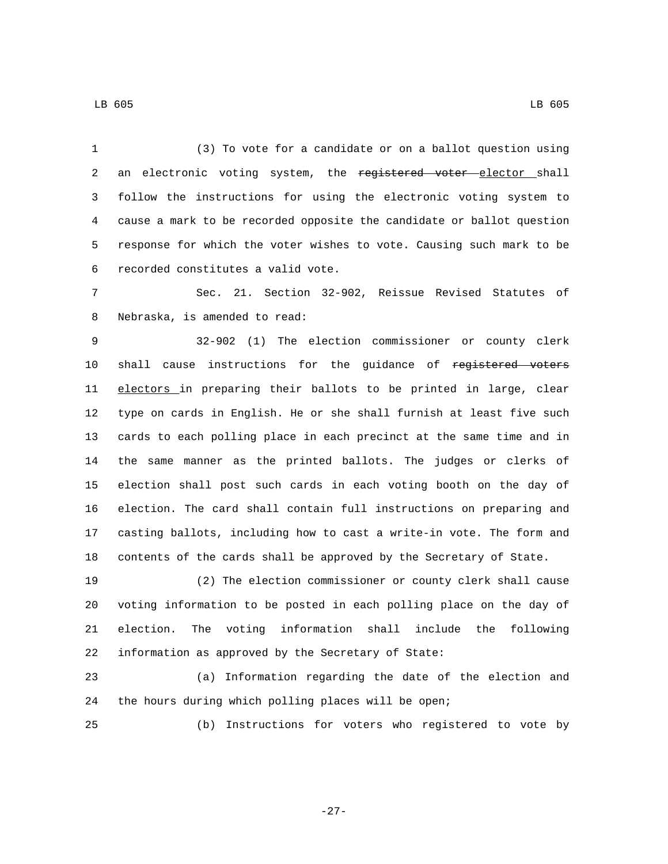(3) To vote for a candidate or on a ballot question using 2 an electronic voting system, the registered voter elector shall follow the instructions for using the electronic voting system to cause a mark to be recorded opposite the candidate or ballot question response for which the voter wishes to vote. Causing such mark to be recorded constitutes a valid vote.6

 Sec. 21. Section 32-902, Reissue Revised Statutes of 8 Nebraska, is amended to read:

 32-902 (1) The election commissioner or county clerk 10 shall cause instructions for the guidance of registered voters 11 electors in preparing their ballots to be printed in large, clear type on cards in English. He or she shall furnish at least five such cards to each polling place in each precinct at the same time and in the same manner as the printed ballots. The judges or clerks of election shall post such cards in each voting booth on the day of election. The card shall contain full instructions on preparing and casting ballots, including how to cast a write-in vote. The form and contents of the cards shall be approved by the Secretary of State.

 (2) The election commissioner or county clerk shall cause voting information to be posted in each polling place on the day of election. The voting information shall include the following information as approved by the Secretary of State:

 (a) Information regarding the date of the election and the hours during which polling places will be open;

(b) Instructions for voters who registered to vote by

-27-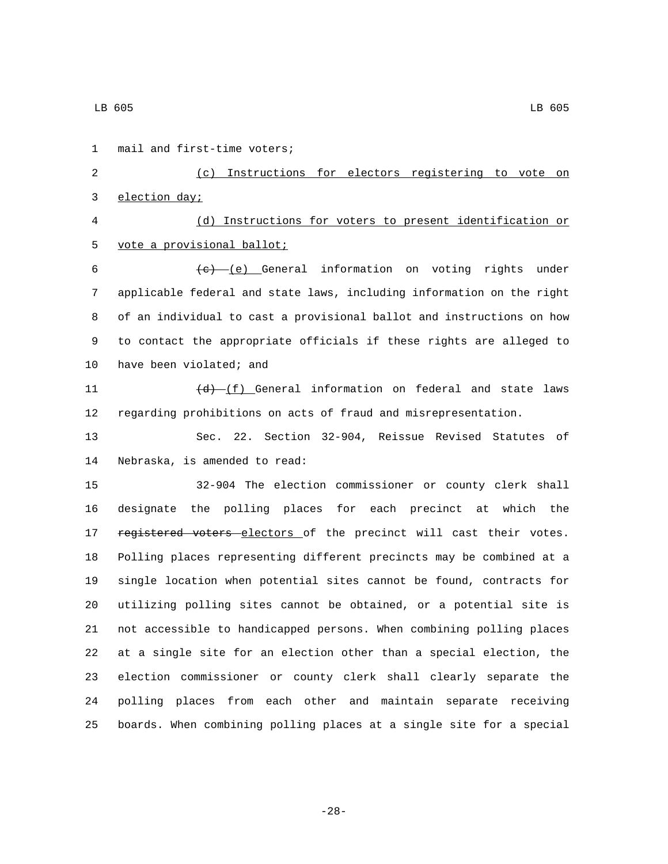1 mail and first-time voters; (c) Instructions for electors registering to vote on 3 election day; (d) Instructions for voters to present identification or 5 vote a provisional ballot;  $(e)$  (e) General information on voting rights under applicable federal and state laws, including information on the right of an individual to cast a provisional ballot and instructions on how to contact the appropriate officials if these rights are alleged to 10 have been violated; and  $(d)$   $(f)$  General information on federal and state laws regarding prohibitions on acts of fraud and misrepresentation. Sec. 22. Section 32-904, Reissue Revised Statutes of 14 Nebraska, is amended to read: 32-904 The election commissioner or county clerk shall designate the polling places for each precinct at which the 17 registered voters electors of the precinct will cast their votes. Polling places representing different precincts may be combined at a single location when potential sites cannot be found, contracts for utilizing polling sites cannot be obtained, or a potential site is not accessible to handicapped persons. When combining polling places at a single site for an election other than a special election, the election commissioner or county clerk shall clearly separate the polling places from each other and maintain separate receiving boards. When combining polling places at a single site for a special

-28-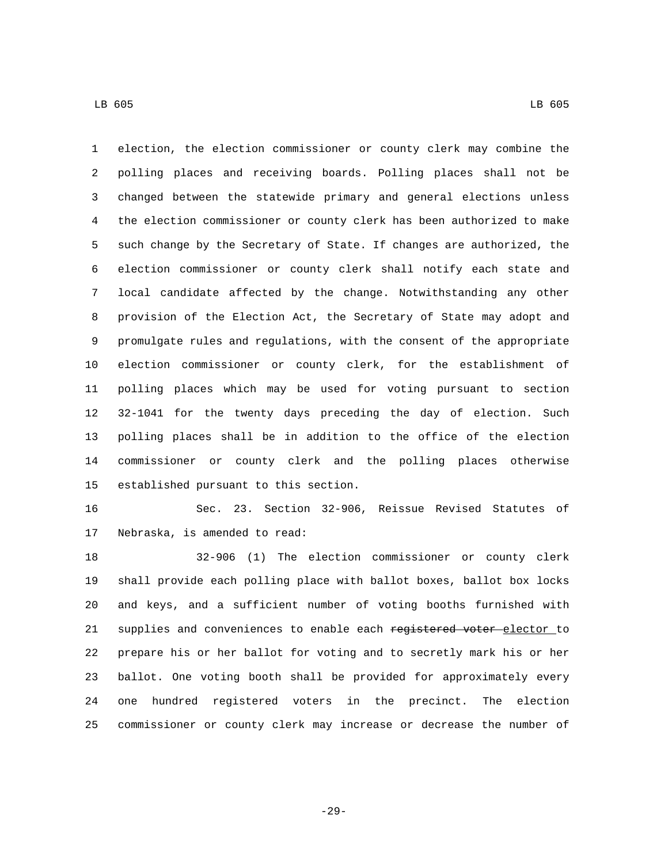election, the election commissioner or county clerk may combine the polling places and receiving boards. Polling places shall not be changed between the statewide primary and general elections unless the election commissioner or county clerk has been authorized to make such change by the Secretary of State. If changes are authorized, the election commissioner or county clerk shall notify each state and local candidate affected by the change. Notwithstanding any other provision of the Election Act, the Secretary of State may adopt and promulgate rules and regulations, with the consent of the appropriate election commissioner or county clerk, for the establishment of polling places which may be used for voting pursuant to section 32-1041 for the twenty days preceding the day of election. Such polling places shall be in addition to the office of the election commissioner or county clerk and the polling places otherwise 15 established pursuant to this section.

 Sec. 23. Section 32-906, Reissue Revised Statutes of 17 Nebraska, is amended to read:

 32-906 (1) The election commissioner or county clerk shall provide each polling place with ballot boxes, ballot box locks and keys, and a sufficient number of voting booths furnished with 21 supplies and conveniences to enable each registered voter-elector to prepare his or her ballot for voting and to secretly mark his or her ballot. One voting booth shall be provided for approximately every one hundred registered voters in the precinct. The election commissioner or county clerk may increase or decrease the number of

-29-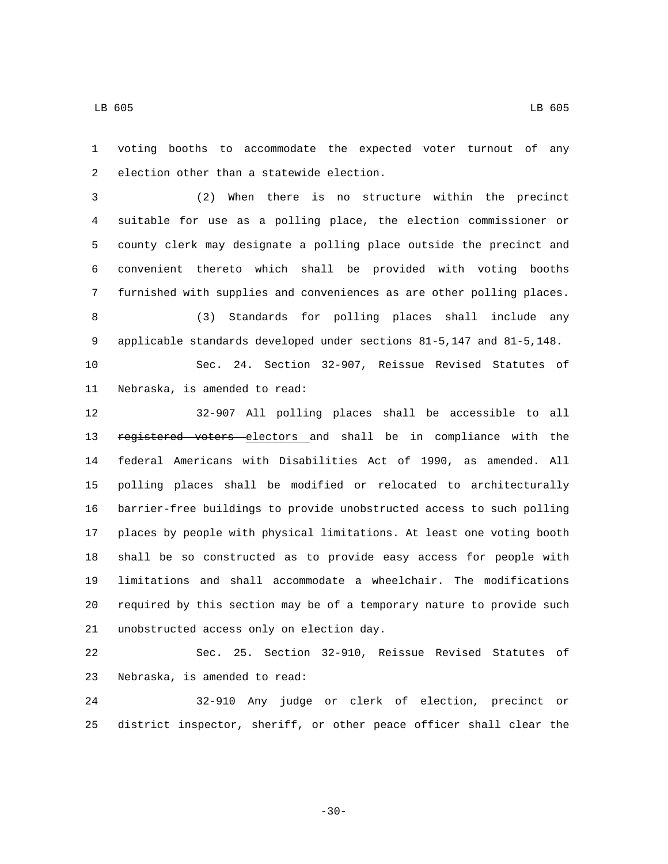voting booths to accommodate the expected voter turnout of any 2 election other than a statewide election.

 (2) When there is no structure within the precinct suitable for use as a polling place, the election commissioner or county clerk may designate a polling place outside the precinct and convenient thereto which shall be provided with voting booths furnished with supplies and conveniences as are other polling places.

 (3) Standards for polling places shall include any applicable standards developed under sections 81-5,147 and 81-5,148.

 Sec. 24. Section 32-907, Reissue Revised Statutes of 11 Nebraska, is amended to read:

 32-907 All polling places shall be accessible to all 13 registered voters electors and shall be in compliance with the federal Americans with Disabilities Act of 1990, as amended. All polling places shall be modified or relocated to architecturally barrier-free buildings to provide unobstructed access to such polling places by people with physical limitations. At least one voting booth shall be so constructed as to provide easy access for people with limitations and shall accommodate a wheelchair. The modifications required by this section may be of a temporary nature to provide such 21 unobstructed access only on election day.

 Sec. 25. Section 32-910, Reissue Revised Statutes of 23 Nebraska, is amended to read:

 32-910 Any judge or clerk of election, precinct or district inspector, sheriff, or other peace officer shall clear the

-30-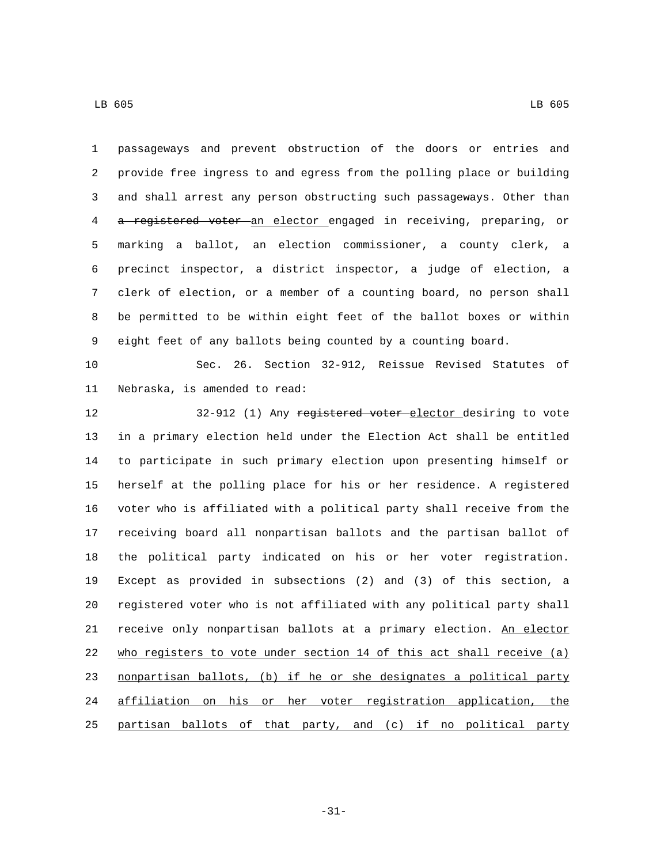passageways and prevent obstruction of the doors or entries and provide free ingress to and egress from the polling place or building and shall arrest any person obstructing such passageways. Other than a registered voter an elector engaged in receiving, preparing, or marking a ballot, an election commissioner, a county clerk, a precinct inspector, a district inspector, a judge of election, a clerk of election, or a member of a counting board, no person shall be permitted to be within eight feet of the ballot boxes or within eight feet of any ballots being counted by a counting board.

 Sec. 26. Section 32-912, Reissue Revised Statutes of 11 Nebraska, is amended to read:

12 32-912 (1) Any registered voter elector desiring to vote in a primary election held under the Election Act shall be entitled to participate in such primary election upon presenting himself or herself at the polling place for his or her residence. A registered voter who is affiliated with a political party shall receive from the receiving board all nonpartisan ballots and the partisan ballot of the political party indicated on his or her voter registration. Except as provided in subsections (2) and (3) of this section, a registered voter who is not affiliated with any political party shall 21 receive only nonpartisan ballots at a primary election. An elector who registers to vote under section 14 of this act shall receive (a) nonpartisan ballots, (b) if he or she designates a political party affiliation on his or her voter registration application, the partisan ballots of that party, and (c) if no political party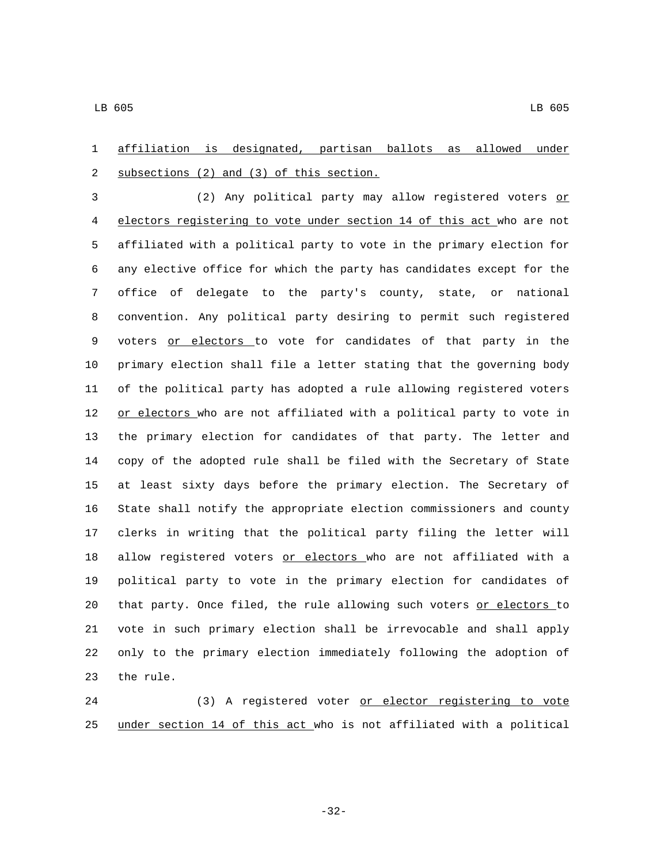affiliation is designated, partisan ballots as allowed under 2 subsections (2) and (3) of this section.

3 (2) Any political party may allow registered voters or electors registering to vote under section 14 of this act who are not affiliated with a political party to vote in the primary election for any elective office for which the party has candidates except for the office of delegate to the party's county, state, or national convention. Any political party desiring to permit such registered 9 voters or electors to vote for candidates of that party in the primary election shall file a letter stating that the governing body of the political party has adopted a rule allowing registered voters 12 or electors who are not affiliated with a political party to vote in the primary election for candidates of that party. The letter and copy of the adopted rule shall be filed with the Secretary of State at least sixty days before the primary election. The Secretary of State shall notify the appropriate election commissioners and county clerks in writing that the political party filing the letter will 18 allow registered voters or electors who are not affiliated with a political party to vote in the primary election for candidates of 20 that party. Once filed, the rule allowing such voters or electors to vote in such primary election shall be irrevocable and shall apply only to the primary election immediately following the adoption of 23 the rule.

 (3) A registered voter or elector registering to vote under section 14 of this act who is not affiliated with a political

-32-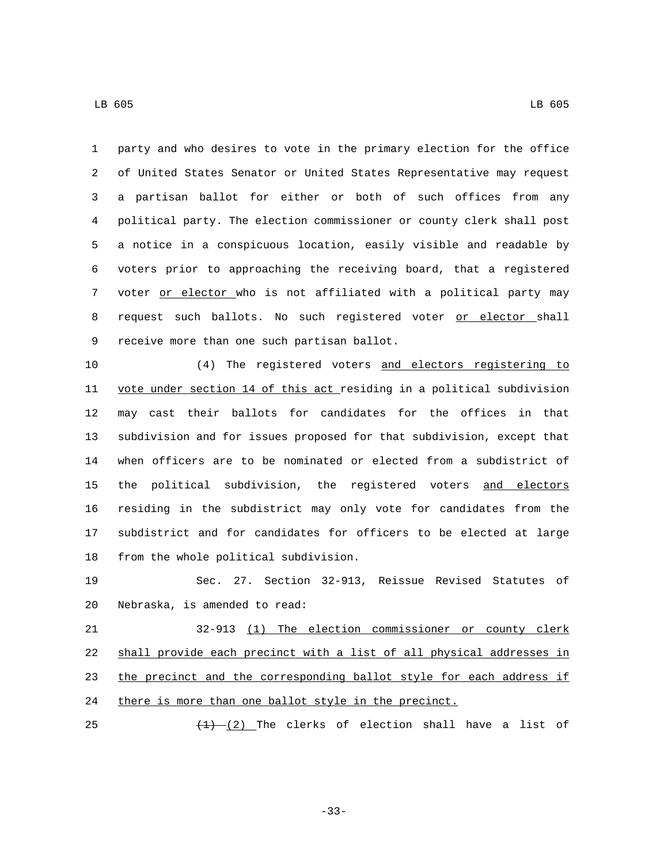party and who desires to vote in the primary election for the office of United States Senator or United States Representative may request a partisan ballot for either or both of such offices from any political party. The election commissioner or county clerk shall post a notice in a conspicuous location, easily visible and readable by voters prior to approaching the receiving board, that a registered 7 voter or elector who is not affiliated with a political party may 8 request such ballots. No such registered voter or elector shall 9 receive more than one such partisan ballot.

 (4) The registered voters and electors registering to vote under section 14 of this act residing in a political subdivision may cast their ballots for candidates for the offices in that subdivision and for issues proposed for that subdivision, except that when officers are to be nominated or elected from a subdistrict of the political subdivision, the registered voters and electors residing in the subdistrict may only vote for candidates from the subdistrict and for candidates for officers to be elected at large 18 from the whole political subdivision.

 Sec. 27. Section 32-913, Reissue Revised Statutes of 20 Nebraska, is amended to read:

 32-913 (1) The election commissioner or county clerk shall provide each precinct with a list of all physical addresses in 23 the precinct and the corresponding ballot style for each address if 24 there is more than one ballot style in the precinct.

25  $\left(\frac{1}{2}\right)$  The clerks of election shall have a list of

-33-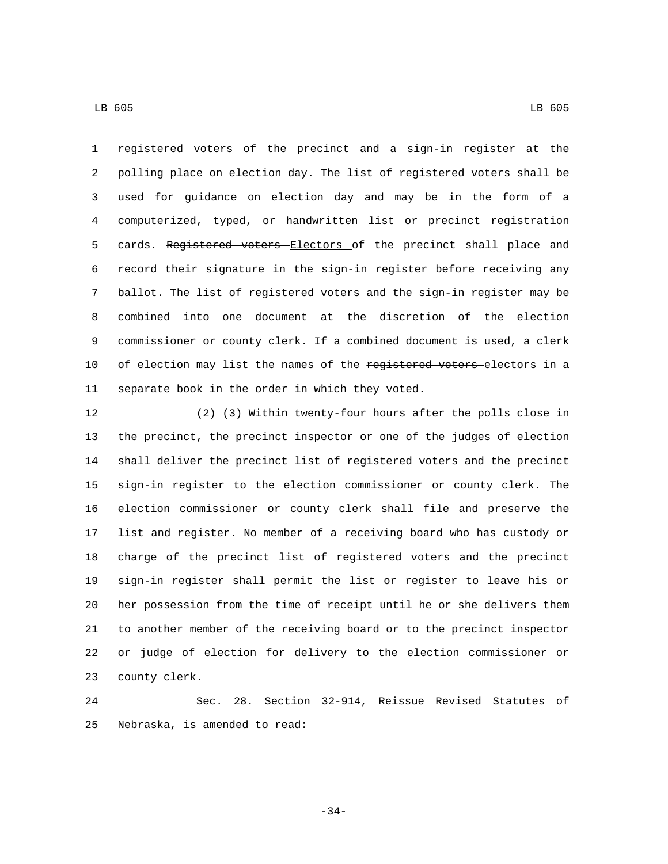registered voters of the precinct and a sign-in register at the polling place on election day. The list of registered voters shall be used for guidance on election day and may be in the form of a computerized, typed, or handwritten list or precinct registration 5 cards. Registered voters Electors of the precinct shall place and record their signature in the sign-in register before receiving any ballot. The list of registered voters and the sign-in register may be combined into one document at the discretion of the election commissioner or county clerk. If a combined document is used, a clerk 10 of election may list the names of the registered voters electors in a 11 separate book in the order in which they voted.

 $\left(2\right)$   $\left(3\right)$  Within twenty-four hours after the polls close in the precinct, the precinct inspector or one of the judges of election shall deliver the precinct list of registered voters and the precinct sign-in register to the election commissioner or county clerk. The election commissioner or county clerk shall file and preserve the list and register. No member of a receiving board who has custody or charge of the precinct list of registered voters and the precinct sign-in register shall permit the list or register to leave his or her possession from the time of receipt until he or she delivers them to another member of the receiving board or to the precinct inspector or judge of election for delivery to the election commissioner or 23 county clerk.

 Sec. 28. Section 32-914, Reissue Revised Statutes of 25 Nebraska, is amended to read:

-34-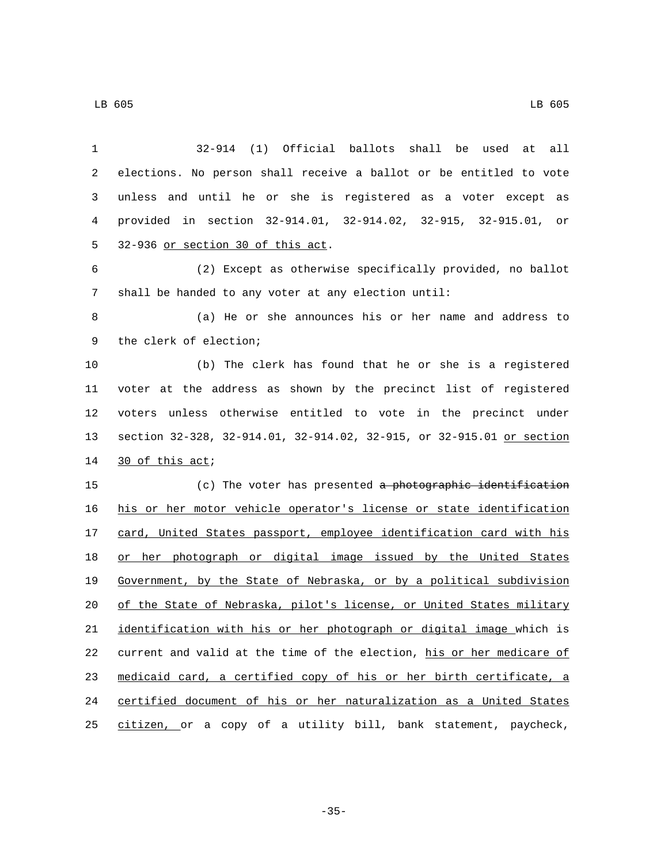| 1              | 32-914 (1) Official ballots shall be used at<br>all                   |
|----------------|-----------------------------------------------------------------------|
| $\overline{a}$ | elections. No person shall receive a ballot or be entitled to vote    |
| 3              | unless and until he or she is registered as a voter except as         |
| 4              | provided in section 32-914.01, 32-914.02, 32-915, 32-915.01, or       |
| 5              | 32-936 or section 30 of this act.                                     |
| 6              | (2) Except as otherwise specifically provided, no ballot              |
| 7              | shall be handed to any voter at any election until:                   |
| 8              | (a) He or she announces his or her name and address to                |
| 9              | the clerk of election;                                                |
| 10             | (b) The clerk has found that he or she is a registered                |
| 11             | voter at the address as shown by the precinct list of registered      |
| 12             | voters unless otherwise entitled to vote in the precinct under        |
| 13             | section 32-328, 32-914.01, 32-914.02, 32-915, or 32-915.01 or section |
| 14             | 30 of this act;                                                       |
| 15             | (c) The voter has presented a photographic identification             |
| 16             | his or her motor vehicle operator's license or state identification   |
| 17             | card, United States passport, employee identification card with his   |
| 18             | or her photograph or digital image issued by the United States        |
| 19             | Government, by the State of Nebraska, or by a political subdivision   |
| 20             | of the State of Nebraska, pilot's license, or United States military  |
| 21             | identification with his or her photograph or digital image which is   |
| 22             | current and valid at the time of the election, his or her medicare of |
| 23             | medicaid card, a certified copy of his or her birth certificate, a    |
| 24             | certified document of his or her naturalization as a United States    |
| 25             | citizen, or a copy of a utility bill, bank statement, paycheck,       |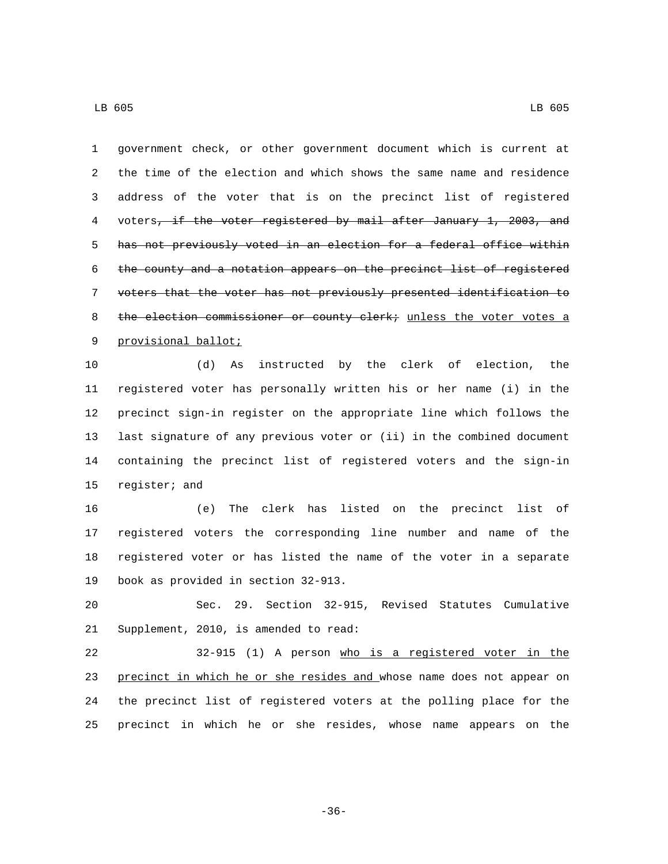government check, or other government document which is current at the time of the election and which shows the same name and residence address of the voter that is on the precinct list of registered 4 voters, if the voter registered by mail after January 1, 2003, and has not previously voted in an election for a federal office within the county and a notation appears on the precinct list of registered voters that the voter has not previously presented identification to 8 the election commissioner or county clerk; unless the voter votes a 9 provisional ballot;

 (d) As instructed by the clerk of election, the registered voter has personally written his or her name (i) in the precinct sign-in register on the appropriate line which follows the last signature of any previous voter or (ii) in the combined document containing the precinct list of registered voters and the sign-in 15 register; and

 (e) The clerk has listed on the precinct list of registered voters the corresponding line number and name of the registered voter or has listed the name of the voter in a separate 19 book as provided in section 32-913.

 Sec. 29. Section 32-915, Revised Statutes Cumulative 21 Supplement, 2010, is amended to read:

 32-915 (1) A person who is a registered voter in the 23 precinct in which he or she resides and whose name does not appear on the precinct list of registered voters at the polling place for the precinct in which he or she resides, whose name appears on the

-36-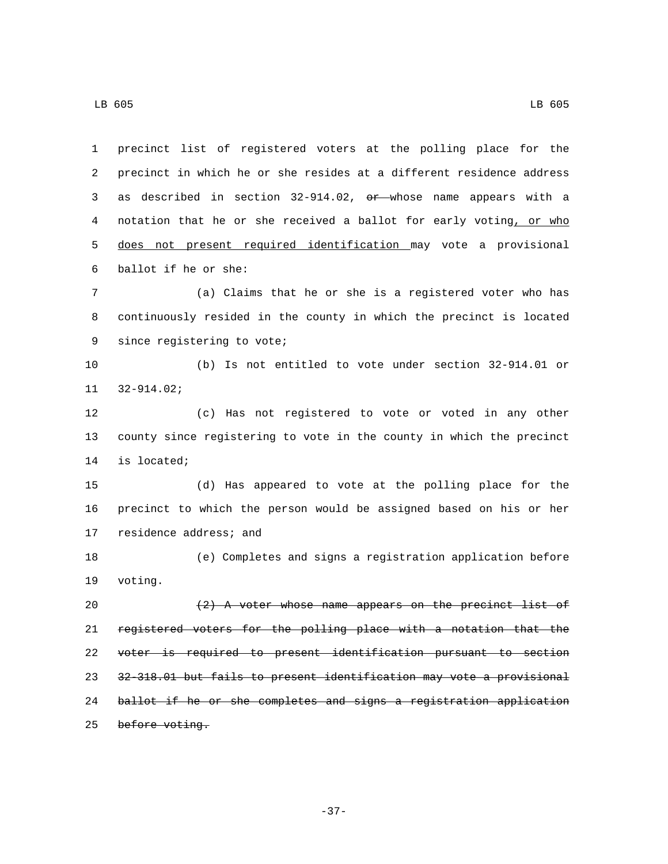precinct list of registered voters at the polling place for the precinct in which he or she resides at a different residence address as described in section 32-914.02, or whose name appears with a 4 notation that he or she received a ballot for early voting, or who does not present required identification may vote a provisional ballot if he or she:6 (a) Claims that he or she is a registered voter who has continuously resided in the county in which the precinct is located 9 since registering to vote; (b) Is not entitled to vote under section 32-914.01 or  $32-914.02$ ; (c) Has not registered to vote or voted in any other county since registering to vote in the county in which the precinct 14 is located; (d) Has appeared to vote at the polling place for the precinct to which the person would be assigned based on his or her 17 residence address; and (e) Completes and signs a registration application before 19 voting.  $(2)$  A voter whose name appears on the precinct list of registered voters for the polling place with a notation that the voter is required to present identification pursuant to section 32-318.01 but fails to present identification may vote a provisional ballot if he or she completes and signs a registration application

25 before voting.

-37-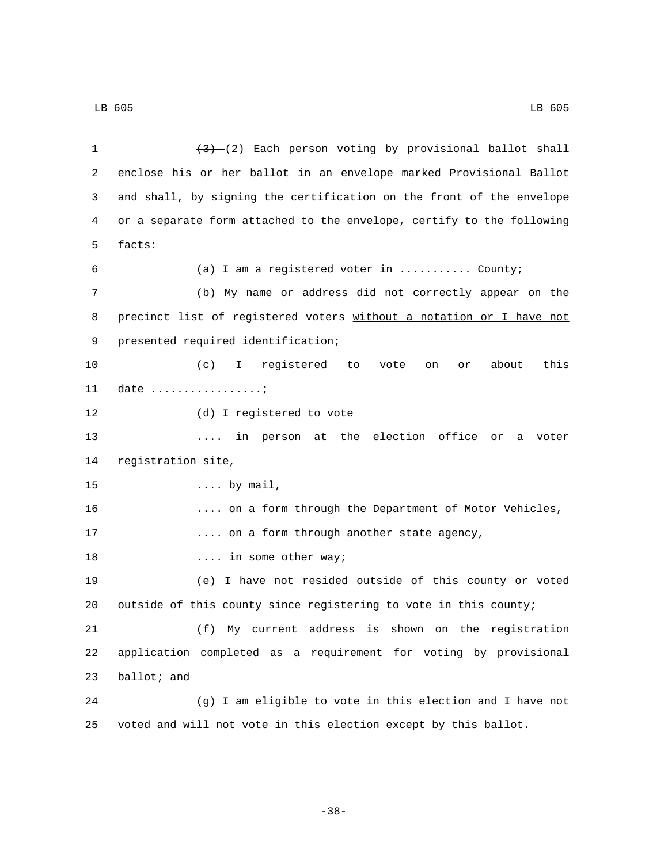| 1  | $(3)$ (2) Each person voting by provisional ballot shall              |
|----|-----------------------------------------------------------------------|
| 2  | enclose his or her ballot in an envelope marked Provisional Ballot    |
| 3  | and shall, by signing the certification on the front of the envelope  |
| 4  | or a separate form attached to the envelope, certify to the following |
| 5  | facts:                                                                |
| 6  | (a) I am a registered voter in  County;                               |
| 7  | (b) My name or address did not correctly appear on the                |
| 8  | precinct list of registered voters without a notation or I have not   |
| 9  | presented required identification;                                    |
| 10 | I registered to vote<br>this<br>(c)<br>about<br>or<br>on              |
| 11 | date $\dots\dots\dots\dots\dots\dots$                                 |
| 12 | (d) I registered to vote                                              |
| 13 | in person at the election office<br>or<br>voter<br>a                  |
| 14 | registration site,                                                    |
| 15 | $\ldots$ by mail,                                                     |
| 16 | on a form through the Department of Motor Vehicles,                   |
| 17 | on a form through another state agency,                               |
| 18 | in some other way;                                                    |
| 19 | (e) I have not resided outside of this county or voted                |
| 20 | outside of this county since registering to vote in this county;      |
| 21 | My current address is shown on the registration<br>(f)                |
| 22 | application completed as a requirement for voting by provisional      |
| 23 | ballot; and                                                           |
| 24 | (g) I am eligible to vote in this election and I have not             |
| 25 | voted and will not vote in this election except by this ballot.       |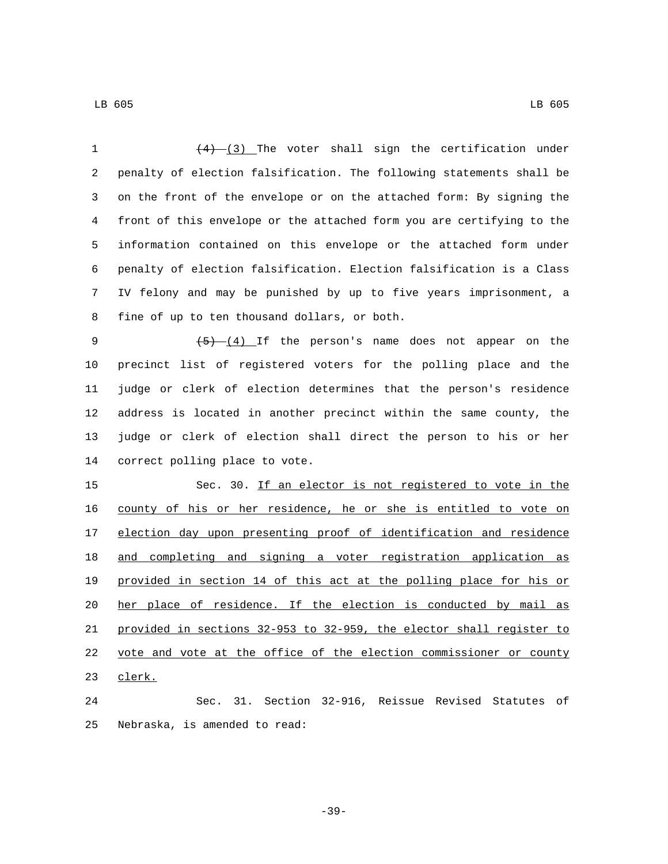| 1  | $(4)$ (3) The voter shall sign the certification under                |
|----|-----------------------------------------------------------------------|
| 2  | penalty of election falsification. The following statements shall be  |
| 3  | on the front of the envelope or on the attached form: By signing the  |
| 4  | front of this envelope or the attached form you are certifying to the |
| 5  | information contained on this envelope or the attached form under     |
| 6  | penalty of election falsification. Election falsification is a Class  |
| 7  | IV felony and may be punished by up to five years imprisonment, a     |
| 8  | fine of up to ten thousand dollars, or both.                          |
| 9  | $(5)$ $(4)$ If the person's name does not appear on the               |
| 10 | precinct list of registered voters for the polling place and the      |
| 11 | judge or clerk of election determines that the person's residence     |
| 12 | address is located in another precinct within the same county, the    |
| 13 | judge or clerk of election shall direct the person to his or her      |
| 14 | correct polling place to vote.                                        |
| 15 | Sec. 30. If an elector is not registered to vote in the               |
| 16 | county of his or her residence, he or she is entitled to vote on      |
| 17 | election day upon presenting proof of identification and residence    |
| 18 | and completing and signing a voter registration application as        |
| 19 | provided in section 14 of this act at the polling place for his or    |
| 20 | her place of residence. If the election is conducted by mail as       |
| 21 | provided in sections 32-953 to 32-959, the elector shall register to  |
| 22 | vote and vote at the office of the election commissioner or county    |
| 23 | clerk.                                                                |
| 24 | Sec. 31. Section 32-916, Reissue Revised Statutes of                  |

25 Nebraska, is amended to read:

-39-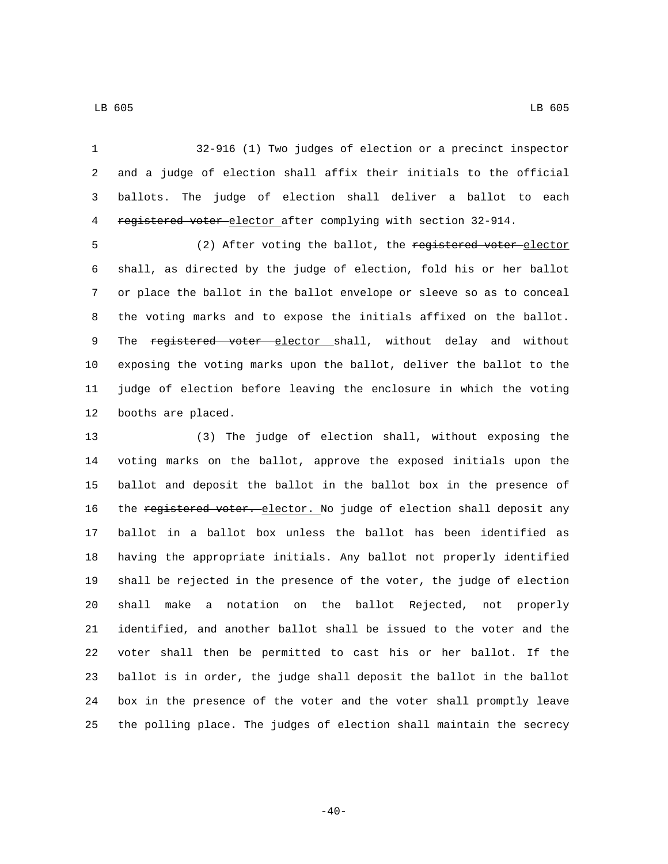32-916 (1) Two judges of election or a precinct inspector and a judge of election shall affix their initials to the official ballots. The judge of election shall deliver a ballot to each

4 registered voter elector after complying with section 32-914.

5 (2) After voting the ballot, the registered voter elector shall, as directed by the judge of election, fold his or her ballot or place the ballot in the ballot envelope or sleeve so as to conceal the voting marks and to expose the initials affixed on the ballot. 9 The registered voter elector shall, without delay and without exposing the voting marks upon the ballot, deliver the ballot to the judge of election before leaving the enclosure in which the voting 12 booths are placed.

 (3) The judge of election shall, without exposing the voting marks on the ballot, approve the exposed initials upon the ballot and deposit the ballot in the ballot box in the presence of 16 the registered voter. elector. No judge of election shall deposit any ballot in a ballot box unless the ballot has been identified as having the appropriate initials. Any ballot not properly identified shall be rejected in the presence of the voter, the judge of election shall make a notation on the ballot Rejected, not properly identified, and another ballot shall be issued to the voter and the voter shall then be permitted to cast his or her ballot. If the ballot is in order, the judge shall deposit the ballot in the ballot box in the presence of the voter and the voter shall promptly leave the polling place. The judges of election shall maintain the secrecy

 $-40-$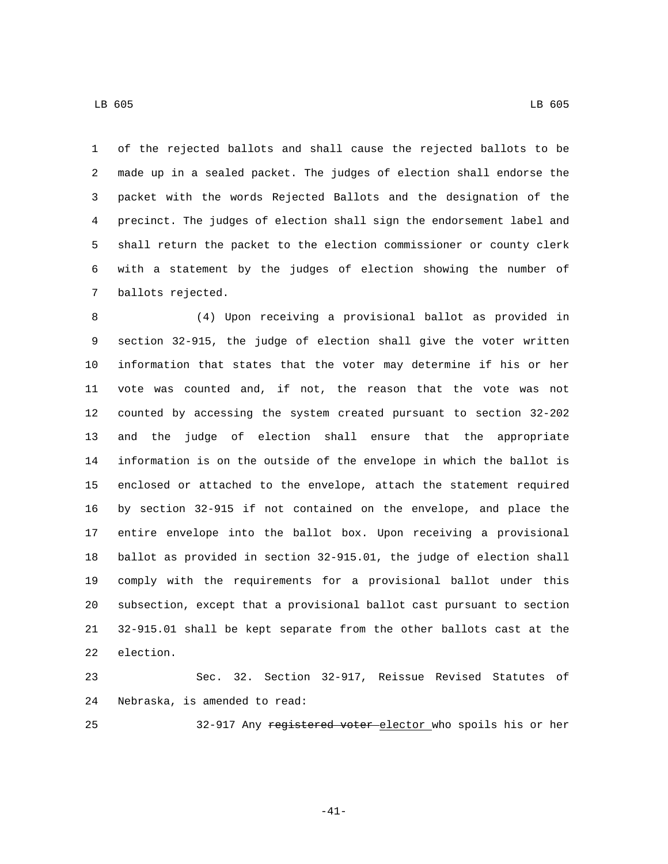of the rejected ballots and shall cause the rejected ballots to be made up in a sealed packet. The judges of election shall endorse the packet with the words Rejected Ballots and the designation of the precinct. The judges of election shall sign the endorsement label and shall return the packet to the election commissioner or county clerk with a statement by the judges of election showing the number of 7 ballots rejected.

 (4) Upon receiving a provisional ballot as provided in section 32-915, the judge of election shall give the voter written information that states that the voter may determine if his or her vote was counted and, if not, the reason that the vote was not counted by accessing the system created pursuant to section 32-202 and the judge of election shall ensure that the appropriate information is on the outside of the envelope in which the ballot is enclosed or attached to the envelope, attach the statement required by section 32-915 if not contained on the envelope, and place the entire envelope into the ballot box. Upon receiving a provisional ballot as provided in section 32-915.01, the judge of election shall comply with the requirements for a provisional ballot under this subsection, except that a provisional ballot cast pursuant to section 32-915.01 shall be kept separate from the other ballots cast at the 22 election.

 Sec. 32. Section 32-917, Reissue Revised Statutes of 24 Nebraska, is amended to read:

32-917 Any registered voter elector who spoils his or her

-41-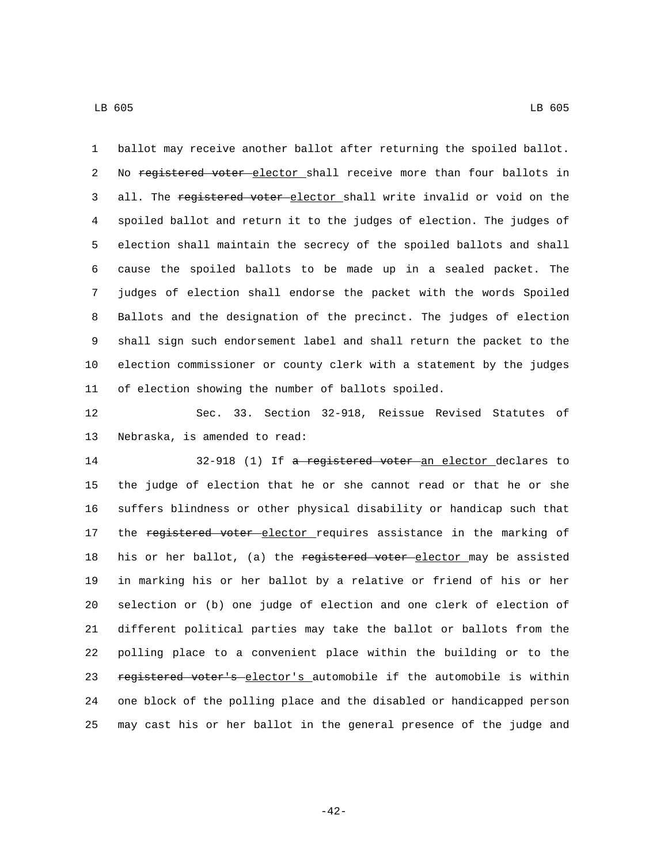ballot may receive another ballot after returning the spoiled ballot. 2 No registered voter elector shall receive more than four ballots in 3 all. The registered voter elector shall write invalid or void on the spoiled ballot and return it to the judges of election. The judges of election shall maintain the secrecy of the spoiled ballots and shall cause the spoiled ballots to be made up in a sealed packet. The judges of election shall endorse the packet with the words Spoiled Ballots and the designation of the precinct. The judges of election shall sign such endorsement label and shall return the packet to the election commissioner or county clerk with a statement by the judges of election showing the number of ballots spoiled.

 Sec. 33. Section 32-918, Reissue Revised Statutes of 13 Nebraska, is amended to read:

14 32-918 (1) If a registered voter an elector declares to the judge of election that he or she cannot read or that he or she suffers blindness or other physical disability or handicap such that 17 the registered voter elector requires assistance in the marking of 18 his or her ballot, (a) the registered voter elector may be assisted in marking his or her ballot by a relative or friend of his or her selection or (b) one judge of election and one clerk of election of different political parties may take the ballot or ballots from the polling place to a convenient place within the building or to the 23 registered voter's elector's automobile if the automobile is within one block of the polling place and the disabled or handicapped person may cast his or her ballot in the general presence of the judge and

-42-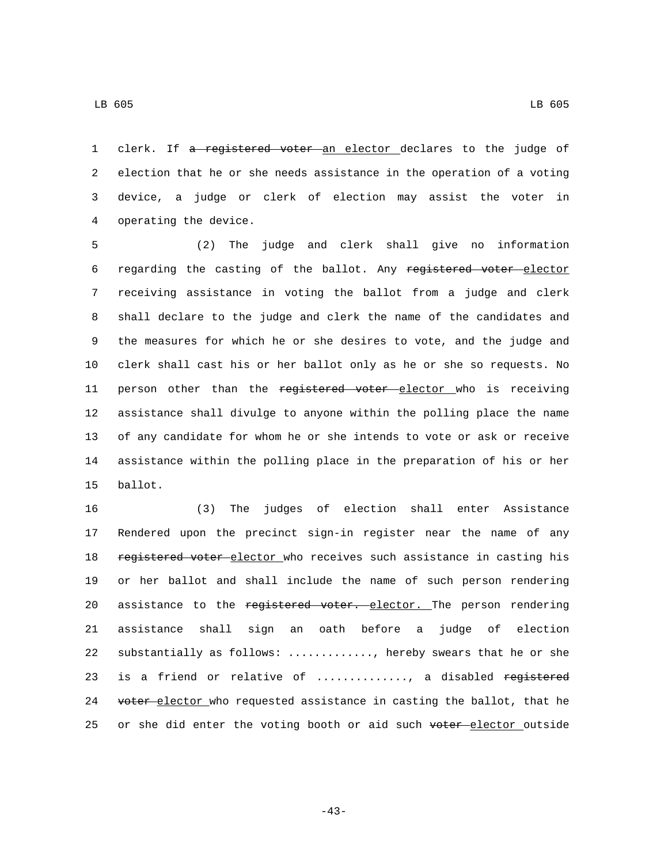clerk. If a registered voter an elector declares to the judge of election that he or she needs assistance in the operation of a voting device, a judge or clerk of election may assist the voter in 4 operating the device.

 (2) The judge and clerk shall give no information 6 regarding the casting of the ballot. Any registered voter elector receiving assistance in voting the ballot from a judge and clerk shall declare to the judge and clerk the name of the candidates and the measures for which he or she desires to vote, and the judge and clerk shall cast his or her ballot only as he or she so requests. No 11 person other than the registered voter elector who is receiving assistance shall divulge to anyone within the polling place the name of any candidate for whom he or she intends to vote or ask or receive assistance within the polling place in the preparation of his or her 15 ballot.

16 (3) The judges of election shall enter Assistance 17 Rendered upon the precinct sign-in register near the name of any 18 registered voter elector who receives such assistance in casting his 19 or her ballot and shall include the name of such person rendering 20 assistance to the registered voter. elector. The person rendering 21 assistance shall sign an oath before a judge of election 22 substantially as follows: ............., hereby swears that he or she 23 is a friend or relative of .............., a disabled registered 24 voter-elector who requested assistance in casting the ballot, that he 25 or she did enter the voting booth or aid such voter elector outside

-43-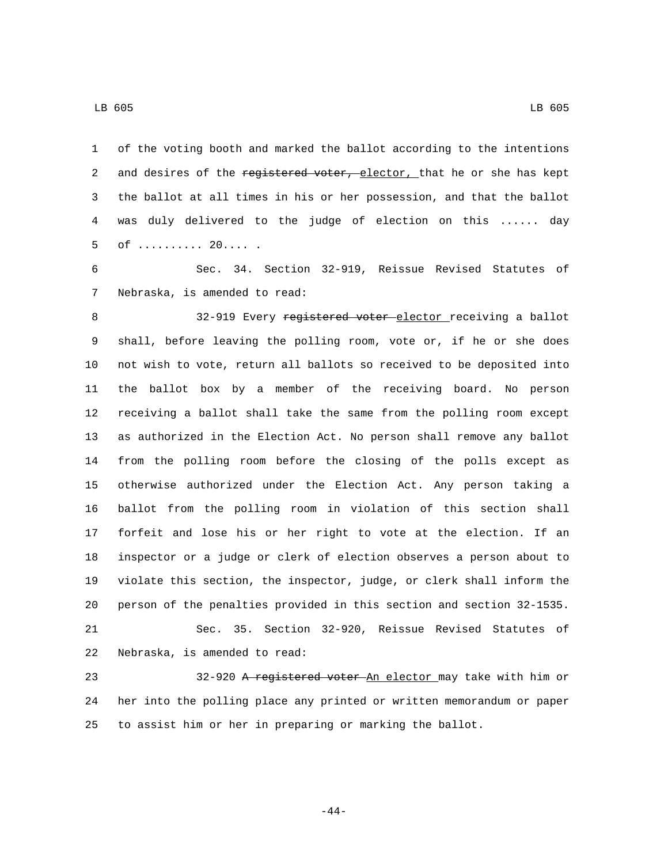of the voting booth and marked the ballot according to the intentions 2 and desires of the registered voter, elector, that he or she has kept the ballot at all times in his or her possession, and that the ballot was duly delivered to the judge of election on this ...... day 5 of .......... 20.....

 Sec. 34. Section 32-919, Reissue Revised Statutes of 7 Nebraska, is amended to read:

8 32-919 Every registered voter elector receiving a ballot shall, before leaving the polling room, vote or, if he or she does not wish to vote, return all ballots so received to be deposited into the ballot box by a member of the receiving board. No person receiving a ballot shall take the same from the polling room except as authorized in the Election Act. No person shall remove any ballot from the polling room before the closing of the polls except as otherwise authorized under the Election Act. Any person taking a ballot from the polling room in violation of this section shall forfeit and lose his or her right to vote at the election. If an inspector or a judge or clerk of election observes a person about to violate this section, the inspector, judge, or clerk shall inform the person of the penalties provided in this section and section 32-1535. Sec. 35. Section 32-920, Reissue Revised Statutes of 22 Nebraska, is amended to read:

23 32-920 A registered voter An elector may take with him or her into the polling place any printed or written memorandum or paper to assist him or her in preparing or marking the ballot.

-44-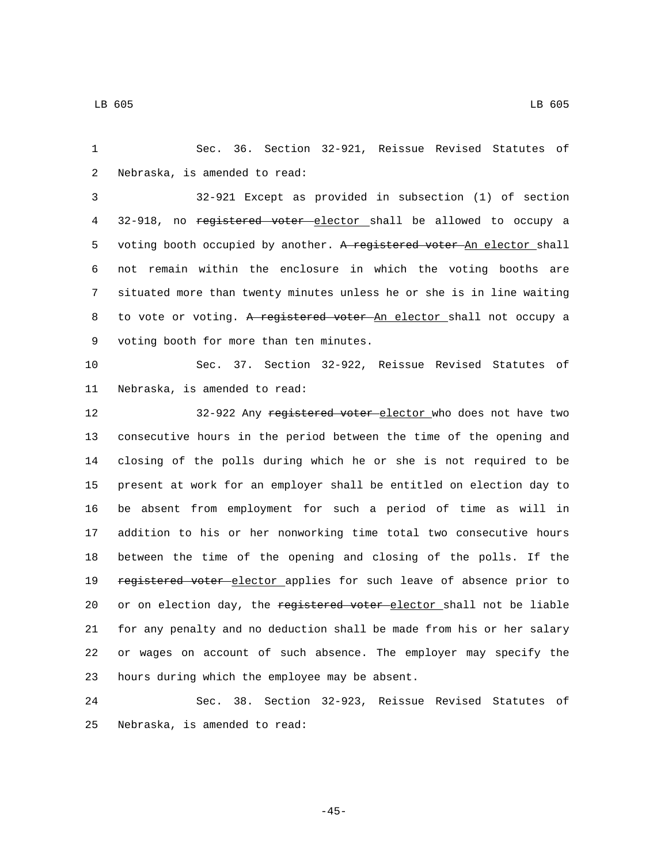1 Sec. 36. Section 32-921, Reissue Revised Statutes of 2 Nebraska, is amended to read:

3 32-921 Except as provided in subsection (1) of section 4 32-918, no registered voter elector shall be allowed to occupy a 5 voting booth occupied by another. A registered voter An elector shall 6 not remain within the enclosure in which the voting booths are 7 situated more than twenty minutes unless he or she is in line waiting 8 to vote or voting. A registered voter An elector shall not occupy a 9 voting booth for more than ten minutes.

10 Sec. 37. Section 32-922, Reissue Revised Statutes of 11 Nebraska, is amended to read:

12 32-922 Any registered voter elector who does not have two consecutive hours in the period between the time of the opening and closing of the polls during which he or she is not required to be present at work for an employer shall be entitled on election day to be absent from employment for such a period of time as will in addition to his or her nonworking time total two consecutive hours between the time of the opening and closing of the polls. If the 19 registered voter elector applies for such leave of absence prior to 20 or on election day, the registered voter elector shall not be liable for any penalty and no deduction shall be made from his or her salary or wages on account of such absence. The employer may specify the hours during which the employee may be absent.23

24 Sec. 38. Section 32-923, Reissue Revised Statutes of 25 Nebraska, is amended to read:

 $-45-$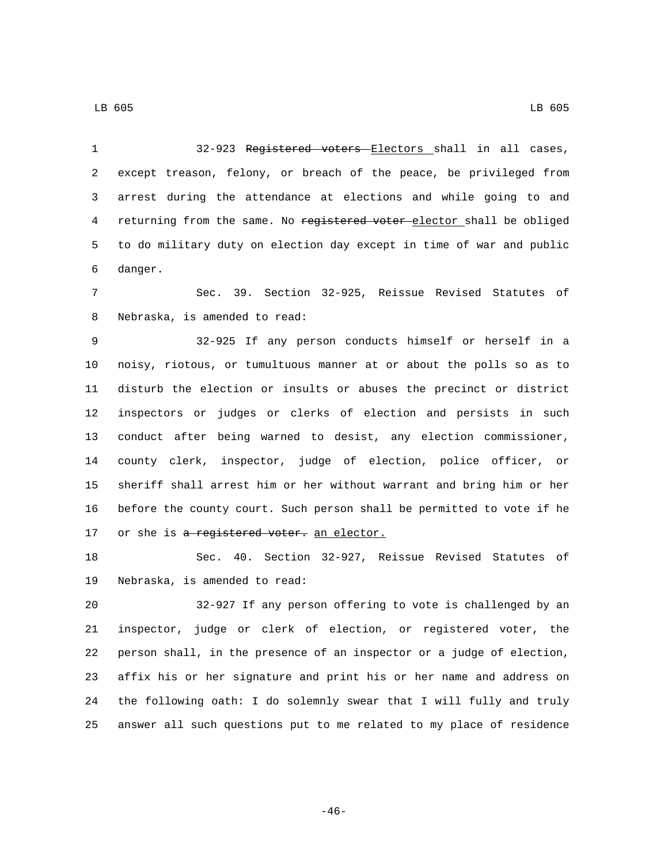32-923 Registered voters Electors shall in all cases, except treason, felony, or breach of the peace, be privileged from arrest during the attendance at elections and while going to and 4 returning from the same. No registered voter elector shall be obliged to do military duty on election day except in time of war and public 6 danger. Sec. 39. Section 32-925, Reissue Revised Statutes of 8 Nebraska, is amended to read: 32-925 If any person conducts himself or herself in a noisy, riotous, or tumultuous manner at or about the polls so as to disturb the election or insults or abuses the precinct or district inspectors or judges or clerks of election and persists in such conduct after being warned to desist, any election commissioner, county clerk, inspector, judge of election, police officer, or sheriff shall arrest him or her without warrant and bring him or her before the county court. Such person shall be permitted to vote if he 17 or she is a registered voter. an elector. Sec. 40. Section 32-927, Reissue Revised Statutes of 19 Nebraska, is amended to read: 32-927 If any person offering to vote is challenged by an inspector, judge or clerk of election, or registered voter, the person shall, in the presence of an inspector or a judge of election, affix his or her signature and print his or her name and address on the following oath: I do solemnly swear that I will fully and truly

answer all such questions put to me related to my place of residence

-46-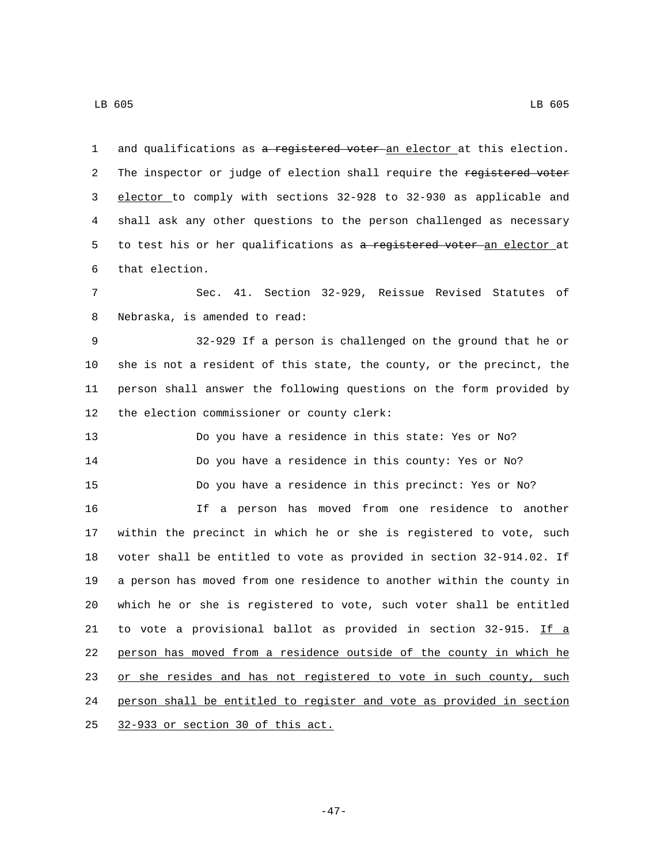1 and qualifications as a registered voter an elector at this election. 2 The inspector or judge of election shall require the registered voter elector to comply with sections 32-928 to 32-930 as applicable and shall ask any other questions to the person challenged as necessary 5 to test his or her qualifications as a registered voter-an elector at 6 that election. Sec. 41. Section 32-929, Reissue Revised Statutes of 8 Nebraska, is amended to read: 32-929 If a person is challenged on the ground that he or she is not a resident of this state, the county, or the precinct, the person shall answer the following questions on the form provided by 12 the election commissioner or county clerk: Do you have a residence in this state: Yes or No? Do you have a residence in this county: Yes or No? Do you have a residence in this precinct: Yes or No? If a person has moved from one residence to another within the precinct in which he or she is registered to vote, such voter shall be entitled to vote as provided in section 32-914.02. If a person has moved from one residence to another within the county in which he or she is registered to vote, such voter shall be entitled to vote a provisional ballot as provided in section 32-915. If a person has moved from a residence outside of the county in which he 23 or she resides and has not registered to vote in such county, such person shall be entitled to register and vote as provided in section 25 32-933 or section 30 of this act.

LB 605 LB 605

-47-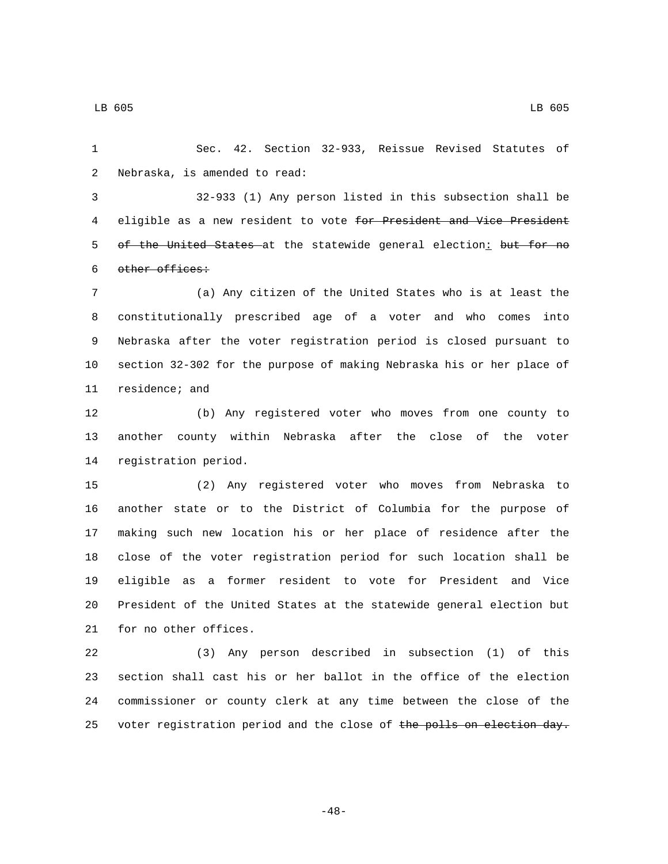Sec. 42. Section 32-933, Reissue Revised Statutes of

2 Nebraska, is amended to read:

 32-933 (1) Any person listed in this subsection shall be 4 eligible as a new resident to vote for President and Vice President 5 of the United States at the statewide general election: but for no 6 other offices:

 (a) Any citizen of the United States who is at least the constitutionally prescribed age of a voter and who comes into Nebraska after the voter registration period is closed pursuant to section 32-302 for the purpose of making Nebraska his or her place of 11 residence; and

 (b) Any registered voter who moves from one county to another county within Nebraska after the close of the voter 14 registration period.

 (2) Any registered voter who moves from Nebraska to another state or to the District of Columbia for the purpose of making such new location his or her place of residence after the close of the voter registration period for such location shall be eligible as a former resident to vote for President and Vice President of the United States at the statewide general election but 21 for no other offices.

 (3) Any person described in subsection (1) of this section shall cast his or her ballot in the office of the election commissioner or county clerk at any time between the close of the 25 voter registration period and the close of the polls on election day.

-48-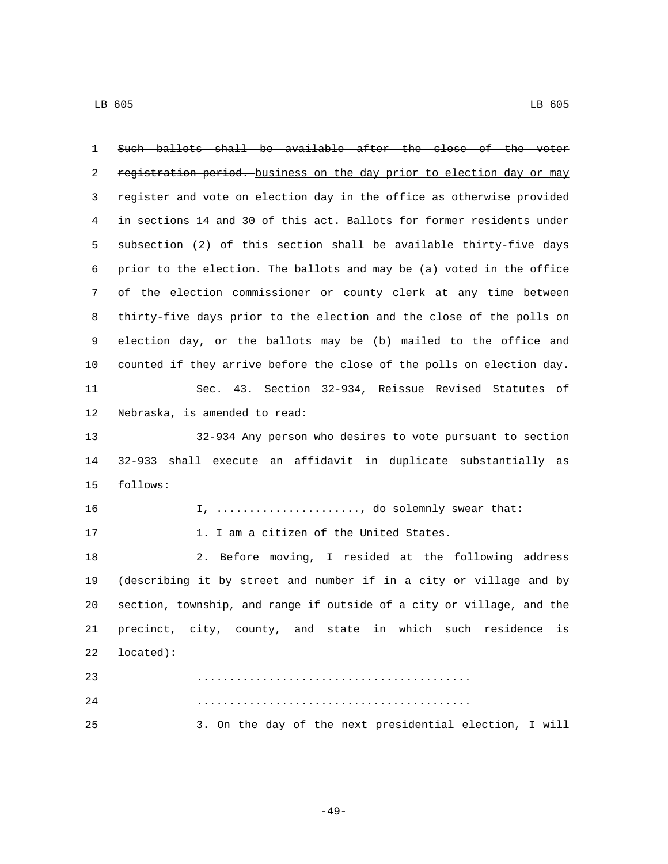| 1  | Such ballots shall be available after the close of the voter                 |
|----|------------------------------------------------------------------------------|
| 2  | registration period. business on the day prior to election day or may        |
| 3  | register and vote on election day in the office as otherwise provided        |
| 4  | in sections 14 and 30 of this act. Ballots for former residents under        |
| 5  | subsection (2) of this section shall be available thirty-five days           |
| 6  | prior to the election. The ballots and may be (a) voted in the office        |
| 7  | of the election commissioner or county clerk at any time between             |
| 8  | thirty-five days prior to the election and the close of the polls on         |
| 9  | election day <sub>7</sub> or the ballots may be (b) mailed to the office and |
| 10 | counted if they arrive before the close of the polls on election day.        |
| 11 | Sec. 43. Section 32-934, Reissue Revised Statutes of                         |
| 12 | Nebraska, is amended to read:                                                |
| 13 | 32-934 Any person who desires to vote pursuant to section                    |
| 14 | shall execute an affidavit in duplicate substantially as<br>32–933           |
| 15 | follows:                                                                     |
| 16 | I, , do solemnly swear that:                                                 |
| 17 | 1. I am a citizen of the United States.                                      |
| 18 | 2. Before moving, I resided at the following address                         |
| 19 | (describing it by street and number if in a city or village and by           |
| 20 | section, township, and range if outside of a city or village, and the        |
| 21 | precinct, city, county, and state in which such residence<br>is              |
| 22 | located):                                                                    |
| 23 |                                                                              |
| 24 |                                                                              |
| 25 | 3. On the day of the next presidential election, I will                      |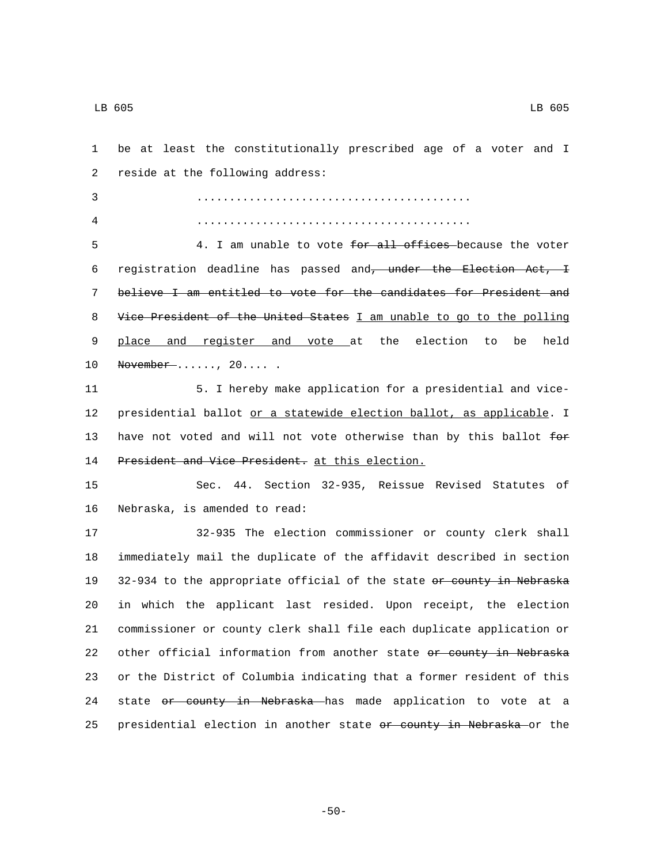1 be at least the constitutionally prescribed age of a voter and I 2 reside at the following address: 3 .......................................... 4 .......................................... 5 4. I am unable to vote for all offices because the voter 6 registration deadline has passed and, under the Election Act, I 7 believe I am entitled to vote for the candidates for President and 8 Vice President of the United States I am unable to go to the polling 9 place and register and vote at the election to be held 10 November ......, 20.... . 11 5. I hereby make application for a presidential and vice-12 presidential ballot or a statewide election ballot, as applicable. I 13 have not voted and will not vote otherwise than by this ballot for 14 President and Vice President. at this election. 15 Sec. 44. Section 32-935, Reissue Revised Statutes of 16 Nebraska, is amended to read: 17 32-935 The election commissioner or county clerk shall 18 immediately mail the duplicate of the affidavit described in section 19 32-934 to the appropriate official of the state or county in Nebraska 20 in which the applicant last resided. Upon receipt, the election 21 commissioner or county clerk shall file each duplicate application or 22 other official information from another state or county in Nebraska 23 or the District of Columbia indicating that a former resident of this 24 state or county in Nebraska has made application to vote at a 25 presidential election in another state or county in Nebraska or the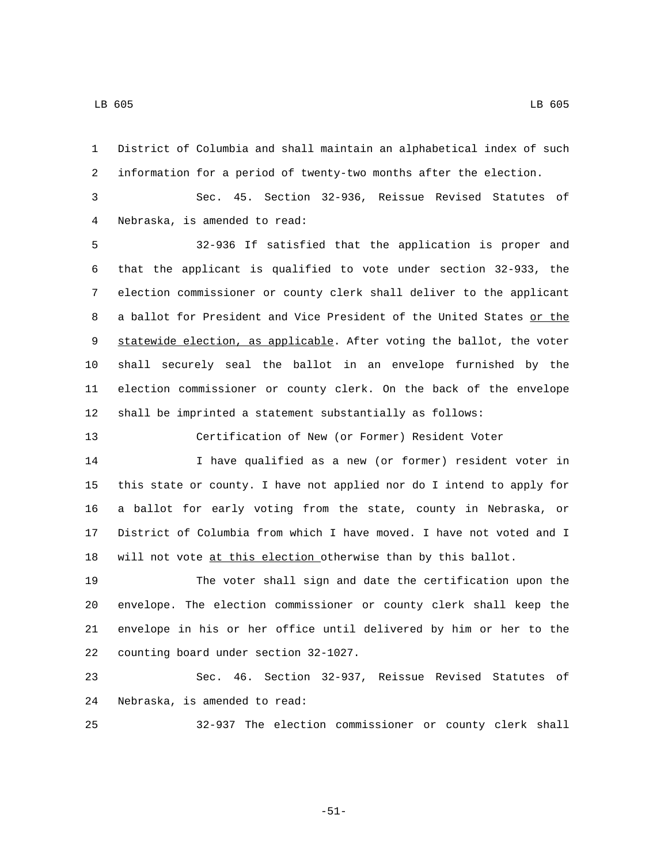information for a period of twenty-two months after the election. Sec. 45. Section 32-936, Reissue Revised Statutes of Nebraska, is amended to read:4 32-936 If satisfied that the application is proper and that the applicant is qualified to vote under section 32-933, the election commissioner or county clerk shall deliver to the applicant 8 a ballot for President and Vice President of the United States or the statewide election, as applicable. After voting the ballot, the voter shall securely seal the ballot in an envelope furnished by the election commissioner or county clerk. On the back of the envelope shall be imprinted a statement substantially as follows:

District of Columbia and shall maintain an alphabetical index of such

Certification of New (or Former) Resident Voter

 I have qualified as a new (or former) resident voter in this state or county. I have not applied nor do I intend to apply for a ballot for early voting from the state, county in Nebraska, or District of Columbia from which I have moved. I have not voted and I 18 will not vote at this election otherwise than by this ballot.

 The voter shall sign and date the certification upon the envelope. The election commissioner or county clerk shall keep the envelope in his or her office until delivered by him or her to the 22 counting board under section 32-1027.

 Sec. 46. Section 32-937, Reissue Revised Statutes of 24 Nebraska, is amended to read:

32-937 The election commissioner or county clerk shall

-51-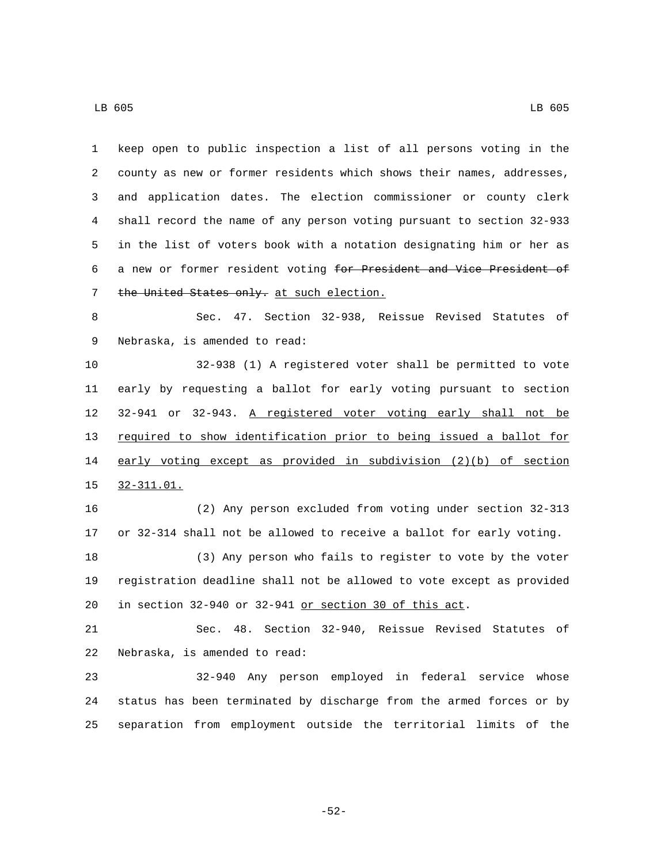keep open to public inspection a list of all persons voting in the county as new or former residents which shows their names, addresses, and application dates. The election commissioner or county clerk shall record the name of any person voting pursuant to section 32-933 in the list of voters book with a notation designating him or her as a new or former resident voting for President and Vice President of 7 the United States only. at such election. Sec. 47. Section 32-938, Reissue Revised Statutes of 9 Nebraska, is amended to read: 32-938 (1) A registered voter shall be permitted to vote early by requesting a ballot for early voting pursuant to section 32-941 or 32-943. A registered voter voting early shall not be required to show identification prior to being issued a ballot for early voting except as provided in subdivision (2)(b) of section 32-311.01.15 (2) Any person excluded from voting under section 32-313 or 32-314 shall not be allowed to receive a ballot for early voting. (3) Any person who fails to register to vote by the voter registration deadline shall not be allowed to vote except as provided in section 32-940 or 32-941 or section 30 of this act. Sec. 48. Section 32-940, Reissue Revised Statutes of 22 Nebraska, is amended to read: 32-940 Any person employed in federal service whose status has been terminated by discharge from the armed forces or by separation from employment outside the territorial limits of the

-52-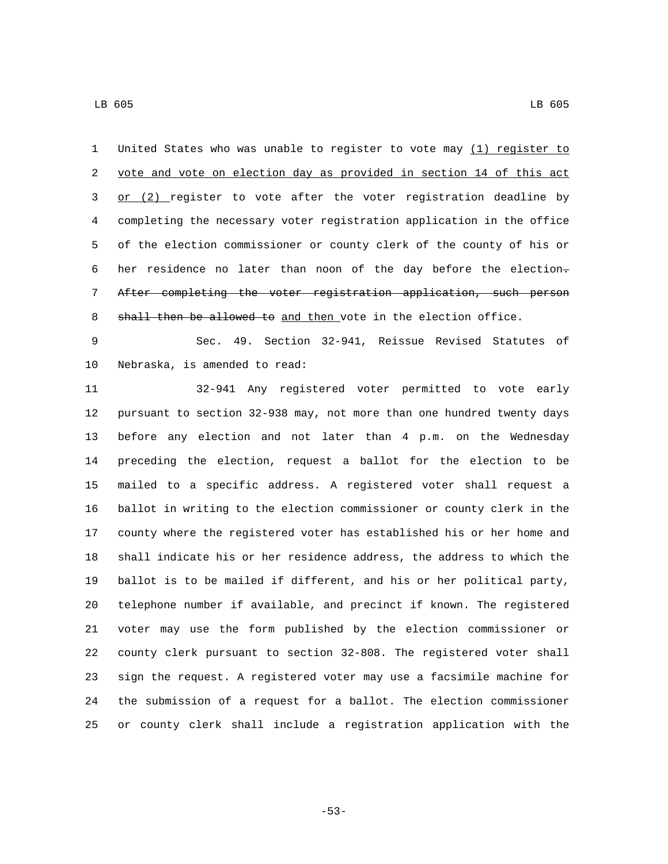United States who was unable to register to vote may (1) register to vote and vote on election day as provided in section 14 of this act 3 or (2) register to vote after the voter registration deadline by completing the necessary voter registration application in the office of the election commissioner or county clerk of the county of his or 6 her residence no later than noon of the day before the election- After completing the voter registration application, such person 8 shall then be allowed to and then vote in the election office.

 Sec. 49. Section 32-941, Reissue Revised Statutes of 10 Nebraska, is amended to read:

 32-941 Any registered voter permitted to vote early pursuant to section 32-938 may, not more than one hundred twenty days before any election and not later than 4 p.m. on the Wednesday preceding the election, request a ballot for the election to be mailed to a specific address. A registered voter shall request a ballot in writing to the election commissioner or county clerk in the county where the registered voter has established his or her home and shall indicate his or her residence address, the address to which the ballot is to be mailed if different, and his or her political party, telephone number if available, and precinct if known. The registered voter may use the form published by the election commissioner or county clerk pursuant to section 32-808. The registered voter shall sign the request. A registered voter may use a facsimile machine for the submission of a request for a ballot. The election commissioner or county clerk shall include a registration application with the

-53-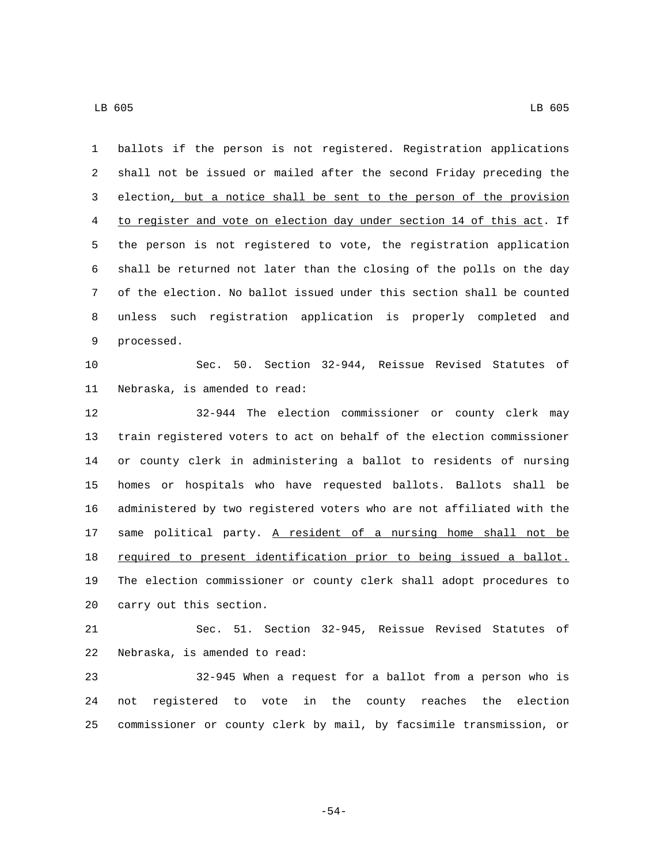ballots if the person is not registered. Registration applications shall not be issued or mailed after the second Friday preceding the election, but a notice shall be sent to the person of the provision to register and vote on election day under section 14 of this act. If the person is not registered to vote, the registration application shall be returned not later than the closing of the polls on the day of the election. No ballot issued under this section shall be counted unless such registration application is properly completed and 9 processed. Sec. 50. Section 32-944, Reissue Revised Statutes of 11 Nebraska, is amended to read: 32-944 The election commissioner or county clerk may train registered voters to act on behalf of the election commissioner or county clerk in administering a ballot to residents of nursing homes or hospitals who have requested ballots. Ballots shall be administered by two registered voters who are not affiliated with the 17 same political party. A resident of a nursing home shall not be 18 required to present identification prior to being issued a ballot. The election commissioner or county clerk shall adopt procedures to 20 carry out this section. Sec. 51. Section 32-945, Reissue Revised Statutes of 22 Nebraska, is amended to read: 32-945 When a request for a ballot from a person who is not registered to vote in the county reaches the election commissioner or county clerk by mail, by facsimile transmission, or

-54-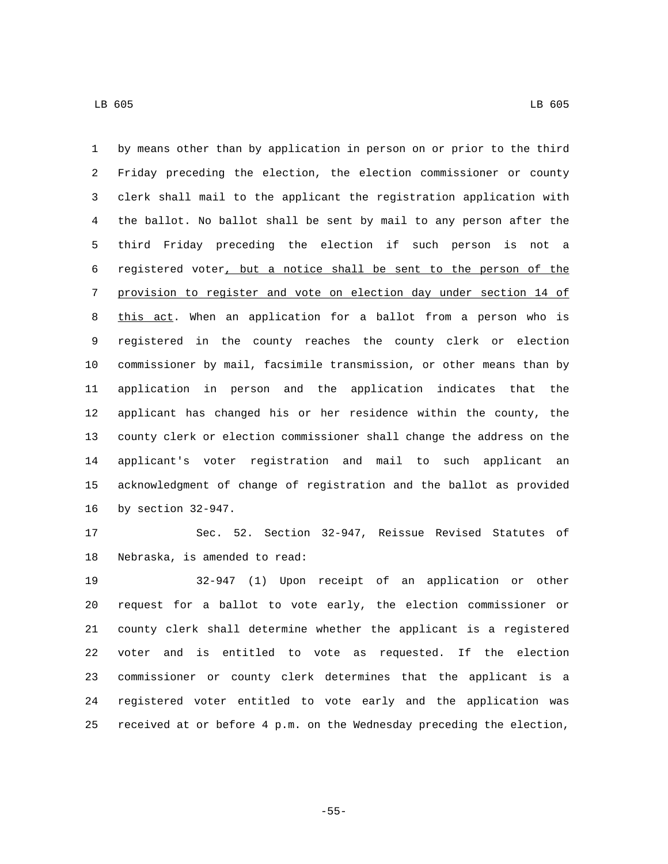by means other than by application in person on or prior to the third Friday preceding the election, the election commissioner or county clerk shall mail to the applicant the registration application with the ballot. No ballot shall be sent by mail to any person after the third Friday preceding the election if such person is not a registered voter, but a notice shall be sent to the person of the provision to register and vote on election day under section 14 of this act. When an application for a ballot from a person who is registered in the county reaches the county clerk or election commissioner by mail, facsimile transmission, or other means than by application in person and the application indicates that the applicant has changed his or her residence within the county, the county clerk or election commissioner shall change the address on the applicant's voter registration and mail to such applicant an acknowledgment of change of registration and the ballot as provided 16 by section 32-947.

 Sec. 52. Section 32-947, Reissue Revised Statutes of 18 Nebraska, is amended to read:

 32-947 (1) Upon receipt of an application or other request for a ballot to vote early, the election commissioner or county clerk shall determine whether the applicant is a registered voter and is entitled to vote as requested. If the election commissioner or county clerk determines that the applicant is a registered voter entitled to vote early and the application was received at or before 4 p.m. on the Wednesday preceding the election,

-55-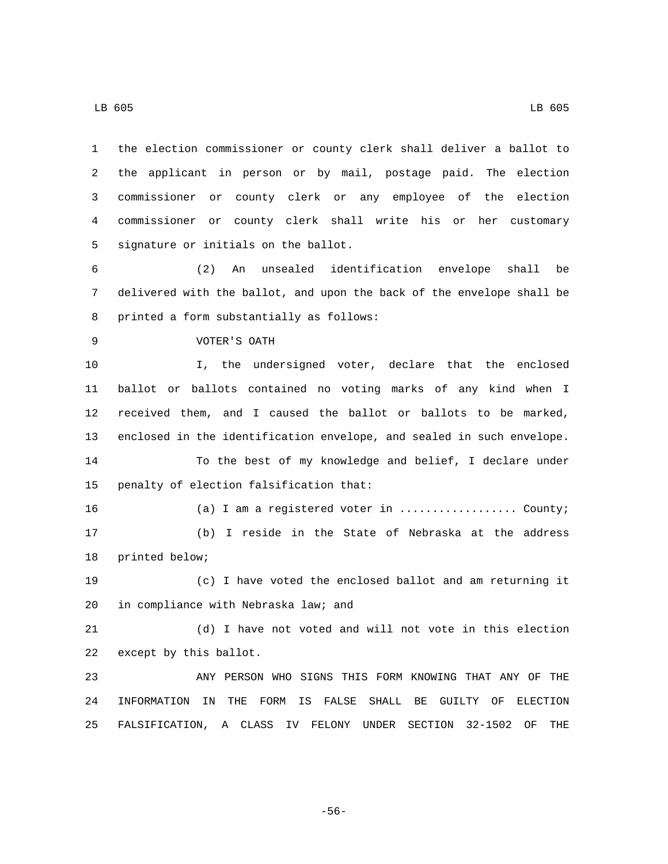the election commissioner or county clerk shall deliver a ballot to the applicant in person or by mail, postage paid. The election commissioner or county clerk or any employee of the election commissioner or county clerk shall write his or her customary 5 signature or initials on the ballot.

 (2) An unsealed identification envelope shall be delivered with the ballot, and upon the back of the envelope shall be 8 printed a form substantially as follows:

9 VOTER'S OATH

 I, the undersigned voter, declare that the enclosed ballot or ballots contained no voting marks of any kind when I received them, and I caused the ballot or ballots to be marked, enclosed in the identification envelope, and sealed in such envelope.

 To the best of my knowledge and belief, I declare under 15 penalty of election falsification that:

16 (a) I am a registered voter in .................... County; (b) I reside in the State of Nebraska at the address 18 printed below;

 (c) I have voted the enclosed ballot and am returning it 20 in compliance with Nebraska law; and

 (d) I have not voted and will not vote in this election 22 except by this ballot.

 ANY PERSON WHO SIGNS THIS FORM KNOWING THAT ANY OF THE INFORMATION IN THE FORM IS FALSE SHALL BE GUILTY OF ELECTION FALSIFICATION, A CLASS IV FELONY UNDER SECTION 32-1502 OF THE

-56-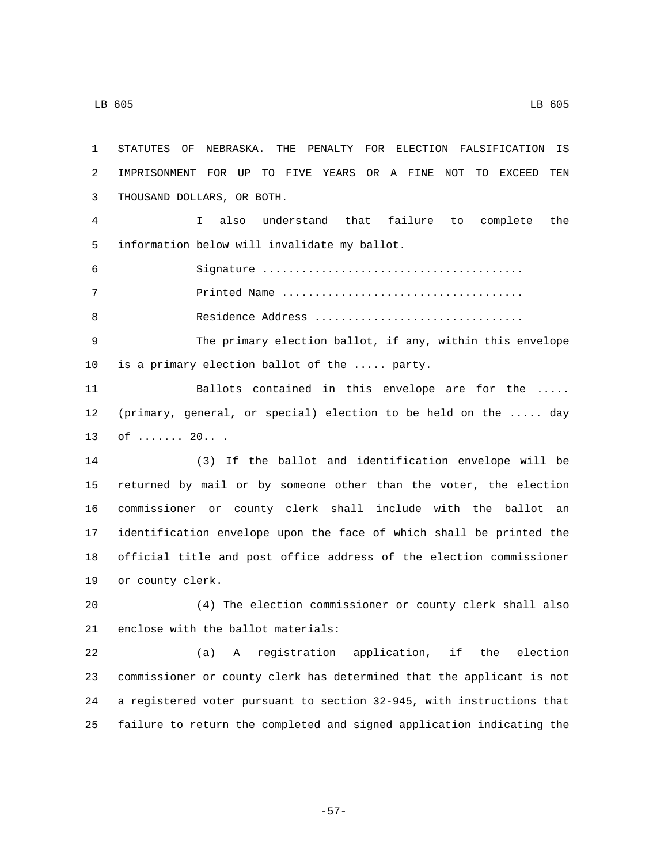STATUTES OF NEBRASKA. THE PENALTY FOR ELECTION FALSIFICATION IS IMPRISONMENT FOR UP TO FIVE YEARS OR A FINE NOT TO EXCEED TEN 3 THOUSAND DOLLARS, OR BOTH. I also understand that failure to complete the 5 information below will invalidate my ballot. Signature ........................................ Printed Name ..................................... Residence Address ................................ The primary election ballot, if any, within this envelope 10 is a primary election ballot of the  $\ldots$ . party. Ballots contained in this envelope are for the ..... (primary, general, or special) election to be held on the ..... day 13 of ....... 20... (3) If the ballot and identification envelope will be returned by mail or by someone other than the voter, the election commissioner or county clerk shall include with the ballot an identification envelope upon the face of which shall be printed the official title and post office address of the election commissioner 19 or county clerk. (4) The election commissioner or county clerk shall also 21 enclose with the ballot materials: (a) A registration application, if the election commissioner or county clerk has determined that the applicant is not a registered voter pursuant to section 32-945, with instructions that failure to return the completed and signed application indicating the

-57-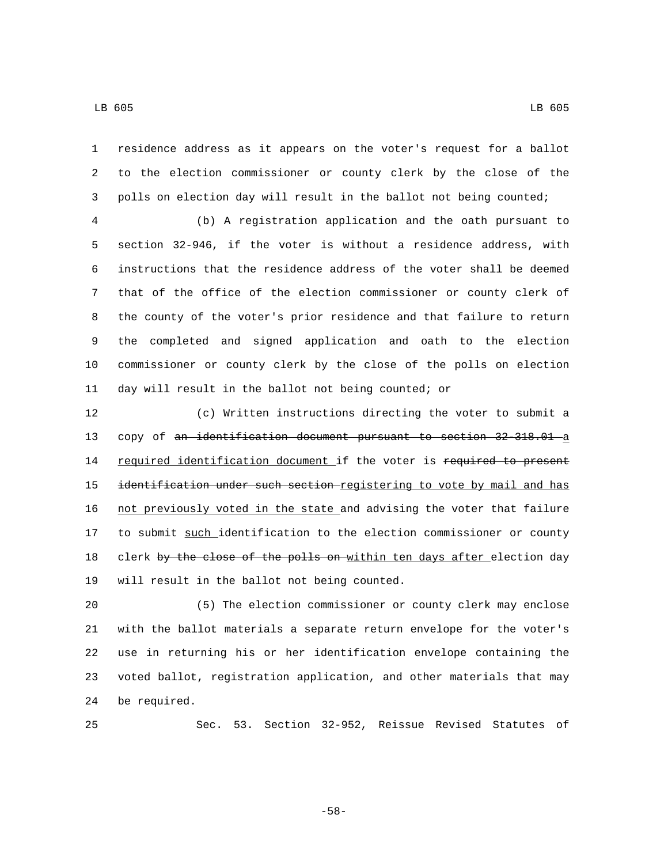residence address as it appears on the voter's request for a ballot to the election commissioner or county clerk by the close of the polls on election day will result in the ballot not being counted;

 (b) A registration application and the oath pursuant to section 32-946, if the voter is without a residence address, with instructions that the residence address of the voter shall be deemed that of the office of the election commissioner or county clerk of the county of the voter's prior residence and that failure to return the completed and signed application and oath to the election commissioner or county clerk by the close of the polls on election day will result in the ballot not being counted; or

 (c) Written instructions directing the voter to submit a 13 copy of an identification document pursuant to section 32-318.01 a 14 required identification document if the voter is required to present 15 identification under such section registering to vote by mail and has not previously voted in the state and advising the voter that failure 17 to submit such identification to the election commissioner or county 18 clerk by the close of the polls on within ten days after election day 19 will result in the ballot not being counted.

 (5) The election commissioner or county clerk may enclose with the ballot materials a separate return envelope for the voter's use in returning his or her identification envelope containing the voted ballot, registration application, and other materials that may 24 be required.

Sec. 53. Section 32-952, Reissue Revised Statutes of

-58-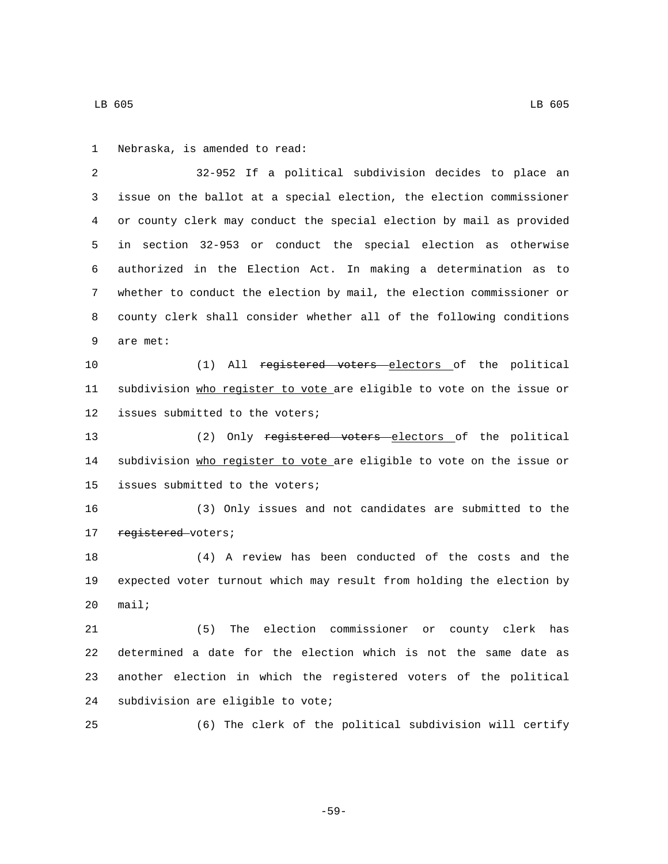1 Nebraska, is amended to read:

 32-952 If a political subdivision decides to place an issue on the ballot at a special election, the election commissioner or county clerk may conduct the special election by mail as provided in section 32-953 or conduct the special election as otherwise authorized in the Election Act. In making a determination as to whether to conduct the election by mail, the election commissioner or county clerk shall consider whether all of the following conditions 9 are met: (1) All registered voters electors of the political subdivision who register to vote are eligible to vote on the issue or 12 issues submitted to the voters; 13 (2) Only registered voters electors of the political 14 subdivision who register to vote are eligible to vote on the issue or 15 issues submitted to the voters; (3) Only issues and not candidates are submitted to the 17 registered voters; (4) A review has been conducted of the costs and the expected voter turnout which may result from holding the election by mail; (5) The election commissioner or county clerk has determined a date for the election which is not the same date as another election in which the registered voters of the political 24 subdivision are eligible to vote; (6) The clerk of the political subdivision will certify

-59-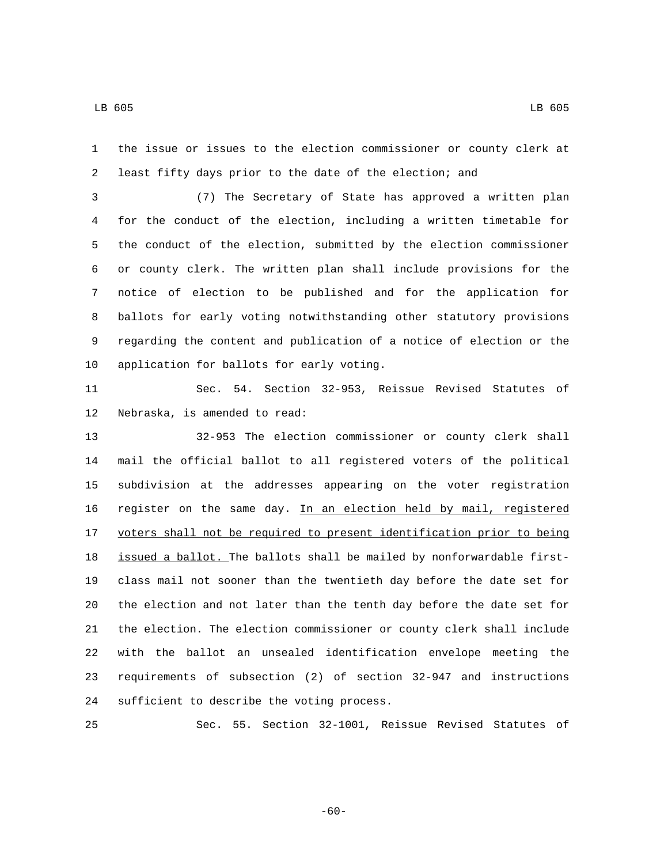the issue or issues to the election commissioner or county clerk at least fifty days prior to the date of the election; and

 (7) The Secretary of State has approved a written plan for the conduct of the election, including a written timetable for the conduct of the election, submitted by the election commissioner or county clerk. The written plan shall include provisions for the notice of election to be published and for the application for ballots for early voting notwithstanding other statutory provisions regarding the content and publication of a notice of election or the 10 application for ballots for early voting.

 Sec. 54. Section 32-953, Reissue Revised Statutes of 12 Nebraska, is amended to read:

 32-953 The election commissioner or county clerk shall mail the official ballot to all registered voters of the political subdivision at the addresses appearing on the voter registration register on the same day. In an election held by mail, registered voters shall not be required to present identification prior to being issued a ballot. The ballots shall be mailed by nonforwardable first- class mail not sooner than the twentieth day before the date set for the election and not later than the tenth day before the date set for the election. The election commissioner or county clerk shall include with the ballot an unsealed identification envelope meeting the requirements of subsection (2) of section 32-947 and instructions 24 sufficient to describe the voting process.

Sec. 55. Section 32-1001, Reissue Revised Statutes of

-60-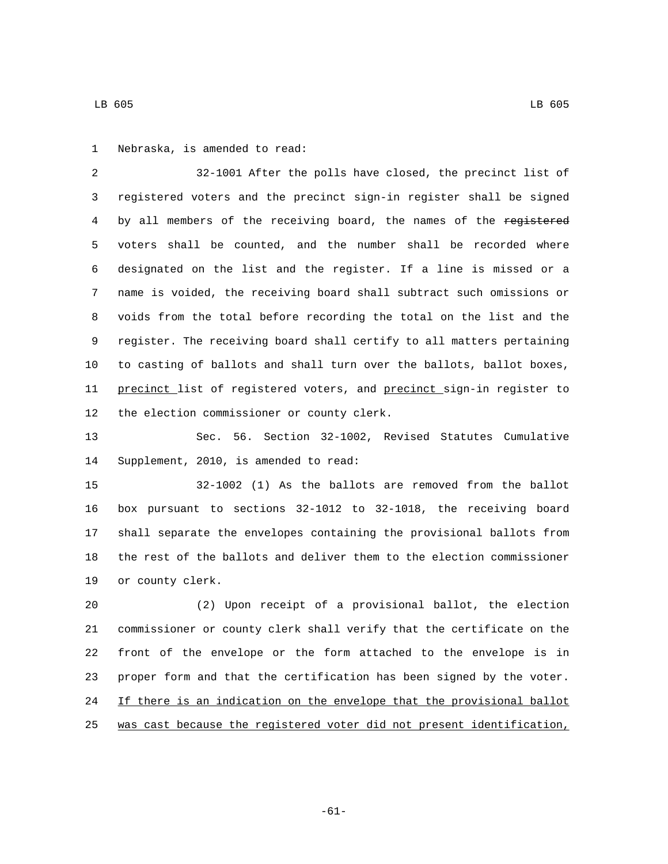1 Nebraska, is amended to read:

 32-1001 After the polls have closed, the precinct list of registered voters and the precinct sign-in register shall be signed 4 by all members of the receiving board, the names of the registered voters shall be counted, and the number shall be recorded where designated on the list and the register. If a line is missed or a name is voided, the receiving board shall subtract such omissions or voids from the total before recording the total on the list and the register. The receiving board shall certify to all matters pertaining to casting of ballots and shall turn over the ballots, ballot boxes, 11 precinct list of registered voters, and precinct sign-in register to 12 the election commissioner or county clerk.

 Sec. 56. Section 32-1002, Revised Statutes Cumulative 14 Supplement, 2010, is amended to read:

 32-1002 (1) As the ballots are removed from the ballot box pursuant to sections 32-1012 to 32-1018, the receiving board shall separate the envelopes containing the provisional ballots from the rest of the ballots and deliver them to the election commissioner 19 or county clerk.

 (2) Upon receipt of a provisional ballot, the election commissioner or county clerk shall verify that the certificate on the front of the envelope or the form attached to the envelope is in proper form and that the certification has been signed by the voter. 24 If there is an indication on the envelope that the provisional ballot was cast because the registered voter did not present identification,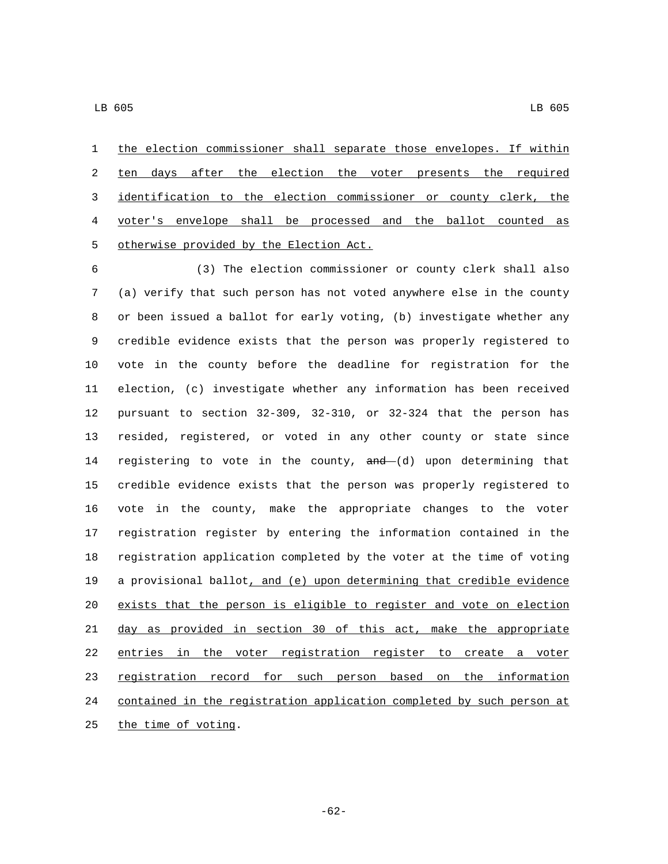the election commissioner shall separate those envelopes. If within 2 ten days after the election the voter presents the required identification to the election commissioner or county clerk, the voter's envelope shall be processed and the ballot counted as 5 otherwise provided by the Election Act.

 (3) The election commissioner or county clerk shall also (a) verify that such person has not voted anywhere else in the county or been issued a ballot for early voting, (b) investigate whether any credible evidence exists that the person was properly registered to vote in the county before the deadline for registration for the election, (c) investigate whether any information has been received pursuant to section 32-309, 32-310, or 32-324 that the person has resided, registered, or voted in any other county or state since 14 registering to vote in the county,  $and-(d)$  upon determining that credible evidence exists that the person was properly registered to vote in the county, make the appropriate changes to the voter registration register by entering the information contained in the registration application completed by the voter at the time of voting a provisional ballot, and (e) upon determining that credible evidence exists that the person is eligible to register and vote on election day as provided in section 30 of this act, make the appropriate entries in the voter registration register to create a voter registration record for such person based on the information contained in the registration application completed by such person at 25 the time of voting.

-62-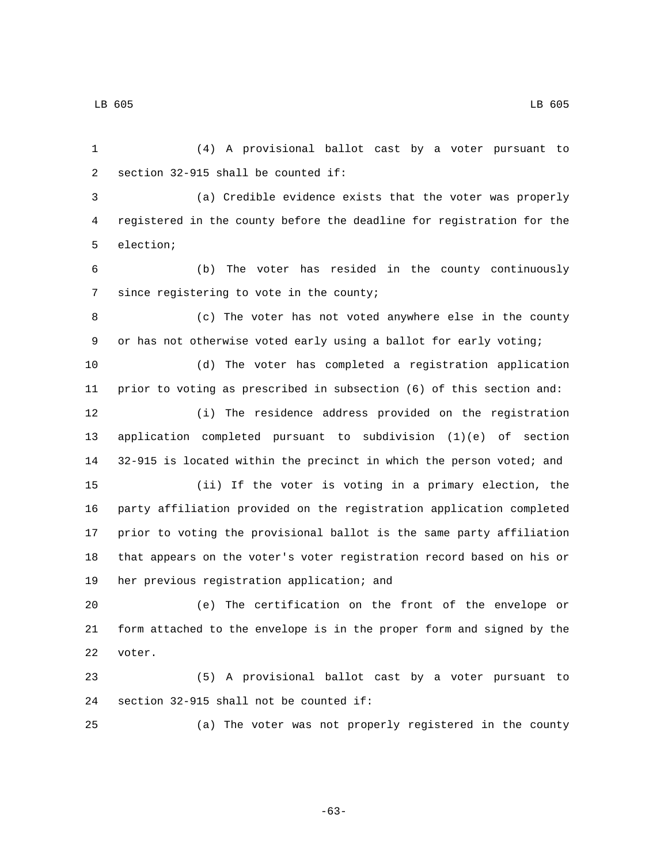(4) A provisional ballot cast by a voter pursuant to 2 section  $32-915$  shall be counted if: (a) Credible evidence exists that the voter was properly registered in the county before the deadline for registration for the 5 election; (b) The voter has resided in the county continuously 7 since registering to vote in the county; (c) The voter has not voted anywhere else in the county or has not otherwise voted early using a ballot for early voting; (d) The voter has completed a registration application prior to voting as prescribed in subsection (6) of this section and: (i) The residence address provided on the registration application completed pursuant to subdivision (1)(e) of section 32-915 is located within the precinct in which the person voted; and (ii) If the voter is voting in a primary election, the party affiliation provided on the registration application completed prior to voting the provisional ballot is the same party affiliation that appears on the voter's voter registration record based on his or 19 her previous registration application; and (e) The certification on the front of the envelope or form attached to the envelope is in the proper form and signed by the 22 voter. (5) A provisional ballot cast by a voter pursuant to 24 section  $32-915$  shall not be counted if: (a) The voter was not properly registered in the county

-63-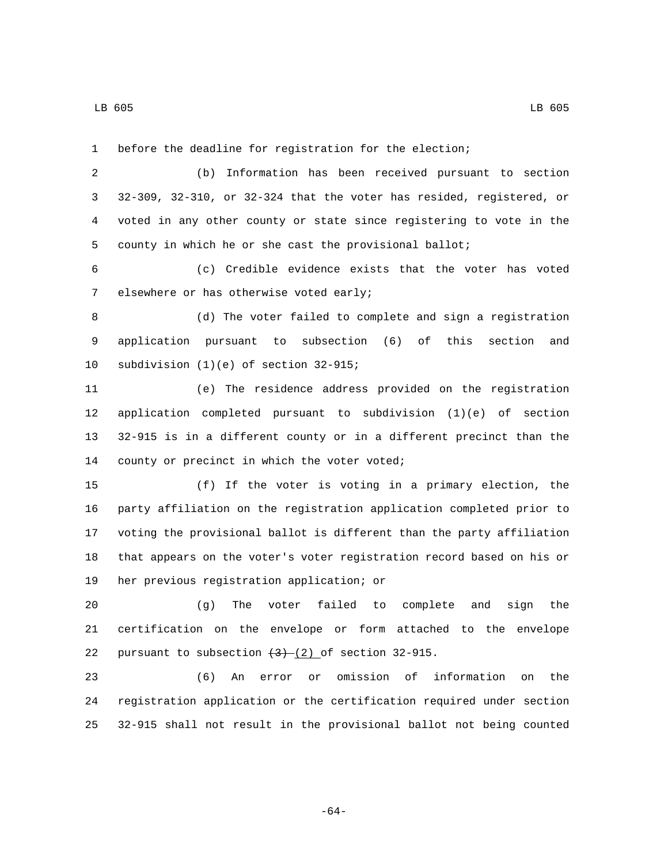before the deadline for registration for the election;

 (b) Information has been received pursuant to section 32-309, 32-310, or 32-324 that the voter has resided, registered, or voted in any other county or state since registering to vote in the county in which he or she cast the provisional ballot;

 (c) Credible evidence exists that the voter has voted 7 elsewhere or has otherwise voted early;

 (d) The voter failed to complete and sign a registration application pursuant to subsection (6) of this section and 10 subdivision  $(1)(e)$  of section  $32-915$ ;

 (e) The residence address provided on the registration application completed pursuant to subdivision (1)(e) of section 32-915 is in a different county or in a different precinct than the 14 county or precinct in which the voter voted;

 (f) If the voter is voting in a primary election, the party affiliation on the registration application completed prior to voting the provisional ballot is different than the party affiliation that appears on the voter's voter registration record based on his or 19 her previous registration application; or

 (g) The voter failed to complete and sign the certification on the envelope or form attached to the envelope 22 pursuant to subsection  $(3)$  (2) of section 32-915.

 (6) An error or omission of information on the registration application or the certification required under section 32-915 shall not result in the provisional ballot not being counted

-64-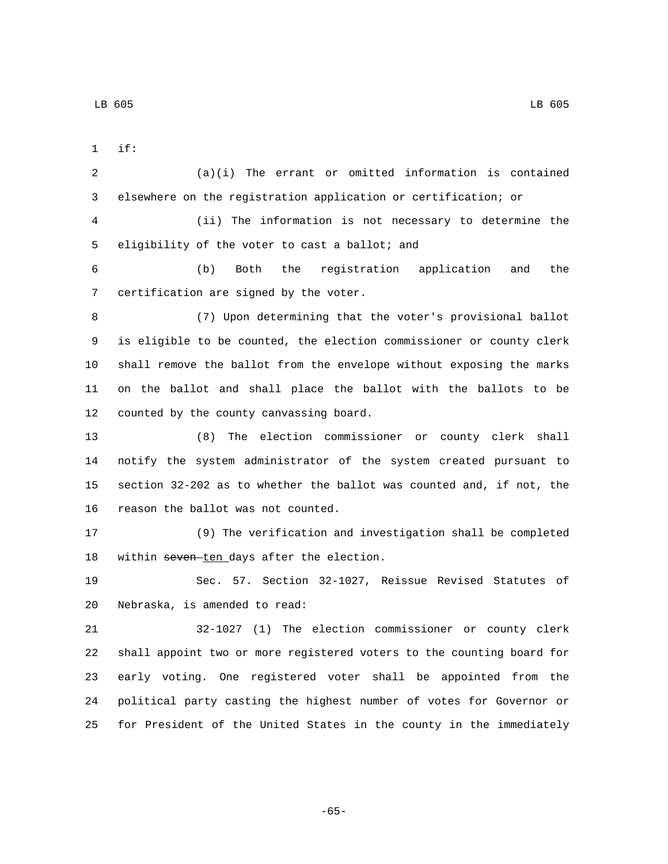if:1

 (a)(i) The errant or omitted information is contained elsewhere on the registration application or certification; or (ii) The information is not necessary to determine the 5 eligibility of the voter to cast a ballot; and (b) Both the registration application and the 7 certification are signed by the voter. (7) Upon determining that the voter's provisional ballot is eligible to be counted, the election commissioner or county clerk shall remove the ballot from the envelope without exposing the marks on the ballot and shall place the ballot with the ballots to be 12 counted by the county canvassing board. (8) The election commissioner or county clerk shall notify the system administrator of the system created pursuant to

 section 32-202 as to whether the ballot was counted and, if not, the 16 reason the ballot was not counted.

 (9) The verification and investigation shall be completed 18 within seven-ten days after the election.

 Sec. 57. Section 32-1027, Reissue Revised Statutes of 20 Nebraska, is amended to read:

 32-1027 (1) The election commissioner or county clerk shall appoint two or more registered voters to the counting board for early voting. One registered voter shall be appointed from the political party casting the highest number of votes for Governor or for President of the United States in the county in the immediately

-65-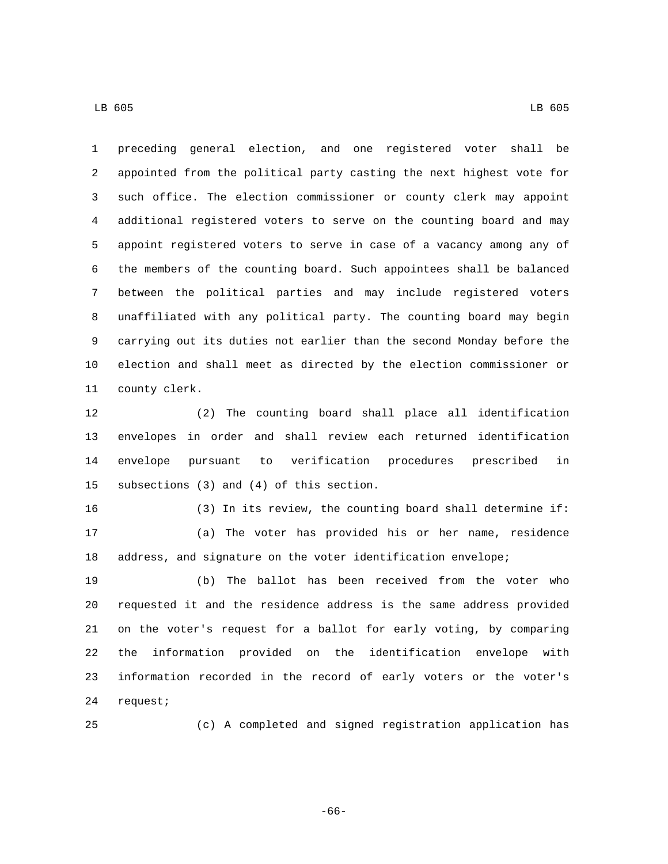preceding general election, and one registered voter shall be appointed from the political party casting the next highest vote for such office. The election commissioner or county clerk may appoint additional registered voters to serve on the counting board and may appoint registered voters to serve in case of a vacancy among any of the members of the counting board. Such appointees shall be balanced between the political parties and may include registered voters unaffiliated with any political party. The counting board may begin carrying out its duties not earlier than the second Monday before the election and shall meet as directed by the election commissioner or 11 county clerk.

 (2) The counting board shall place all identification envelopes in order and shall review each returned identification envelope pursuant to verification procedures prescribed in 15 subsections (3) and (4) of this section.

 (3) In its review, the counting board shall determine if: (a) The voter has provided his or her name, residence address, and signature on the voter identification envelope;

 (b) The ballot has been received from the voter who requested it and the residence address is the same address provided on the voter's request for a ballot for early voting, by comparing the information provided on the identification envelope with information recorded in the record of early voters or the voter's 24 request;

(c) A completed and signed registration application has

-66-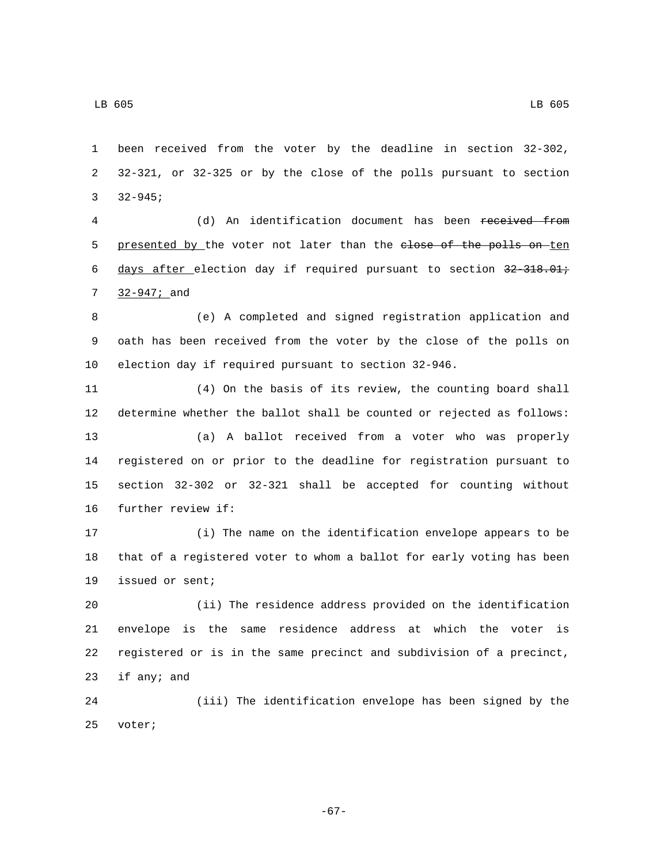been received from the voter by the deadline in section 32-302, 32-321, or 32-325 or by the close of the polls pursuant to section 3  $32-945;$ 

 (d) An identification document has been received from 5 presented by the voter not later than the elose of the polls on ten 6 days after election day if required pursuant to section 32-318.01; 7 32-947; and

 (e) A completed and signed registration application and oath has been received from the voter by the close of the polls on election day if required pursuant to section 32-946.

 (4) On the basis of its review, the counting board shall determine whether the ballot shall be counted or rejected as follows: (a) A ballot received from a voter who was properly registered on or prior to the deadline for registration pursuant to section 32-302 or 32-321 shall be accepted for counting without 16 further review if:

 (i) The name on the identification envelope appears to be that of a registered voter to whom a ballot for early voting has been 19 issued or sent;

 (ii) The residence address provided on the identification envelope is the same residence address at which the voter is registered or is in the same precinct and subdivision of a precinct, 23 if any; and

 (iii) The identification envelope has been signed by the 25 voter;

-67-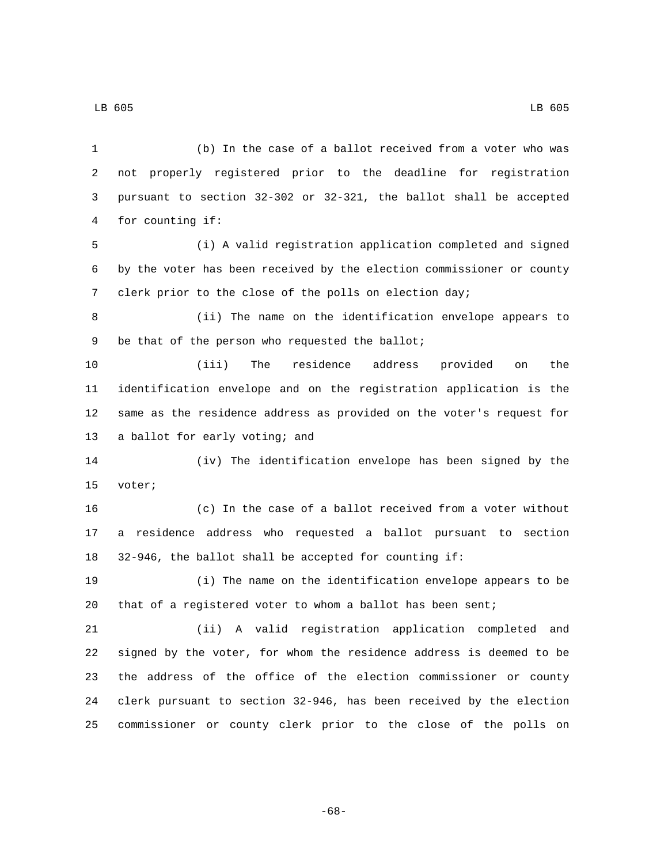(b) In the case of a ballot received from a voter who was not properly registered prior to the deadline for registration pursuant to section 32-302 or 32-321, the ballot shall be accepted 4 for counting if: (i) A valid registration application completed and signed by the voter has been received by the election commissioner or county clerk prior to the close of the polls on election day; (ii) The name on the identification envelope appears to 9 be that of the person who requested the ballot; (iii) The residence address provided on the identification envelope and on the registration application is the same as the residence address as provided on the voter's request for 13 a ballot for early voting; and (iv) The identification envelope has been signed by the 15 voter; (c) In the case of a ballot received from a voter without a residence address who requested a ballot pursuant to section 32-946, the ballot shall be accepted for counting if: (i) The name on the identification envelope appears to be that of a registered voter to whom a ballot has been sent; (ii) A valid registration application completed and signed by the voter, for whom the residence address is deemed to be the address of the office of the election commissioner or county clerk pursuant to section 32-946, has been received by the election commissioner or county clerk prior to the close of the polls on

LB 605 LB 605

-68-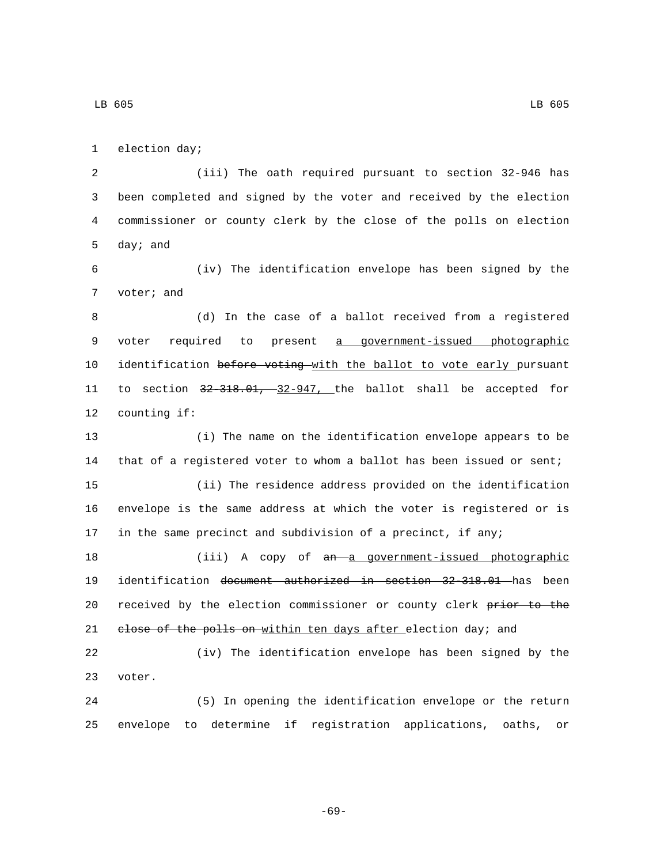1 election day;

 (iii) The oath required pursuant to section 32-946 has been completed and signed by the voter and received by the election commissioner or county clerk by the close of the polls on election 5 day; and

6 (iv) The identification envelope has been signed by the 7 voter; and

8 (d) In the case of a ballot received from a registered 9 voter required to present a government-issued photographic 10 identification before voting with the ballot to vote early pursuant 11 to section 32-318.01, 32-947, the ballot shall be accepted for 12 counting if:

 (i) The name on the identification envelope appears to be that of a registered voter to whom a ballot has been issued or sent; (ii) The residence address provided on the identification envelope is the same address at which the voter is registered or is in the same precinct and subdivision of a precinct, if any;

18 (iii) A copy of an a government-issued photographic 19 identification document authorized in section 32-318.01 has been 20 received by the election commissioner or county clerk prior to the 21 elose of the polls on within ten days after election day; and

22 (iv) The identification envelope has been signed by the 23 voter.

24 (5) In opening the identification envelope or the return 25 envelope to determine if registration applications, oaths, or

-69-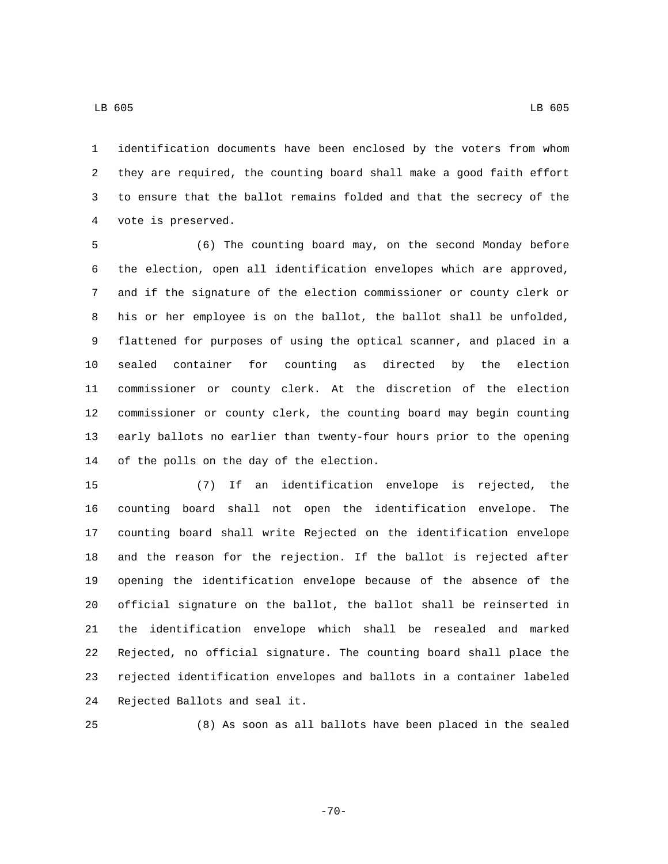identification documents have been enclosed by the voters from whom they are required, the counting board shall make a good faith effort to ensure that the ballot remains folded and that the secrecy of the

4 vote is preserved.

 (6) The counting board may, on the second Monday before the election, open all identification envelopes which are approved, and if the signature of the election commissioner or county clerk or his or her employee is on the ballot, the ballot shall be unfolded, flattened for purposes of using the optical scanner, and placed in a sealed container for counting as directed by the election commissioner or county clerk. At the discretion of the election commissioner or county clerk, the counting board may begin counting early ballots no earlier than twenty-four hours prior to the opening 14 of the polls on the day of the election.

 (7) If an identification envelope is rejected, the counting board shall not open the identification envelope. The counting board shall write Rejected on the identification envelope and the reason for the rejection. If the ballot is rejected after opening the identification envelope because of the absence of the official signature on the ballot, the ballot shall be reinserted in the identification envelope which shall be resealed and marked Rejected, no official signature. The counting board shall place the rejected identification envelopes and ballots in a container labeled 24 Rejected Ballots and seal it.

(8) As soon as all ballots have been placed in the sealed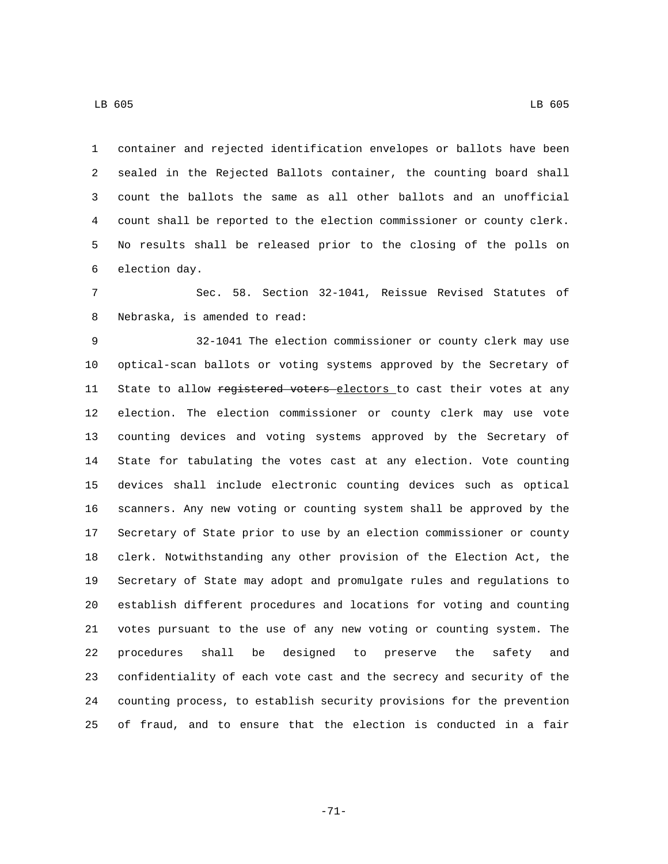container and rejected identification envelopes or ballots have been sealed in the Rejected Ballots container, the counting board shall count the ballots the same as all other ballots and an unofficial count shall be reported to the election commissioner or county clerk.

6 election day.

 Sec. 58. Section 32-1041, Reissue Revised Statutes of 8 Nebraska, is amended to read:

No results shall be released prior to the closing of the polls on

 32-1041 The election commissioner or county clerk may use optical-scan ballots or voting systems approved by the Secretary of 11 State to allow registered voters electors to cast their votes at any election. The election commissioner or county clerk may use vote counting devices and voting systems approved by the Secretary of State for tabulating the votes cast at any election. Vote counting devices shall include electronic counting devices such as optical scanners. Any new voting or counting system shall be approved by the Secretary of State prior to use by an election commissioner or county clerk. Notwithstanding any other provision of the Election Act, the Secretary of State may adopt and promulgate rules and regulations to establish different procedures and locations for voting and counting votes pursuant to the use of any new voting or counting system. The procedures shall be designed to preserve the safety and confidentiality of each vote cast and the secrecy and security of the counting process, to establish security provisions for the prevention of fraud, and to ensure that the election is conducted in a fair

LB 605 LB 605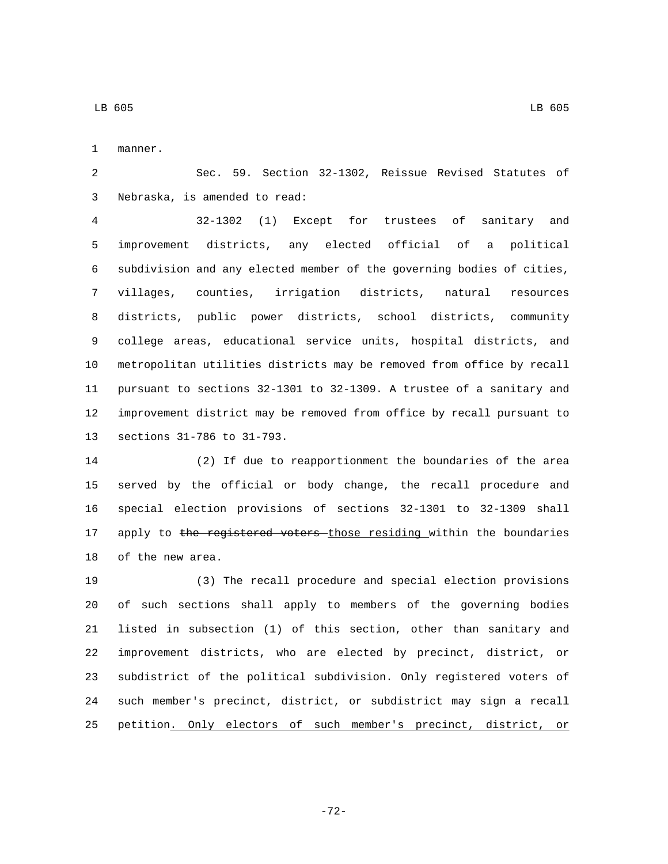1 manner.

 Sec. 59. Section 32-1302, Reissue Revised Statutes of 3 Nebraska, is amended to read:

 32-1302 (1) Except for trustees of sanitary and improvement districts, any elected official of a political subdivision and any elected member of the governing bodies of cities, villages, counties, irrigation districts, natural resources districts, public power districts, school districts, community college areas, educational service units, hospital districts, and metropolitan utilities districts may be removed from office by recall pursuant to sections 32-1301 to 32-1309. A trustee of a sanitary and improvement district may be removed from office by recall pursuant to 13 sections 31-786 to 31-793.

 (2) If due to reapportionment the boundaries of the area served by the official or body change, the recall procedure and special election provisions of sections 32-1301 to 32-1309 shall 17 apply to the registered voters those residing within the boundaries 18 of the new area.

 (3) The recall procedure and special election provisions of such sections shall apply to members of the governing bodies listed in subsection (1) of this section, other than sanitary and improvement districts, who are elected by precinct, district, or subdistrict of the political subdivision. Only registered voters of such member's precinct, district, or subdistrict may sign a recall petition. Only electors of such member's precinct, district, or

-72-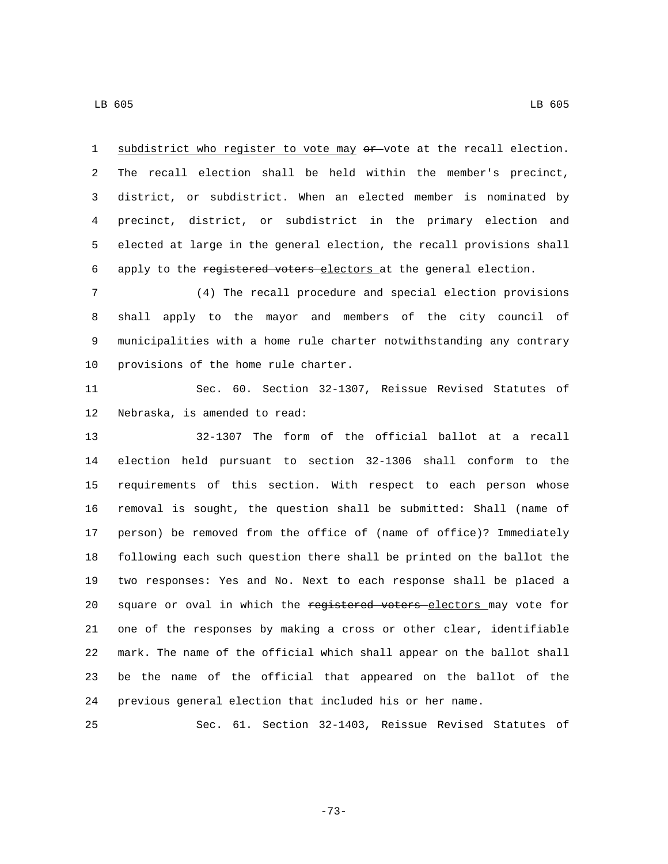1 subdistrict who register to vote may or vote at the recall election. The recall election shall be held within the member's precinct,

 district, or subdistrict. When an elected member is nominated by precinct, district, or subdistrict in the primary election and elected at large in the general election, the recall provisions shall 6 apply to the registered voters electors at the general election.

 (4) The recall procedure and special election provisions shall apply to the mayor and members of the city council of municipalities with a home rule charter notwithstanding any contrary 10 provisions of the home rule charter.

 Sec. 60. Section 32-1307, Reissue Revised Statutes of 12 Nebraska, is amended to read:

 32-1307 The form of the official ballot at a recall election held pursuant to section 32-1306 shall conform to the requirements of this section. With respect to each person whose removal is sought, the question shall be submitted: Shall (name of person) be removed from the office of (name of office)? Immediately following each such question there shall be printed on the ballot the two responses: Yes and No. Next to each response shall be placed a 20 square or oval in which the registered voters electors may vote for one of the responses by making a cross or other clear, identifiable mark. The name of the official which shall appear on the ballot shall be the name of the official that appeared on the ballot of the previous general election that included his or her name.

Sec. 61. Section 32-1403, Reissue Revised Statutes of

-73-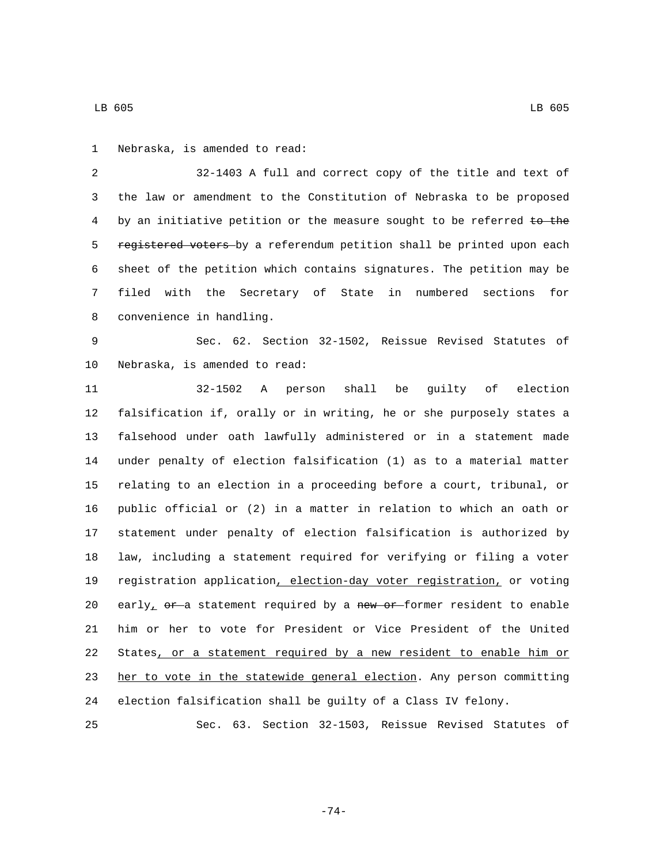32-1403 A full and correct copy of the title and text of the law or amendment to the Constitution of Nebraska to be proposed 4 by an initiative petition or the measure sought to be referred to the 5 registered voters-by a referendum petition shall be printed upon each sheet of the petition which contains signatures. The petition may be filed with the Secretary of State in numbered sections for 8 convenience in handling.

 Sec. 62. Section 32-1502, Reissue Revised Statutes of 10 Nebraska, is amended to read:

 32-1502 A person shall be guilty of election falsification if, orally or in writing, he or she purposely states a falsehood under oath lawfully administered or in a statement made under penalty of election falsification (1) as to a material matter relating to an election in a proceeding before a court, tribunal, or public official or (2) in a matter in relation to which an oath or statement under penalty of election falsification is authorized by law, including a statement required for verifying or filing a voter registration application, election-day voter registration, or voting 20 early<sub>1</sub>  $e^{r-a}$  statement required by a new or former resident to enable him or her to vote for President or Vice President of the United States, or a statement required by a new resident to enable him or 23 her to vote in the statewide general election. Any person committing election falsification shall be guilty of a Class IV felony.

Sec. 63. Section 32-1503, Reissue Revised Statutes of

-74-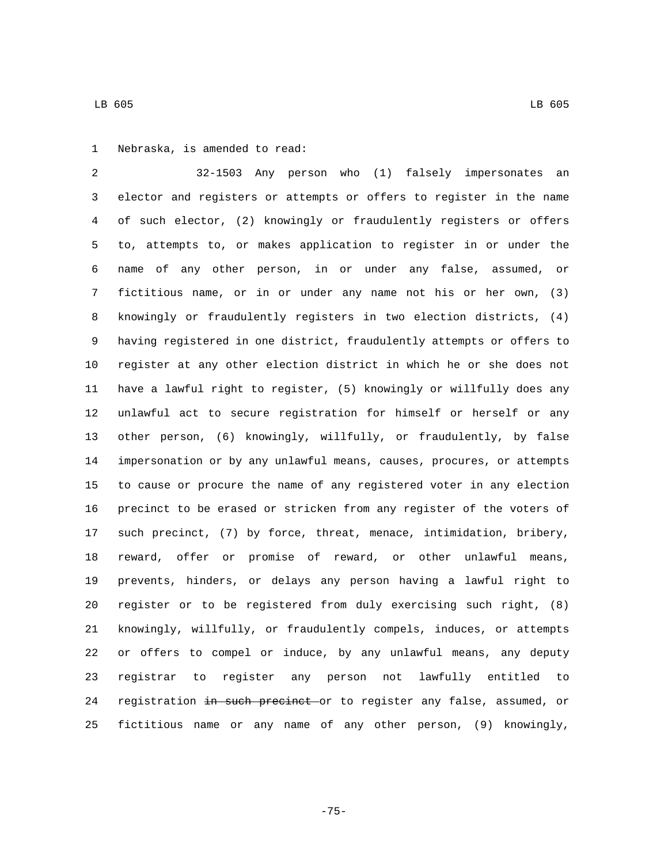32-1503 Any person who (1) falsely impersonates an elector and registers or attempts or offers to register in the name of such elector, (2) knowingly or fraudulently registers or offers to, attempts to, or makes application to register in or under the name of any other person, in or under any false, assumed, or fictitious name, or in or under any name not his or her own, (3) knowingly or fraudulently registers in two election districts, (4) having registered in one district, fraudulently attempts or offers to register at any other election district in which he or she does not have a lawful right to register, (5) knowingly or willfully does any unlawful act to secure registration for himself or herself or any other person, (6) knowingly, willfully, or fraudulently, by false impersonation or by any unlawful means, causes, procures, or attempts to cause or procure the name of any registered voter in any election precinct to be erased or stricken from any register of the voters of such precinct, (7) by force, threat, menace, intimidation, bribery, reward, offer or promise of reward, or other unlawful means, prevents, hinders, or delays any person having a lawful right to register or to be registered from duly exercising such right, (8) knowingly, willfully, or fraudulently compels, induces, or attempts or offers to compel or induce, by any unlawful means, any deputy registrar to register any person not lawfully entitled to 24 registration in such precinct or to register any false, assumed, or fictitious name or any name of any other person, (9) knowingly,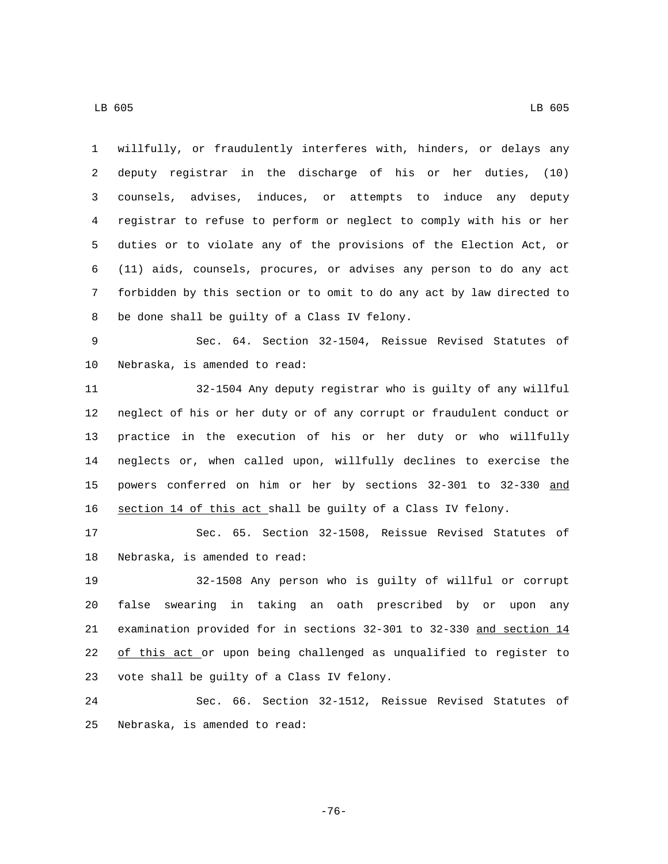LB 605 LB 605

 willfully, or fraudulently interferes with, hinders, or delays any deputy registrar in the discharge of his or her duties, (10) counsels, advises, induces, or attempts to induce any deputy registrar to refuse to perform or neglect to comply with his or her duties or to violate any of the provisions of the Election Act, or (11) aids, counsels, procures, or advises any person to do any act forbidden by this section or to omit to do any act by law directed to 8 be done shall be guilty of a Class IV felony.

 Sec. 64. Section 32-1504, Reissue Revised Statutes of 10 Nebraska, is amended to read:

 32-1504 Any deputy registrar who is guilty of any willful neglect of his or her duty or of any corrupt or fraudulent conduct or practice in the execution of his or her duty or who willfully neglects or, when called upon, willfully declines to exercise the powers conferred on him or her by sections 32-301 to 32-330 and section 14 of this act shall be guilty of a Class IV felony.

 Sec. 65. Section 32-1508, Reissue Revised Statutes of 18 Nebraska, is amended to read:

 32-1508 Any person who is guilty of willful or corrupt false swearing in taking an oath prescribed by or upon any examination provided for in sections 32-301 to 32-330 and section 14 22 of this act or upon being challenged as unqualified to register to 23 vote shall be guilty of a Class IV felony.

 Sec. 66. Section 32-1512, Reissue Revised Statutes of 25 Nebraska, is amended to read:

-76-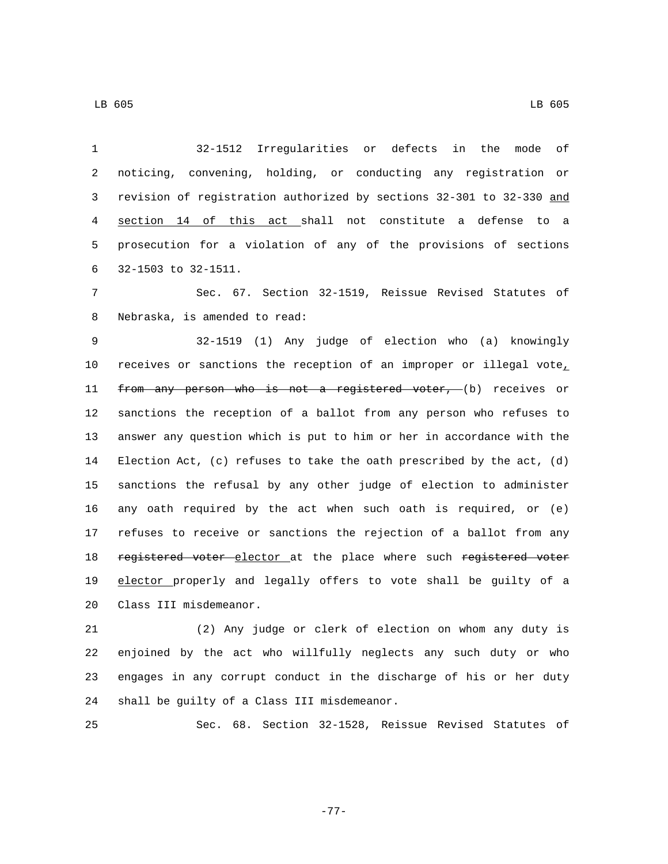| $\mathbf{1}$ | Irregularities<br>defects<br>оf<br>32-1512<br>in<br>the<br>mode<br>or |
|--------------|-----------------------------------------------------------------------|
| 2            | noticing, convening, holding, or conducting any registration or       |
| 3            | revision of registration authorized by sections 32-301 to 32-330 and  |
| 4            | section 14 of this act shall not constitute a defense<br>to a         |
| 5            | prosecution for a violation of any of the provisions of sections      |
| 6            | 32-1503 to 32-1511.                                                   |
| 7            | Sec. 67. Section 32-1519, Reissue Revised Statutes of                 |
| 8            | Nebraska, is amended to read:                                         |
| 9            | 32-1519 (1) Any judge of election who (a) knowingly                   |
| 10           | receives or sanctions the reception of an improper or illegal vote,   |
| 11           | from any person who is not a registered voter, (b) receives or        |
| 12           | sanctions the reception of a ballot from any person who refuses to    |
| 13           | answer any question which is put to him or her in accordance with the |
| 14           | Election Act, (c) refuses to take the oath prescribed by the act, (d) |
| 15           | sanctions the refusal by any other judge of election to administer    |
| 16           | any oath required by the act when such oath is required, or $(e)$     |
| 17           | refuses to receive or sanctions the rejection of a ballot from any    |
| 18           | registered voter elector at the place where such registered voter     |
| 19           | elector properly and legally offers to vote shall be guilty of a      |
| 20           | Class III misdemeanor.                                                |
|              |                                                                       |

 (2) Any judge or clerk of election on whom any duty is enjoined by the act who willfully neglects any such duty or who engages in any corrupt conduct in the discharge of his or her duty 24 shall be guilty of a Class III misdemeanor.

Sec. 68. Section 32-1528, Reissue Revised Statutes of

-77-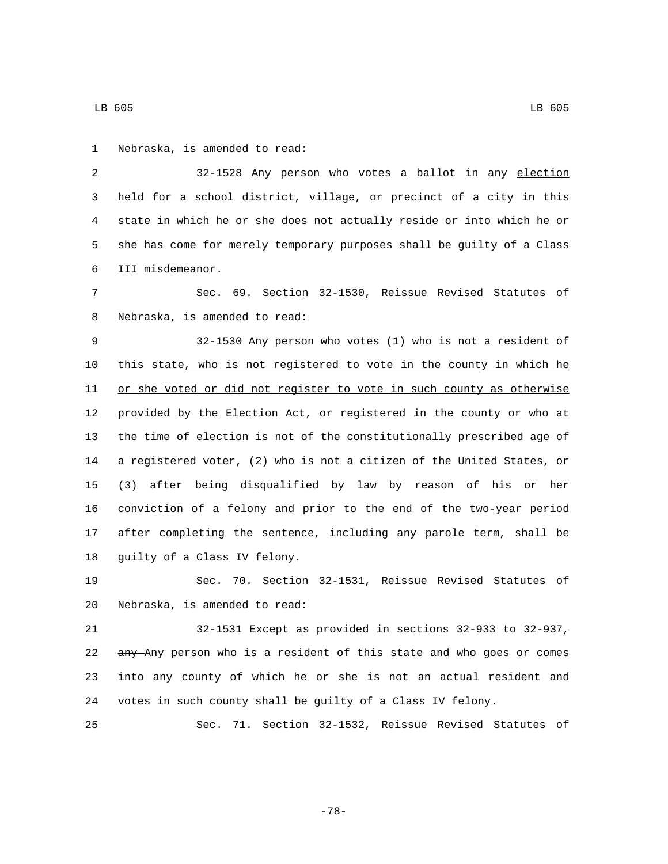2 32-1528 Any person who votes a ballot in any election 3 held for a school district, village, or precinct of a city in this 4 state in which he or she does not actually reside or into which he or 5 she has come for merely temporary purposes shall be guilty of a Class III misdemeanor.6

7 Sec. 69. Section 32-1530, Reissue Revised Statutes of 8 Nebraska, is amended to read:

 32-1530 Any person who votes (1) who is not a resident of this state, who is not registered to vote in the county in which he 11 or she voted or did not register to vote in such county as otherwise 12 provided by the Election Act, or registered in the county or who at the time of election is not of the constitutionally prescribed age of a registered voter, (2) who is not a citizen of the United States, or (3) after being disqualified by law by reason of his or her conviction of a felony and prior to the end of the two-year period after completing the sentence, including any parole term, shall be 18 guilty of a Class IV felony.

19 Sec. 70. Section 32-1531, Reissue Revised Statutes of 20 Nebraska, is amended to read:

 32-1531 Except as provided in sections 32-933 to 32-937, 22 any Any person who is a resident of this state and who goes or comes into any county of which he or she is not an actual resident and votes in such county shall be guilty of a Class IV felony.

25 Sec. 71. Section 32-1532, Reissue Revised Statutes of

-78-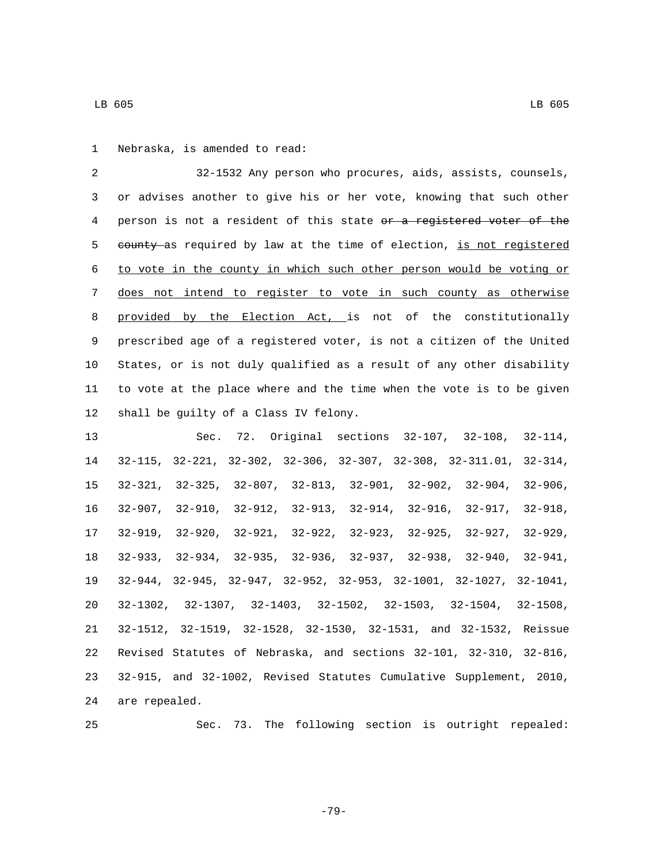32-1532 Any person who procures, aids, assists, counsels, or advises another to give his or her vote, knowing that such other 4 person is not a resident of this state or a registered voter of the 5 eounty as required by law at the time of election, is not registered to vote in the county in which such other person would be voting or does not intend to register to vote in such county as otherwise 8 provided by the Election Act, is not of the constitutionally prescribed age of a registered voter, is not a citizen of the United States, or is not duly qualified as a result of any other disability to vote at the place where and the time when the vote is to be given 12 shall be guilty of a Class IV felony.

 Sec. 72. Original sections 32-107, 32-108, 32-114, 32-115, 32-221, 32-302, 32-306, 32-307, 32-308, 32-311.01, 32-314, 32-321, 32-325, 32-807, 32-813, 32-901, 32-902, 32-904, 32-906, 32-907, 32-910, 32-912, 32-913, 32-914, 32-916, 32-917, 32-918, 32-919, 32-920, 32-921, 32-922, 32-923, 32-925, 32-927, 32-929, 32-933, 32-934, 32-935, 32-936, 32-937, 32-938, 32-940, 32-941, 32-944, 32-945, 32-947, 32-952, 32-953, 32-1001, 32-1027, 32-1041, 32-1302, 32-1307, 32-1403, 32-1502, 32-1503, 32-1504, 32-1508, 32-1512, 32-1519, 32-1528, 32-1530, 32-1531, and 32-1532, Reissue Revised Statutes of Nebraska, and sections 32-101, 32-310, 32-816, 32-915, and 32-1002, Revised Statutes Cumulative Supplement, 2010, 24 are repealed.

Sec. 73. The following section is outright repealed: